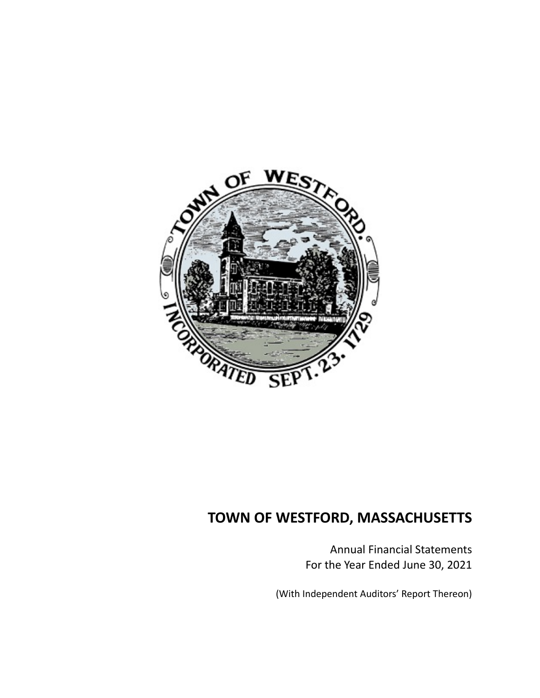

Annual Financial Statements For the Year Ended June 30, 2021

(With Independent Auditors' Report Thereon)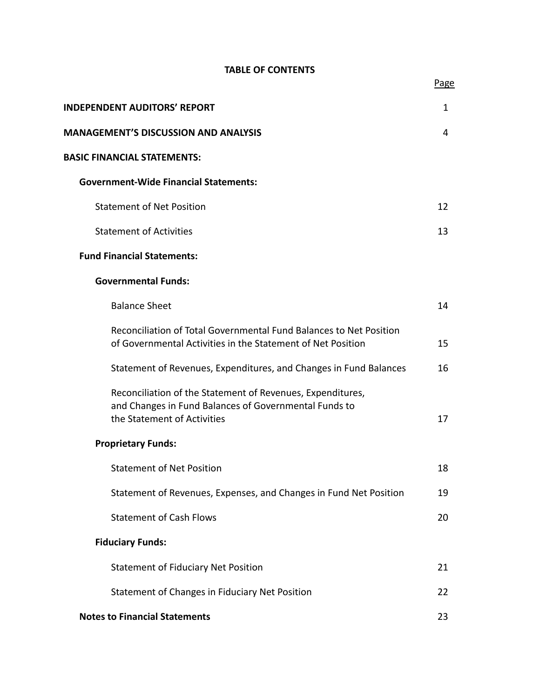## **TABLE OF CONTENTS**

| <b>INDEPENDENT AUDITORS' REPORT</b>                                                                                                                | $\mathbf{1}$ |
|----------------------------------------------------------------------------------------------------------------------------------------------------|--------------|
| <b>MANAGEMENT'S DISCUSSION AND ANALYSIS</b>                                                                                                        | 4            |
| <b>BASIC FINANCIAL STATEMENTS:</b>                                                                                                                 |              |
| <b>Government-Wide Financial Statements:</b>                                                                                                       |              |
| <b>Statement of Net Position</b>                                                                                                                   | 12           |
| <b>Statement of Activities</b>                                                                                                                     | 13           |
| <b>Fund Financial Statements:</b>                                                                                                                  |              |
| <b>Governmental Funds:</b>                                                                                                                         |              |
| <b>Balance Sheet</b>                                                                                                                               | 14           |
| Reconciliation of Total Governmental Fund Balances to Net Position<br>of Governmental Activities in the Statement of Net Position                  | 15           |
| Statement of Revenues, Expenditures, and Changes in Fund Balances                                                                                  | 16           |
| Reconciliation of the Statement of Revenues, Expenditures,<br>and Changes in Fund Balances of Governmental Funds to<br>the Statement of Activities | 17           |
| <b>Proprietary Funds:</b>                                                                                                                          |              |
| <b>Statement of Net Position</b>                                                                                                                   | 18           |
| Statement of Revenues, Expenses, and Changes in Fund Net Position                                                                                  | 19           |
| <b>Statement of Cash Flows</b>                                                                                                                     | 20           |
| <b>Fiduciary Funds:</b>                                                                                                                            |              |
| <b>Statement of Fiduciary Net Position</b>                                                                                                         | 21           |
| Statement of Changes in Fiduciary Net Position                                                                                                     | 22           |
| <b>Notes to Financial Statements</b>                                                                                                               | 23           |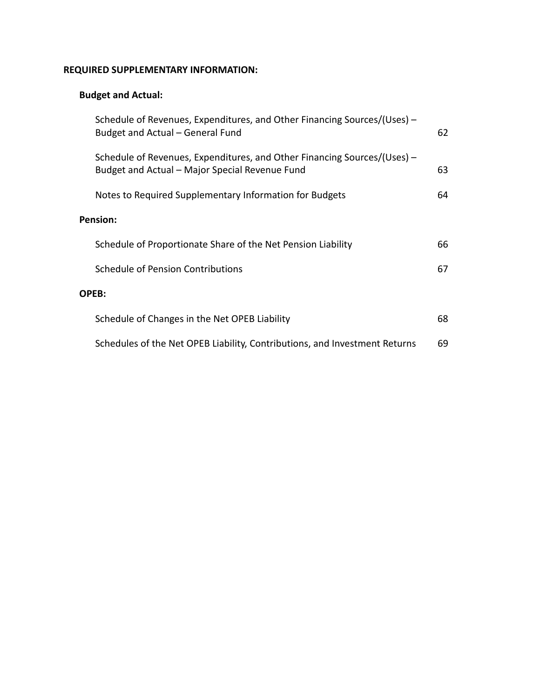## **REQUIRED SUPPLEMENTARY INFORMATION:**

## **Budget and Actual:**

| Schedule of Revenues, Expenditures, and Other Financing Sources/(Uses) –<br>Budget and Actual – General Fund               | 62 |
|----------------------------------------------------------------------------------------------------------------------------|----|
| Schedule of Revenues, Expenditures, and Other Financing Sources/(Uses) –<br>Budget and Actual - Major Special Revenue Fund | 63 |
| Notes to Required Supplementary Information for Budgets                                                                    | 64 |
| Pension:                                                                                                                   |    |
| Schedule of Proportionate Share of the Net Pension Liability                                                               | 66 |
| Schedule of Pension Contributions                                                                                          | 67 |
| OPEB:                                                                                                                      |    |
| Schedule of Changes in the Net OPEB Liability                                                                              | 68 |
| Schedules of the Net OPEB Liability, Contributions, and Investment Returns                                                 | 69 |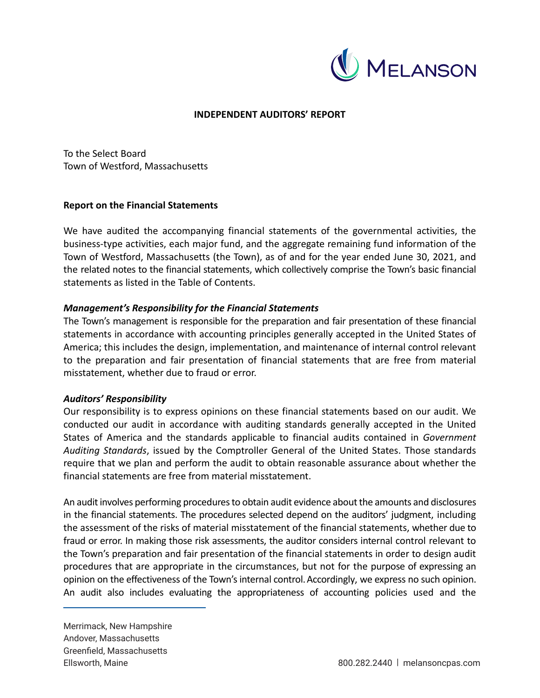

## **INDEPENDENT AUDITORS' REPORT**

To the Select Board Town of Westford, Massachusetts

### **Report on the Financial Statements**

We have audited the accompanying financial statements of the governmental activities, the business‐type activities, each major fund, and the aggregate remaining fund information of the Town of Westford, Massachusetts (the Town), as of and for the year ended June 30, 2021, and the related notes to the financial statements, which collectively comprise the Town's basic financial statements as listed in the Table of Contents.

## *Management's Responsibility for the Financial Statements*

The Town's management is responsible for the preparation and fair presentation of these financial statements in accordance with accounting principles generally accepted in the United States of America; this includes the design, implementation, and maintenance of internal control relevant to the preparation and fair presentation of financial statements that are free from material misstatement, whether due to fraud or error.

## *Auditors' Responsibility*

Our responsibility is to express opinions on these financial statements based on our audit. We conducted our audit in accordance with auditing standards generally accepted in the United States of America and the standards applicable to financial audits contained in *Government Auditing Standards*, issued by the Comptroller General of the United States. Those standards require that we plan and perform the audit to obtain reasonable assurance about whether the financial statements are free from material misstatement.

An audit involves performing procedures to obtain audit evidence about the amounts and disclosures in the financial statements. The procedures selected depend on the auditors' judgment, including the assessment of the risks of material misstatement of the financial statements, whether due to fraud or error. In making those risk assessments, the auditor considers internal control relevant to the Town's preparation and fair presentation of the financial statements in order to design audit procedures that are appropriate in the circumstances, but not for the purpose of expressing an opinion on the effectiveness of the Town's internal control.Accordingly, we express no such opinion. An audit also includes evaluating the appropriateness of accounting policies used and the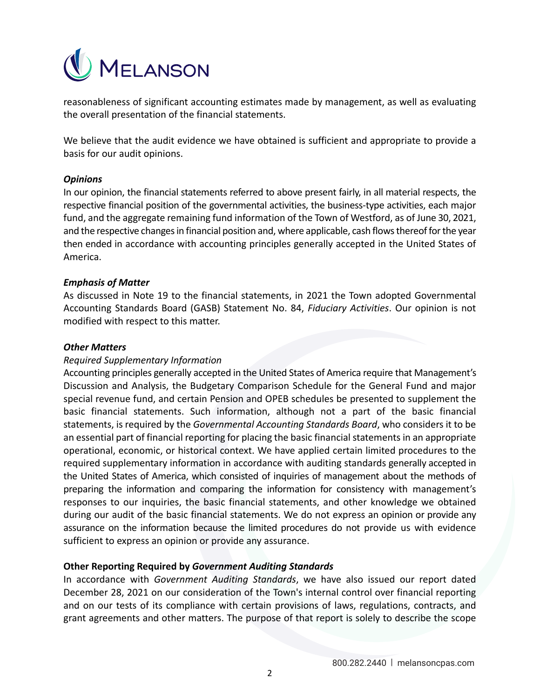

reasonableness of significant accounting estimates made by management, as well as evaluating the overall presentation of the financial statements.

We believe that the audit evidence we have obtained is sufficient and appropriate to provide a basis for our audit opinions.

## *Opinions*

In our opinion, the financial statements referred to above present fairly, in all material respects, the respective financial position of the governmental activities, the business-type activities, each major fund, and the aggregate remaining fund information of the Town of Westford, as of June 30, 2021, and the respective changes in financial position and, where applicable, cash flows thereof for the year then ended in accordance with accounting principles generally accepted in the United States of America.

## *Emphasis of Matter*

As discussed in Note 19 to the financial statements, in 2021 the Town adopted Governmental Accounting Standards Board (GASB) Statement No. 84, *Fiduciary Activities*. Our opinion is not modified with respect to this matter.

## *Other Matters*

## *Required Supplementary Information*

Accounting principles generally accepted in the United States of America require that Management's Discussion and Analysis, the Budgetary Comparison Schedule for the General Fund and major special revenue fund, and certain Pension and OPEB schedules be presented to supplement the basic financial statements. Such information, although not a part of the basic financial statements, is required by the *Governmental Accounting Standards Board*, who considers it to be an essential part of financial reporting for placing the basic financial statements in an appropriate operational, economic, or historical context. We have applied certain limited procedures to the required supplementary information in accordance with auditing standards generally accepted in the United States of America, which consisted of inquiries of management about the methods of preparing the information and comparing the information for consistency with management's responses to our inquiries, the basic financial statements, and other knowledge we obtained during our audit of the basic financial statements. We do not express an opinion or provide any assurance on the information because the limited procedures do not provide us with evidence sufficient to express an opinion or provide any assurance.

## **Other Reporting Required by** *Government Auditing Standards*

In accordance with *Government Auditing Standards*, we have also issued our report dated December 28, 2021 on our consideration of the Town's internal control over financial reporting and on our tests of its compliance with certain provisions of laws, regulations, contracts, and grant agreements and other matters. The purpose of that report is solely to describe the scope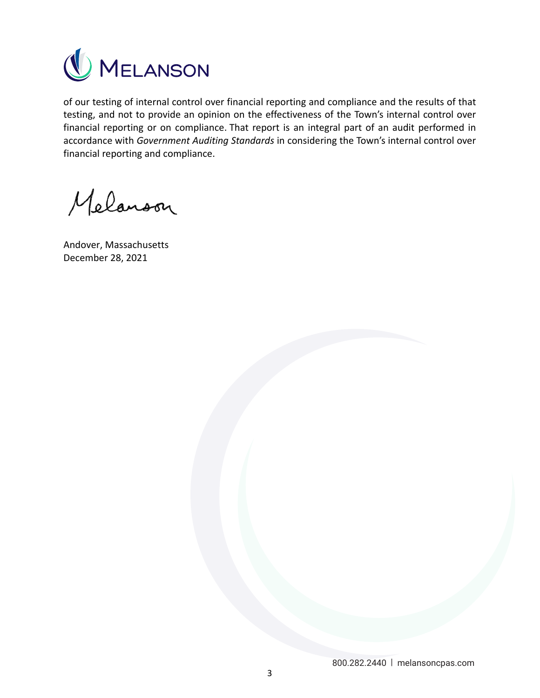

of our testing of internal control over financial reporting and compliance and the results of that testing, and not to provide an opinion on the effectiveness of the Town's internal control over financial reporting or on compliance. That report is an integral part of an audit performed in accordance with *Government Auditing Standards* in considering the Town's internal control over financial reporting and compliance.

Melanoon

Andover, Massachusetts December 28, 2021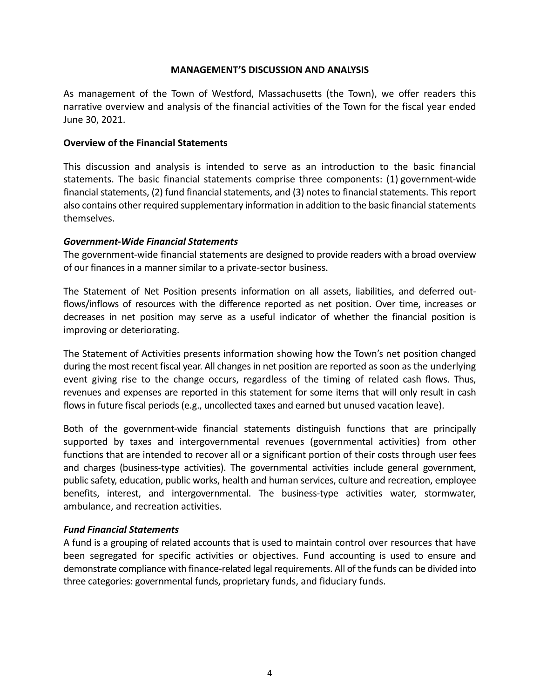## **MANAGEMENT'S DISCUSSION AND ANALYSIS**

As management of the Town of Westford, Massachusetts (the Town), we offer readers this narrative overview and analysis of the financial activities of the Town for the fiscal year ended June 30, 2021.

## **Overview of the Financial Statements**

This discussion and analysis is intended to serve as an introduction to the basic financial statements. The basic financial statements comprise three components: (1) government-wide financial statements, (2) fund financial statements, and (3) notes to financial statements. This report also contains other required supplementary information in addition to the basic financial statements themselves.

## *Government‐Wide Financial Statements*

The government‐wide financial statements are designed to provide readers with a broad overview of our finances in a manner similar to a private‐sector business.

The Statement of Net Position presents information on all assets, liabilities, and deferred outflows/inflows of resources with the difference reported as net position. Over time, increases or decreases in net position may serve as a useful indicator of whether the financial position is improving or deteriorating.

The Statement of Activities presents information showing how the Town's net position changed during the most recent fiscal year. All changes in net position are reported as soon as the underlying event giving rise to the change occurs, regardless of the timing of related cash flows. Thus, revenues and expenses are reported in this statement for some items that will only result in cash flows in future fiscal periods (e.g., uncollected taxes and earned but unused vacation leave).

Both of the government-wide financial statements distinguish functions that are principally supported by taxes and intergovernmental revenues (governmental activities) from other functions that are intended to recover all or a significant portion of their costs through user fees and charges (business‐type activities). The governmental activities include general government, public safety, education, public works, health and human services, culture and recreation, employee benefits, interest, and intergovernmental. The business-type activities water, stormwater, ambulance, and recreation activities.

## *Fund Financial Statements*

A fund is a grouping of related accounts that is used to maintain control over resources that have been segregated for specific activities or objectives. Fund accounting is used to ensure and demonstrate compliance with finance‐related legal requirements. All of the funds can be divided into three categories: governmental funds, proprietary funds, and fiduciary funds.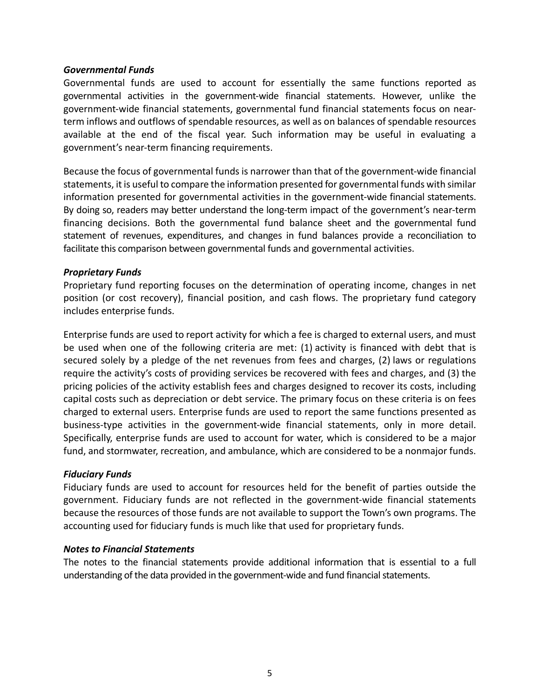## *Governmental Funds*

Governmental funds are used to account for essentially the same functions reported as governmental activities in the government-wide financial statements. However, unlike the government‐wide financial statements, governmental fund financial statements focus on near‐ term inflows and outflows of spendable resources, as well as on balances of spendable resources available at the end of the fiscal year. Such information may be useful in evaluating a government's near‐term financing requirements.

Because the focus of governmental funds is narrower than that of the government‐wide financial statements, it is useful to compare the information presented for governmental funds with similar information presented for governmental activities in the government‐wide financial statements. By doing so, readers may better understand the long-term impact of the government's near-term financing decisions. Both the governmental fund balance sheet and the governmental fund statement of revenues, expenditures, and changes in fund balances provide a reconciliation to facilitate this comparison between governmental funds and governmental activities.

## *Proprietary Funds*

Proprietary fund reporting focuses on the determination of operating income, changes in net position (or cost recovery), financial position, and cash flows. The proprietary fund category includes enterprise funds.

Enterprise funds are used to report activity for which a fee is charged to external users, and must be used when one of the following criteria are met: (1) activity is financed with debt that is secured solely by a pledge of the net revenues from fees and charges, (2) laws or regulations require the activity's costs of providing services be recovered with fees and charges, and (3) the pricing policies of the activity establish fees and charges designed to recover its costs, including capital costs such as depreciation or debt service. The primary focus on these criteria is on fees charged to external users. Enterprise funds are used to report the same functions presented as business-type activities in the government-wide financial statements, only in more detail. Specifically, enterprise funds are used to account for water, which is considered to be a major fund, and stormwater, recreation, and ambulance, which are considered to be a nonmajor funds.

## *Fiduciary Funds*

Fiduciary funds are used to account for resources held for the benefit of parties outside the government. Fiduciary funds are not reflected in the government-wide financial statements because the resources of those funds are not available to support the Town's own programs. The accounting used for fiduciary funds is much like that used for proprietary funds.

## *Notes to Financial Statements*

The notes to the financial statements provide additional information that is essential to a full understanding of the data provided in the government‐wide and fund financial statements.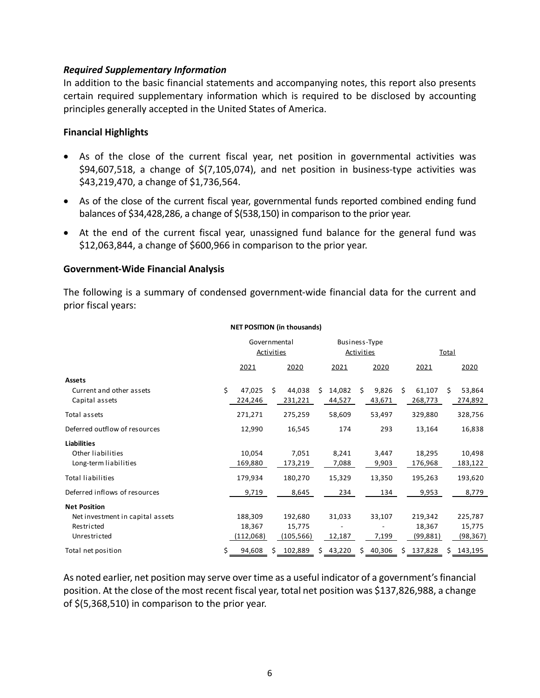## *Required Supplementary Information*

In addition to the basic financial statements and accompanying notes, this report also presents certain required supplementary information which is required to be disclosed by accounting principles generally accepted in the United States of America.

## **Financial Highlights**

- As of the close of the current fiscal year, net position in governmental activities was  $$94,607,518$ , a change of  $$(7,105,074)$ , and net position in business-type activities was \$43,219,470, a change of \$1,736,564.
- As of the close of the current fiscal year, governmental funds reported combined ending fund balances of \$34,428,286, a change of \$(538,150) in comparison to the prior year.
- At the end of the current fiscal year, unassigned fund balance for the general fund was \$12,063,844, a change of \$600,966 in comparison to the prior year.

## **Government‐Wide Financial Analysis**

The following is a summary of condensed government‐wide financial data for the current and prior fiscal years:

|                                            | Governmental<br><b>Activities</b> |    |                   | Business-Type<br><b>Activities</b> |                  |    |                 |    | <b>Total</b>      |   |                   |
|--------------------------------------------|-----------------------------------|----|-------------------|------------------------------------|------------------|----|-----------------|----|-------------------|---|-------------------|
|                                            | 2021                              |    | 2020              |                                    | 2021             |    | 2020            |    | 2021              |   | 2020              |
| <b>Assets</b>                              |                                   |    |                   |                                    |                  |    |                 |    |                   |   |                   |
| Current and other assets<br>Capital assets | \$<br>47,025<br>224,246           | Ś. | 44,038<br>231,221 | Ś.                                 | 14,082<br>44,527 | Ŝ. | 9,826<br>43,671 | Ś. | 61,107<br>268,773 | S | 53,864<br>274,892 |
| Total assets                               | 271,271                           |    | 275,259           |                                    | 58,609           |    | 53,497          |    | 329,880           |   | 328,756           |
| Deferred outflow of resources              | 12,990                            |    | 16,545            |                                    | 174              |    | 293             |    | 13,164            |   | 16,838            |
| <b>Liabilities</b>                         |                                   |    |                   |                                    |                  |    |                 |    |                   |   |                   |
| Other liabilities                          | 10,054                            |    | 7,051             |                                    | 8,241            |    | 3,447           |    | 18,295            |   | 10,498            |
| Long-term liabilities                      | 169,880                           |    | 173,219           |                                    | 7,088            |    | 9,903           |    | 176,968           |   | 183,122           |
| <b>Total liabilities</b>                   | 179,934                           |    | 180,270           |                                    | 15,329           |    | 13,350          |    | 195,263           |   | 193,620           |
| Deferred inflows of resources              | 9,719                             |    | 8,645             |                                    | 234              |    | 134             |    | 9,953             |   | 8,779             |
| <b>Net Position</b>                        |                                   |    |                   |                                    |                  |    |                 |    |                   |   |                   |
| Net investment in capital assets           | 188,309                           |    | 192,680           |                                    | 31,033           |    | 33,107          |    | 219,342           |   | 225,787           |
| Restricted                                 | 18,367                            |    | 15,775            |                                    |                  |    |                 |    | 18,367            |   | 15,775            |
| Unrestricted                               | (112,068)                         |    | (105, 566)        |                                    | 12,187           |    | 7,199           |    | (99, 881)         |   | (98, 367)         |
| Total net position                         | \$<br>94,608                      |    | 102,889           | S.                                 | 43,220           | Ś. | 40,306          |    | 137,828           |   | 143,195           |

### **NET POSITION (in thousands)**

As noted earlier, net position may serve over time as a useful indicator of a government's financial position. At the close of the most recent fiscal year, total net position was \$137,826,988, a change of \$(5,368,510) in comparison to the prior year.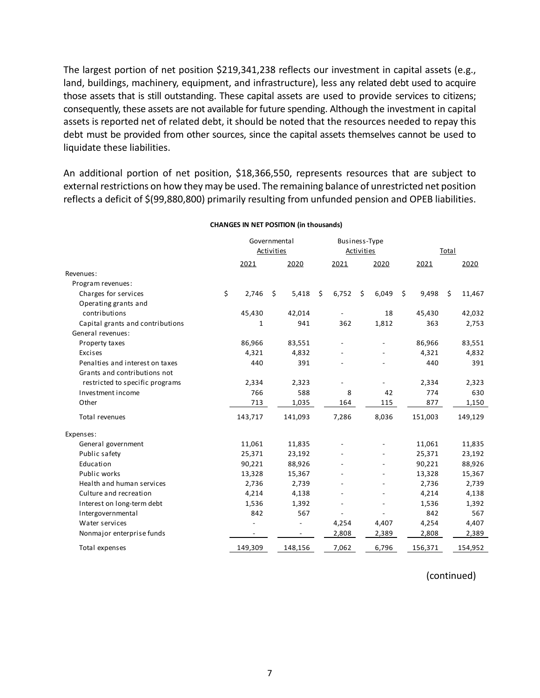The largest portion of net position \$219,341,238 reflects our investment in capital assets (e.g., land, buildings, machinery, equipment, and infrastructure), less any related debt used to acquire those assets that is still outstanding. These capital assets are used to provide services to citizens; consequently, these assets are not available for future spending. Although the investment in capital assets is reported net of related debt, it should be noted that the resources needed to repay this debt must be provided from other sources, since the capital assets themselves cannot be used to liquidate these liabilities.

An additional portion of net position, \$18,366,550, represents resources that are subject to external restrictions on how they may be used. The remaining balance of unrestricted net position reflects a deficit of \$(99,880,800) primarily resulting from unfunded pension and OPEB liabilities.

|                                  | Governmental      |                          |    |                          |    | Business-Type     |    |       |    |         |    |         |
|----------------------------------|-------------------|--------------------------|----|--------------------------|----|-------------------|----|-------|----|---------|----|---------|
|                                  | <b>Activities</b> |                          |    |                          |    | <b>Activities</b> |    |       |    | Total   |    |         |
|                                  |                   | 2021                     |    | 2020                     |    | 2021              |    | 2020  |    | 2021    |    | 2020    |
| Revenues:                        |                   |                          |    |                          |    |                   |    |       |    |         |    |         |
| Program revenues:                |                   |                          |    |                          |    |                   |    |       |    |         |    |         |
| Charges for services             | \$                | 2,746                    | \$ | 5,418                    | \$ | 6,752             | \$ | 6,049 | \$ | 9,498   | \$ | 11,467  |
| Operating grants and             |                   |                          |    |                          |    |                   |    |       |    |         |    |         |
| contributions                    |                   | 45,430                   |    | 42,014                   |    |                   |    | 18    |    | 45,430  |    | 42,032  |
| Capital grants and contributions |                   | 1                        |    | 941                      |    | 362               |    | 1,812 |    | 363     |    | 2,753   |
| General revenues:                |                   |                          |    |                          |    |                   |    |       |    |         |    |         |
| Property taxes                   |                   | 86,966                   |    | 83,551                   |    |                   |    |       |    | 86,966  |    | 83,551  |
| Excises                          |                   | 4,321                    |    | 4,832                    |    |                   |    |       |    | 4,321   |    | 4,832   |
| Penalties and interest on taxes  |                   | 440                      |    | 391                      |    |                   |    |       |    | 440     |    | 391     |
| Grants and contributions not     |                   |                          |    |                          |    |                   |    |       |    |         |    |         |
| restricted to specific programs  |                   | 2,334                    |    | 2,323                    |    |                   |    |       |    | 2,334   |    | 2,323   |
| Investment income                |                   | 766                      |    | 588                      |    | 8                 |    | 42    |    | 774     |    | 630     |
| Other                            |                   | 713                      |    | 1,035                    |    | 164               |    | 115   |    | 877     |    | 1,150   |
| Total revenues                   |                   | 143,717                  |    | 141,093                  |    | 7,286             |    | 8,036 |    | 151,003 |    | 149,129 |
| Expenses:                        |                   |                          |    |                          |    |                   |    |       |    |         |    |         |
| General government               |                   | 11,061                   |    | 11,835                   |    |                   |    |       |    | 11,061  |    | 11,835  |
| Public safety                    |                   | 25,371                   |    | 23,192                   |    |                   |    |       |    | 25,371  |    | 23,192  |
| Education                        |                   | 90,221                   |    | 88,926                   |    |                   |    |       |    | 90,221  |    | 88,926  |
| Public works                     |                   | 13,328                   |    | 15,367                   |    |                   |    |       |    | 13,328  |    | 15,367  |
| Health and human services        |                   | 2,736                    |    | 2,739                    |    |                   |    |       |    | 2,736   |    | 2,739   |
| Culture and recreation           |                   | 4,214                    |    | 4,138                    |    |                   |    |       |    | 4,214   |    | 4,138   |
| Interest on long-term debt       |                   | 1,536                    |    | 1,392                    |    |                   |    |       |    | 1,536   |    | 1,392   |
| Intergovernmental                |                   | 842                      |    | 567                      |    |                   |    |       |    | 842     |    | 567     |
| Water services                   |                   |                          |    |                          |    | 4,254             |    | 4,407 |    | 4,254   |    | 4,407   |
| Nonmajor enterprise funds        |                   | $\overline{\phantom{a}}$ |    | $\overline{\phantom{a}}$ |    | 2,808             |    | 2,389 |    | 2,808   |    | 2,389   |
| Total expenses                   |                   | 149,309                  |    | 148,156                  |    | 7,062             |    | 6,796 |    | 156,371 |    | 154,952 |

#### **CHANGES IN NET POSITION (in thousands)**

(continued)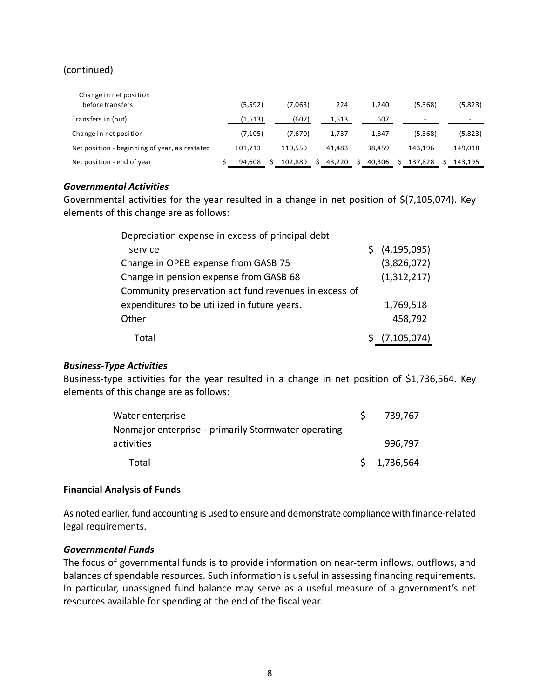## (continued)

| Change in net position<br>before transfers    | (5, 592) | (7,063) | 224    | 1.240  | (5,368) | (5,823) |
|-----------------------------------------------|----------|---------|--------|--------|---------|---------|
| Transfers in (out)                            | (1,513)  | (607)   | 1,513  | 607    |         |         |
| Change in net position                        | (7, 105) | (7,670) | 1.737  | 1.847  | (5,368) | (5,823) |
| Net position - beginning of year, as restated | 101.713  | 110.559 | 41.483 | 38.459 | 143.196 | 149,018 |
| Net position - end of year                    | 94,608   | 102,889 | 43,220 | 40,306 | 137,828 | 143,195 |

## *Governmental Activities*

Governmental activities for the year resulted in a change in net position of \$(7,105,074). Key elements of this change are as follows:

| Depreciation expense in excess of principal debt      |                           |
|-------------------------------------------------------|---------------------------|
| service                                               | $\frac{1}{2}$ (4,195,095) |
| Change in OPEB expense from GASB 75                   | (3,826,072)               |
| Change in pension expense from GASB 68                | (1,312,217)               |
| Community preservation act fund revenues in excess of |                           |
| expenditures to be utilized in future years.          | 1,769,518                 |
| Other                                                 | 458,792                   |
| Total                                                 | \$ (7,105,074)            |

## *Business‐Type Activities*

Business-type activities for the year resulted in a change in net position of \$1,736,564. Key elements of this change are as follows:

| Water enterprise                                     | 739,767     |
|------------------------------------------------------|-------------|
| Nonmajor enterprise - primarily Stormwater operating |             |
| activities                                           | 996,797     |
| Total                                                | \$1,736,564 |

## **Financial Analysis of Funds**

As noted earlier, fund accounting is used to ensure and demonstrate compliance with finance‐related legal requirements.

## *Governmental Funds*

The focus of governmental funds is to provide information on near-term inflows, outflows, and balances of spendable resources. Such information is useful in assessing financing requirements. In particular, unassigned fund balance may serve as a useful measure of a government's net resources available for spending at the end of the fiscal year.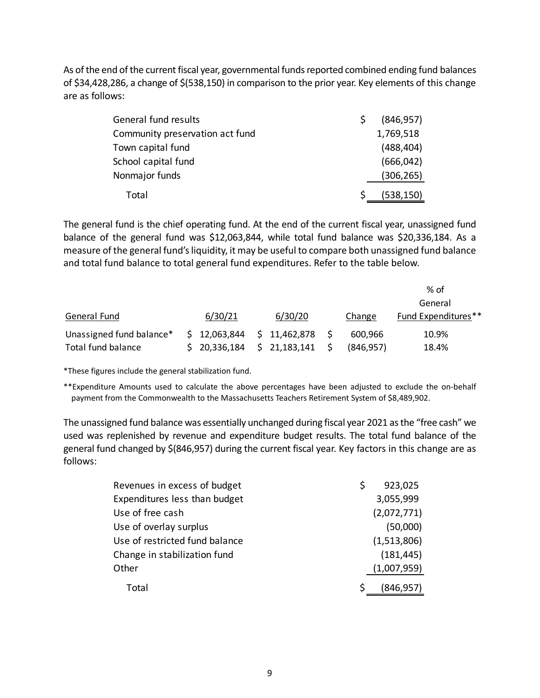As of the end of the current fiscal year, governmental funds reported combined ending fund balances of \$34,428,286, a change of \$(538,150) in comparison to the prior year. Key elements of this change are as follows:

| General fund results            | (846, 957) |
|---------------------------------|------------|
| Community preservation act fund | 1,769,518  |
| Town capital fund               | (488, 404) |
| School capital fund             | (666, 042) |
| Nonmajor funds                  | (306, 265) |
| Total                           | (538, 150) |

The general fund is the chief operating fund. At the end of the current fiscal year, unassigned fund balance of the general fund was \$12,063,844, while total fund balance was \$20,336,184. As a measure of the general fund's liquidity, it may be useful to compare both unassigned fund balance and total fund balance to total general fund expenditures. Refer to the table below.

|                          |              |              |            | $%$ of              |
|--------------------------|--------------|--------------|------------|---------------------|
|                          |              |              |            | General             |
| General Fund             | 6/30/21      | 6/30/20      | Change     | Fund Expenditures** |
| Unassigned fund balance* | \$12,063,844 | \$11,462,878 | 600.966    | 10.9%               |
| Total fund balance       | \$20,336,184 | \$21,183,141 | (846, 957) | 18.4%               |

\*These figures include the general stabilization fund.

\*\*Expenditure Amounts used to calculate the above percentages have been adjusted to exclude the on‐behalf payment from the Commonwealth to the Massachusetts Teachers Retirement System of \$8,489,902.

The unassigned fund balance was essentially unchanged during fiscal year 2021 as the "free cash" we used was replenished by revenue and expenditure budget results. The total fund balance of the general fund changed by \$(846,957) during the current fiscal year. Key factors in this change are as follows:

| Revenues in excess of budget   | S | 923,025     |
|--------------------------------|---|-------------|
| Expenditures less than budget  |   | 3,055,999   |
| Use of free cash               |   | (2,072,771) |
| Use of overlay surplus         |   | (50,000)    |
| Use of restricted fund balance |   | (1,513,806) |
| Change in stabilization fund   |   | (181, 445)  |
| Other                          |   | (1,007,959) |
| Total                          |   | (846, 957)  |
|                                |   |             |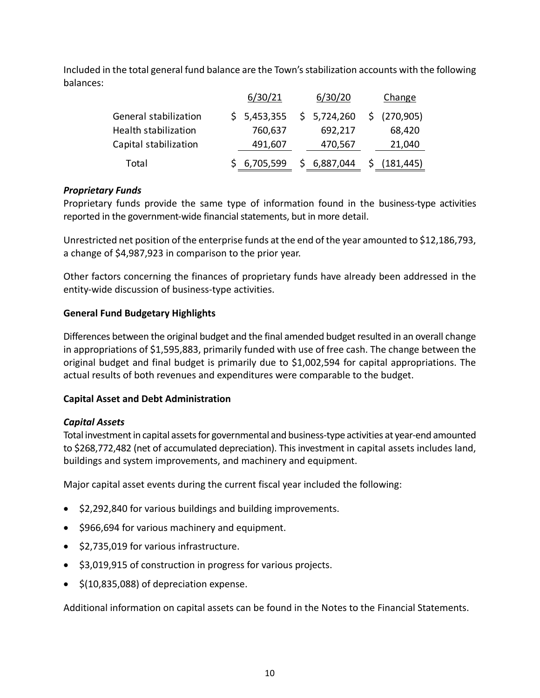Included in the total general fund balance are the Town's stabilization accounts with the following balances:

|                             | 6/30/21     | 6/30/20     | Change        |
|-----------------------------|-------------|-------------|---------------|
| General stabilization       | \$5,453,355 | \$5,724,260 | \$ (270,905)  |
| <b>Health stabilization</b> | 760,637     | 692,217     | 68,420        |
| Capital stabilization       | 491,607     | 470,567     | 21,040        |
| Total                       | \$6,705,599 | \$6,887,044 | \$ (181, 445) |

## *Proprietary Funds*

Proprietary funds provide the same type of information found in the business-type activities reported in the government‐wide financial statements, but in more detail.

Unrestricted net position of the enterprise funds at the end of the year amounted to \$12,186,793, a change of \$4,987,923 in comparison to the prior year.

Other factors concerning the finances of proprietary funds have already been addressed in the entity‐wide discussion of business‐type activities.

## **General Fund Budgetary Highlights**

Differences between the original budget and the final amended budget resulted in an overall change in appropriations of \$1,595,883, primarily funded with use of free cash. The change between the original budget and final budget is primarily due to \$1,002,594 for capital appropriations. The actual results of both revenues and expenditures were comparable to the budget.

## **Capital Asset and Debt Administration**

## *Capital Assets*

Total investment in capital assets for governmental and business-type activities at year-end amounted to \$268,772,482 (net of accumulated depreciation). This investment in capital assets includes land, buildings and system improvements, and machinery and equipment.

Major capital asset events during the current fiscal year included the following:

- \$2,292,840 for various buildings and building improvements.
- \$966,694 for various machinery and equipment.
- \$2,735,019 for various infrastructure.
- \$3,019,915 of construction in progress for various projects.
- $\bullet$  \$(10,835,088) of depreciation expense.

Additional information on capital assets can be found in the Notes to the Financial Statements.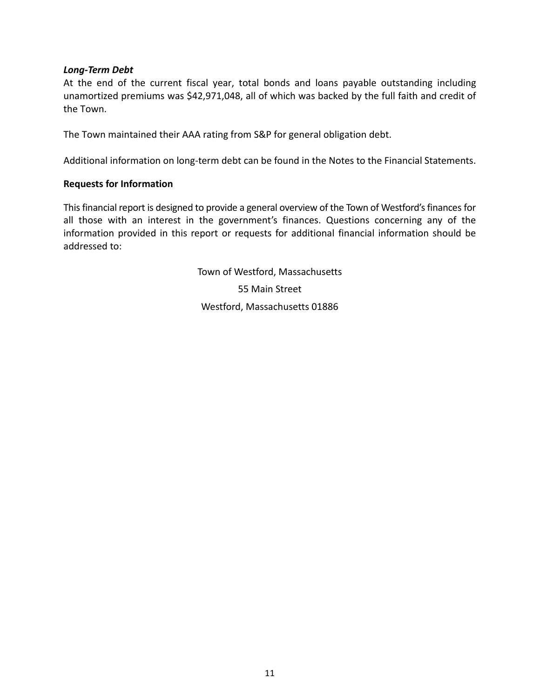## *Long‐Term Debt*

At the end of the current fiscal year, total bonds and loans payable outstanding including unamortized premiums was \$42,971,048, all of which was backed by the full faith and credit of the Town.

The Town maintained their AAA rating from S&P for general obligation debt.

Additional information on long‐term debt can be found in the Notes to the Financial Statements.

## **Requests for Information**

This financial report is designed to provide a general overview of the Town of Westford's finances for all those with an interest in the government's finances. Questions concerning any of the information provided in this report or requests for additional financial information should be addressed to:

> Town of Westford, Massachusetts 55 Main Street Westford, Massachusetts 01886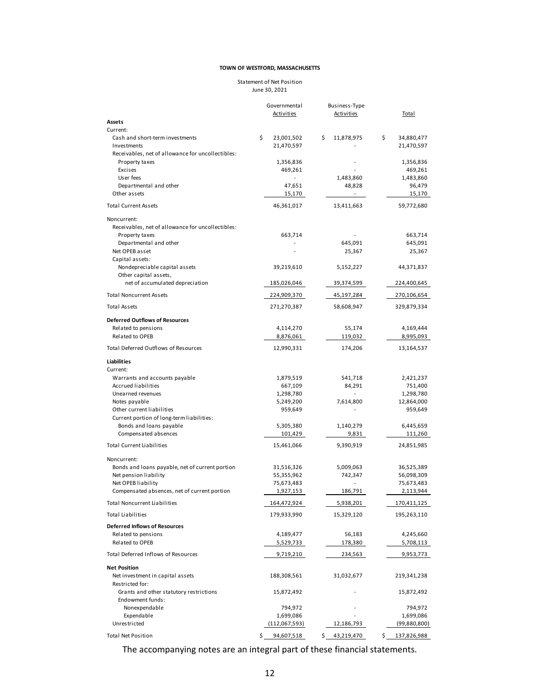#### Statement of Net Position June 30, 2021

|                                                             | Governmental           | Business-Type            |                               |
|-------------------------------------------------------------|------------------------|--------------------------|-------------------------------|
| Assets                                                      | <b>Activities</b>      | <b>Activities</b>        | <b>Total</b>                  |
| Current:                                                    |                        |                          |                               |
| Cash and short-term investments                             | \$<br>23,001,502       | \$<br>11,878,975         | \$<br>34,880,477              |
| Investments                                                 | 21,470,597             |                          | 21,470,597                    |
| Receivables, net of allowance for uncollectibles:           |                        |                          |                               |
| Property taxes<br>Excises                                   | 1,356,836<br>469,261   |                          | 1,356,836<br>469,261          |
| User fees                                                   |                        | 1,483,860                | 1,483,860                     |
| Departmental and other                                      | 47,651                 | 48,828                   | 96,479                        |
| Other assets                                                | 15,170                 |                          | 15,170                        |
| <b>Total Current Assets</b>                                 | 46,361,017             | 13,411,663               | 59,772,680                    |
| Noncurrent:                                                 |                        |                          |                               |
| Receivables, net of allowance for uncollectibles:           |                        |                          |                               |
| Property taxes                                              | 663,714                |                          | 663,714                       |
| Departmental and other                                      |                        | 645,091                  | 645,091                       |
| Net OPEB asset                                              |                        | 25,367                   | 25,367                        |
| Capital assets:<br>Nondepreciable capital assets            | 39,219,610             | 5,152,227                | 44,371,837                    |
| Other capital assets,                                       |                        |                          |                               |
| net of accumulated depreciation                             | 185,026,046            | 39,374,599               | 224,400,645                   |
| <b>Total Noncurrent Assets</b>                              | 224,909,370            | 45,197,284               | 270,106,654                   |
| <b>Total Assets</b>                                         | 271,270,387            | 58,608,947               | 329,879,334                   |
| <b>Deferred Outflows of Resources</b>                       |                        |                          |                               |
| Related to pensions                                         | 4,114,270              | 55,174                   | 4,169,444                     |
| Related to OPEB                                             | 8,876,061              | 119,032                  | 8,995,093                     |
| <b>Total Deferred Outflows of Resources</b>                 | 12,990,331             | 174,206                  | 13,164,537                    |
| Liabilities                                                 |                        |                          |                               |
| Current:                                                    |                        |                          |                               |
| Warrants and accounts payable                               | 1,879,519              | 541,718                  | 2,421,237                     |
| Accrued liabilities                                         | 667,109                | 84,291                   | 751,400                       |
| Unearned revenues<br>Notes payable                          | 1,298,780<br>5,249,200 | 7,614,800                | 1,298,780                     |
| Other current liabilities                                   | 959,649                |                          | 12,864,000<br>959,649         |
| Current portion of long-term liabilities:                   |                        |                          |                               |
| Bonds and loans payable                                     | 5,305,380              | 1,140,279                | 6,445,659                     |
| Compensated absences                                        | 101,429                | 9,831                    | 111,260                       |
| <b>Total Current Liabilities</b>                            | 15,461,066             | 9,390,919                | 24,851,985                    |
| Noncurrent:                                                 |                        |                          |                               |
| Bonds and loans payable, net of current portion             | 31,516,326             | 5,009,063                | 36,525,389                    |
| Net pension liability                                       | 55,355,962             | 742,347                  | 56,098,309                    |
| Net OPEB liability                                          | 75,673,483             |                          | 75,673,483                    |
| Compensated absences, net of current portion                | 1,927,153              | 186,791                  | 2,113,944                     |
| <b>Total Noncurrent Liabilities</b>                         | 164,472,924            | 5,938,201                | 170,411,125                   |
| <b>Total Liabilities</b>                                    | 179,933,990            | 15,329,120               | 195,263,110                   |
| <b>Deferred Inflows of Resources</b><br>Related to pensions |                        |                          |                               |
| Related to OPEB                                             | 4,189,477<br>5,529,733 | 56,183<br><u>178,380</u> | 4,245,660<br><u>5,708,113</u> |
| Total Deferred Inflows of Resources                         | 9,719,210              | 234,563                  | 9,953,773                     |
|                                                             |                        |                          |                               |
| <b>Net Position</b><br>Net investment in capital assets     | 188,308,561            | 31,032,677               | 219,341,238                   |
| Restricted for:                                             |                        |                          |                               |
| Grants and other statutory restrictions                     | 15,872,492             |                          | 15,872,492                    |
| Endowment funds:<br>Nonexpendable                           | 794,972                |                          | 794,972                       |
| Expendable                                                  | 1,699,086              |                          | 1,699,086                     |
| Unrestricted                                                | (112,067,593)          | <u>12,186,793 </u>       | (99,880,800)                  |
| <b>Total Net Position</b>                                   | \$<br>94,607,518       | 43,219,470<br>\$         | \$<br>137,826,988             |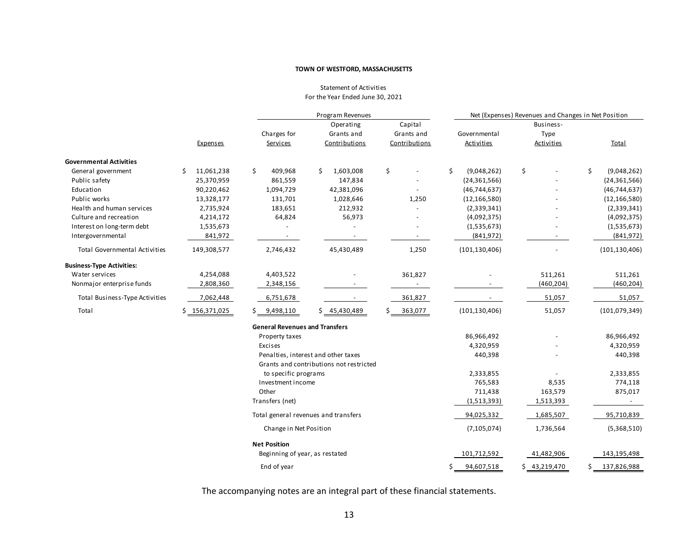#### Statement of Activities For the Year Ended June 30, 2021

|                                      |                  | Program Revenues                      |                                                                                |               | Net (Expenses) Revenues and Changes in Net Position |              |                   |  |
|--------------------------------------|------------------|---------------------------------------|--------------------------------------------------------------------------------|---------------|-----------------------------------------------------|--------------|-------------------|--|
|                                      |                  |                                       | Operating                                                                      | Capital       |                                                     | Business-    |                   |  |
|                                      |                  | Charges for                           | Grants and                                                                     | Grants and    | Governmental                                        | Type         |                   |  |
|                                      | Expenses         | Services                              | Contributions                                                                  | Contributions | Activities                                          | Activities   | <b>Total</b>      |  |
| <b>Governmental Activities</b>       |                  |                                       |                                                                                |               |                                                     |              |                   |  |
| General government                   | 11,061,238<br>\$ | \$<br>409,968                         | Ŝ.<br>1,603,008                                                                | \$            | \$<br>(9,048,262)                                   | \$           | \$<br>(9,048,262) |  |
| Public safety                        | 25,370,959       | 861,559                               | 147,834                                                                        |               | (24, 361, 566)                                      |              | (24, 361, 566)    |  |
| Education                            | 90,220,462       | 1,094,729                             | 42,381,096                                                                     |               | (46, 744, 637)                                      |              | (46, 744, 637)    |  |
| Public works                         | 13,328,177       | 131,701                               | 1,028,646                                                                      | 1,250         | (12, 166, 580)                                      |              | (12, 166, 580)    |  |
| Health and human services            | 2,735,924        | 183,651                               | 212,932                                                                        |               | (2,339,341)                                         |              | (2,339,341)       |  |
| Culture and recreation               | 4,214,172        | 64,824                                | 56,973                                                                         |               | (4,092,375)                                         |              | (4,092,375)       |  |
| Interest on long-term debt           | 1,535,673        |                                       |                                                                                |               | (1,535,673)                                         |              | (1,535,673)       |  |
| Intergovernmental                    | 841,972          |                                       |                                                                                |               | (841, 972)                                          |              | (841, 972)        |  |
| <b>Total Governmental Activities</b> | 149,308,577      | 2,746,432                             | 45,430,489                                                                     | 1,250         | (101, 130, 406)                                     |              | (101, 130, 406)   |  |
| <b>Business-Type Activities:</b>     |                  |                                       |                                                                                |               |                                                     |              |                   |  |
| Water services                       | 4,254,088        | 4,403,522                             |                                                                                | 361,827       |                                                     | 511,261      | 511,261           |  |
| Nonmajor enterprise funds            | 2,808,360        | 2,348,156                             |                                                                                |               |                                                     | (460, 204)   | (460, 204)        |  |
| Total Business-Type Activities       | 7,062,448        | 6,751,678                             |                                                                                | 361,827       |                                                     | 51,057       | 51,057            |  |
| Total                                | \$156,371,025    | 9,498,110                             | \$ 45,430,489                                                                  | 363,077       | (101, 130, 406)                                     | 51,057       | (101, 079, 349)   |  |
|                                      |                  | <b>General Revenues and Transfers</b> |                                                                                |               |                                                     |              |                   |  |
|                                      |                  | Property taxes                        |                                                                                |               | 86,966,492                                          |              | 86,966,492        |  |
|                                      |                  | Excises                               |                                                                                |               | 4,320,959                                           |              | 4,320,959         |  |
|                                      |                  |                                       | Penalties, interest and other taxes<br>Grants and contributions not restricted |               | 440,398                                             |              | 440,398           |  |
|                                      |                  | to specific programs                  |                                                                                |               | 2,333,855                                           |              | 2,333,855         |  |
|                                      |                  | Investment income                     |                                                                                |               | 765,583                                             | 8,535        | 774,118           |  |
|                                      |                  | Other                                 |                                                                                |               | 711,438                                             | 163,579      | 875,017           |  |
|                                      |                  | Transfers (net)                       |                                                                                |               | (1,513,393)                                         | 1,513,393    |                   |  |
|                                      |                  |                                       | Total general revenues and transfers                                           |               | 94,025,332                                          | 1,685,507    | 95,710,839        |  |
|                                      |                  | Change in Net Position                |                                                                                |               | (7, 105, 074)                                       | 1,736,564    | (5,368,510)       |  |
|                                      |                  | <b>Net Position</b>                   |                                                                                |               |                                                     |              |                   |  |
|                                      |                  | Beginning of year, as restated        |                                                                                |               | 101,712,592                                         | 41,482,906   | 143,195,498       |  |
|                                      |                  | End of year                           |                                                                                |               | 94,607,518                                          | \$43,219,470 | 137,826,988       |  |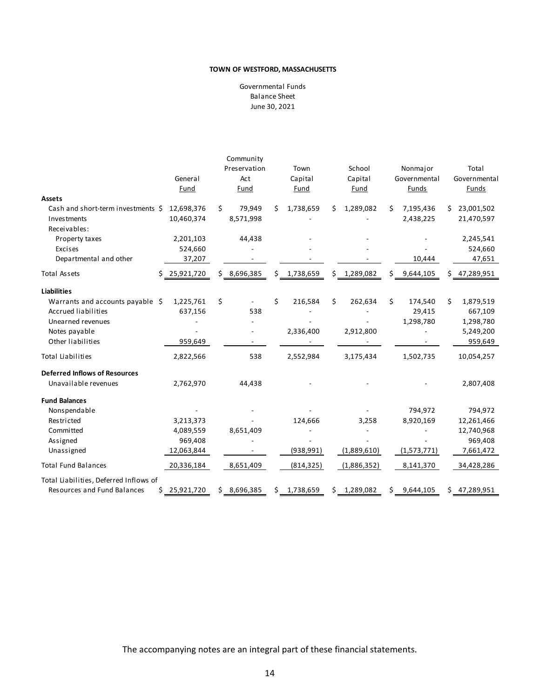Balance Sheet June 30, 2021 Governmental Funds

|                                        |                 | Community       |                 |                 |                 |                  |
|----------------------------------------|-----------------|-----------------|-----------------|-----------------|-----------------|------------------|
|                                        |                 | Preservation    | Town            | School          | Nonmajor        | Total            |
|                                        | General         | Act             | Capital         | Capital         | Governmental    | Governmental     |
|                                        | Fund            | Fund            | Fund            | Fund            | Funds           | <b>Funds</b>     |
| <b>Assets</b>                          |                 |                 |                 |                 |                 |                  |
| Cash and short-term investments \$     | 12,698,376      | Ś.<br>79,949    | 1,738,659<br>Ś. | 1,289,082<br>Ś. | Ś.<br>7,195,436 | 23,001,502<br>Ś. |
| Investments                            | 10,460,374      | 8,571,998       |                 |                 | 2,438,225       | 21,470,597       |
| Receivables:                           |                 |                 |                 |                 |                 |                  |
| Property taxes                         | 2,201,103       | 44,438          |                 |                 |                 | 2,245,541        |
| Excises                                | 524,660         |                 |                 |                 |                 | 524,660          |
| Departmental and other                 | 37,207          |                 |                 |                 | 10,444          | 47,651           |
| <b>Total Assets</b>                    | \$25,921,720    | \$8,696,385     | \$ 1,738,659    | \$ 1,289,082    | \$9,644,105     | 47,289,951<br>\$ |
| <b>Liabilities</b>                     |                 |                 |                 |                 |                 |                  |
| Warrants and accounts payable \$       | 1,225,761       | \$              | \$<br>216,584   | \$<br>262,634   | \$<br>174,540   | 1,879,519<br>\$  |
| <b>Accrued liabilities</b>             | 637,156         | 538             |                 |                 | 29,415          | 667,109          |
| Unearned revenues                      |                 |                 |                 |                 | 1,298,780       | 1,298,780        |
| Notes payable                          |                 |                 | 2,336,400       | 2,912,800       |                 | 5,249,200        |
| Other liabilities                      | 959,649         |                 |                 |                 |                 | 959,649          |
| <b>Total Liabilities</b>               | 2,822,566       | 538             | 2,552,984       | 3,175,434       | 1,502,735       | 10,054,257       |
| <b>Deferred Inflows of Resources</b>   |                 |                 |                 |                 |                 |                  |
| Unavailable revenues                   | 2,762,970       | 44,438          |                 |                 |                 | 2,807,408        |
| <b>Fund Balances</b>                   |                 |                 |                 |                 |                 |                  |
| Nonspendable                           |                 |                 |                 |                 | 794,972         | 794,972          |
| Restricted                             | 3,213,373       |                 | 124,666         | 3,258           | 8,920,169       | 12,261,466       |
| Committed                              | 4,089,559       | 8,651,409       |                 |                 |                 | 12,740,968       |
| Assigned                               | 969,408         |                 |                 |                 |                 | 969,408          |
| Unassigned                             | 12,063,844      |                 | (938, 991)      | (1,889,610)     | (1,573,771)     | 7,661,472        |
| <b>Total Fund Balances</b>             | 20,336,184      | 8,651,409       | (814, 325)      | (1,886,352)     | 8,141,370       | 34,428,286       |
| Total Liabilities, Deferred Inflows of |                 |                 |                 |                 |                 |                  |
| <b>Resources and Fund Balances</b>     | 25,921,720<br>Ś | 8,696,385<br>\$ | 1,738,659<br>\$ | 1,289,082<br>\$ | \$<br>9,644,105 | 47,289,951<br>Ś. |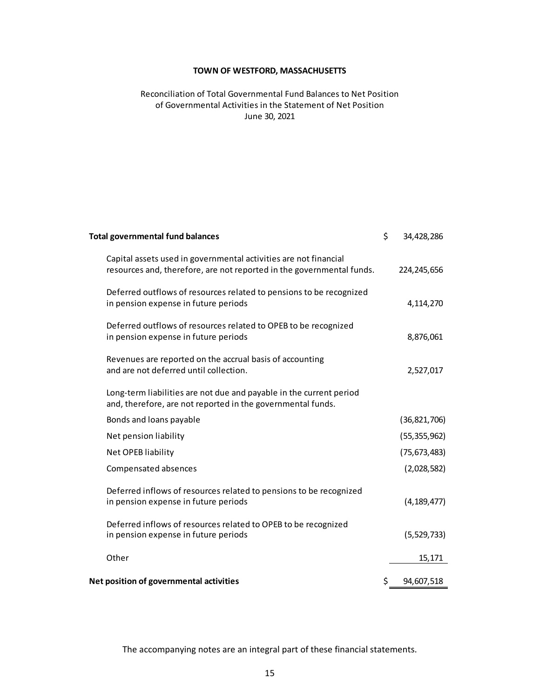## Reconciliation of Total Governmental Fund Balances to Net Position June 30, 2021 of Governmental Activities in the Statement of Net Position

| <b>Total governmental fund balances</b>                                                                                                   | \$ | 34,428,286     |
|-------------------------------------------------------------------------------------------------------------------------------------------|----|----------------|
| Capital assets used in governmental activities are not financial<br>resources and, therefore, are not reported in the governmental funds. |    | 224, 245, 656  |
| Deferred outflows of resources related to pensions to be recognized<br>in pension expense in future periods                               |    | 4,114,270      |
| Deferred outflows of resources related to OPEB to be recognized<br>in pension expense in future periods                                   |    | 8,876,061      |
| Revenues are reported on the accrual basis of accounting<br>and are not deferred until collection.                                        |    | 2,527,017      |
| Long-term liabilities are not due and payable in the current period<br>and, therefore, are not reported in the governmental funds.        |    |                |
| Bonds and loans payable                                                                                                                   |    | (36, 821, 706) |
| Net pension liability                                                                                                                     |    | (55, 355, 962) |
| Net OPEB liability                                                                                                                        |    | (75, 673, 483) |
| Compensated absences                                                                                                                      |    | (2,028,582)    |
| Deferred inflows of resources related to pensions to be recognized<br>in pension expense in future periods                                |    | (4, 189, 477)  |
| Deferred inflows of resources related to OPEB to be recognized<br>in pension expense in future periods                                    |    | (5,529,733)    |
| Other                                                                                                                                     |    | 15,171         |
| Net position of governmental activities                                                                                                   | Ś. | 94,607,518     |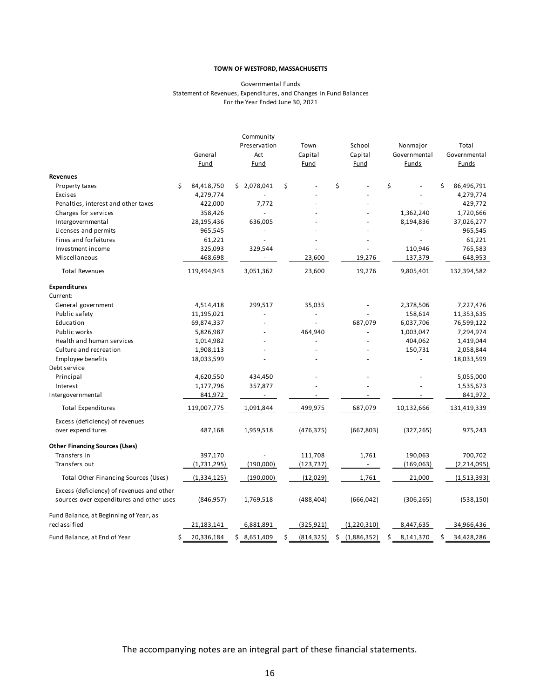#### Governmental Funds Statement of Revenues, Expenditures, and Changes in Fund Balances For the Year Ended June 30, 2021

|                                           | General<br><b>Fund</b> | Community<br>Preservation<br>Act<br>Fund | Town<br>Capital<br>Fund | School<br>Capital<br>Fund | Nonmajor<br>Governmental<br><b>Funds</b> | Total<br>Governmental<br><b>Funds</b> |
|-------------------------------------------|------------------------|------------------------------------------|-------------------------|---------------------------|------------------------------------------|---------------------------------------|
| <b>Revenues</b>                           |                        |                                          |                         |                           |                                          |                                       |
| Property taxes                            | Ś.<br>84,418,750       | \$2,078,041                              | \$                      | Ś                         | \$                                       | Ś<br>86,496,791                       |
| Excises                                   | 4,279,774              |                                          |                         |                           |                                          | 4,279,774                             |
| Penalties, interest and other taxes       | 422,000                | 7,772                                    |                         |                           |                                          | 429,772                               |
| Charges for services                      | 358,426                |                                          |                         |                           | 1,362,240                                | 1,720,666                             |
| Intergovernmental                         | 28,195,436             | 636,005                                  |                         |                           | 8,194,836                                | 37,026,277                            |
| Licenses and permits                      | 965,545                | $\overline{\phantom{a}}$                 |                         |                           | $\blacksquare$                           | 965,545                               |
| Fines and forfeitures                     | 61,221                 | ÷.                                       |                         |                           | ٠                                        | 61,221                                |
| Investment income                         | 325,093                | 329,544                                  |                         |                           | 110,946                                  | 765,583                               |
| Miscellaneous                             | 468,698                | $\blacksquare$                           | 23,600                  | 19,276                    | 137,379                                  | 648,953                               |
| <b>Total Revenues</b>                     | 119,494,943            | 3,051,362                                | 23,600                  | 19,276                    | 9,805,401                                | 132,394,582                           |
| <b>Expenditures</b>                       |                        |                                          |                         |                           |                                          |                                       |
| Current:                                  |                        |                                          |                         |                           |                                          |                                       |
| General government                        | 4,514,418              | 299,517                                  | 35,035                  |                           | 2,378,506                                | 7,227,476                             |
| Public safety                             | 11,195,021             |                                          |                         |                           | 158,614                                  | 11,353,635                            |
| Education                                 | 69,874,337             |                                          |                         | 687,079                   | 6,037,706                                | 76,599,122                            |
| Public works                              | 5,826,987              |                                          | 464,940                 |                           | 1,003,047                                | 7,294,974                             |
| Health and human services                 | 1,014,982              |                                          | ÷                       |                           | 404,062                                  | 1,419,044                             |
| Culture and recreation                    | 1,908,113              |                                          |                         |                           | 150,731                                  | 2,058,844                             |
| Employee benefits                         | 18,033,599             |                                          |                         |                           |                                          | 18,033,599                            |
| Debt service                              |                        |                                          |                         |                           |                                          |                                       |
| Principal                                 | 4,620,550              | 434,450                                  |                         |                           |                                          | 5,055,000                             |
| Interest                                  | 1,177,796              | 357,877                                  |                         |                           |                                          | 1,535,673                             |
| Intergovernmental                         | 841,972                |                                          |                         |                           |                                          | 841,972                               |
| <b>Total Expenditures</b>                 | 119,007,775            | 1,091,844                                | 499,975                 | 687,079                   | 10,132,666                               | 131,419,339                           |
| Excess (deficiency) of revenues           |                        |                                          |                         |                           |                                          |                                       |
| over expenditures                         | 487,168                | 1,959,518                                | (476, 375)              | (667, 803)                | (327, 265)                               | 975,243                               |
| <b>Other Financing Sources (Uses)</b>     |                        |                                          |                         |                           |                                          |                                       |
| Transfers in                              | 397,170                |                                          | 111,708                 | 1,761                     | 190,063                                  | 700,702                               |
| Transfers out                             | (1,731,295)            | (190,000)                                | (123, 737)              |                           | (169,063)                                | (2, 214, 095)                         |
| Total Other Financing Sources (Uses)      | (1, 334, 125)          | (190,000)                                | (12, 029)               | 1,761                     | 21,000                                   | (1,513,393)                           |
| Excess (deficiency) of revenues and other |                        |                                          |                         |                           |                                          |                                       |
| sources over expenditures and other uses  | (846, 957)             | 1,769,518                                | (488, 404)              | (666, 042)                | (306, 265)                               | (538, 150)                            |
| Fund Balance, at Beginning of Year, as    |                        |                                          |                         |                           |                                          |                                       |
| reclassified                              | 21,183,141             | 6,881,891                                | (325, 921)              | (1,220,310)               | 8,447,635                                | 34,966,436                            |
| Fund Balance, at End of Year              | Ś<br>20,336,184        | \$8,651,409                              | Ś<br>(814, 325)         | \$(1,886,352)             | Ś<br>8,141,370                           | Ś<br>34,428,286                       |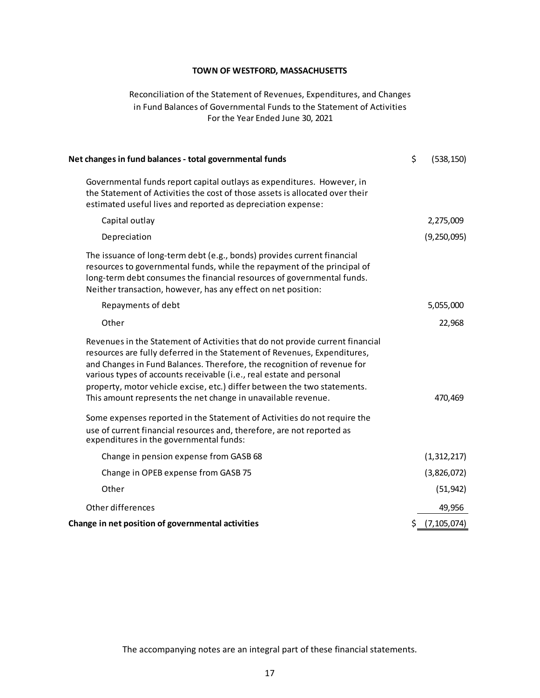## Reconciliation of the Statement of Revenues, Expenditures, and Changes For the Year Ended June 30, 2021 in Fund Balances of Governmental Funds to the Statement of Activities

| (538, 150)    |
|---------------|
|               |
| 2,275,009     |
| (9,250,095)   |
|               |
| 5,055,000     |
| 22,968        |
| 470,469       |
|               |
| (1,312,217)   |
| (3,826,072)   |
| (51, 942)     |
| 49,956        |
| (7, 105, 074) |
| \$            |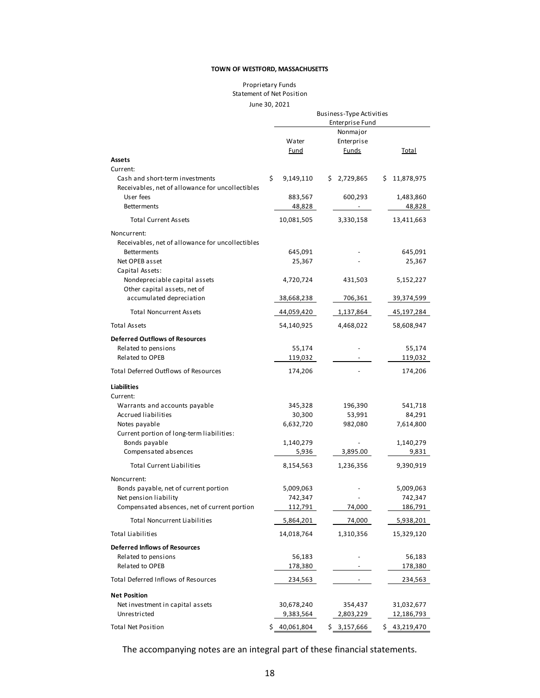#### Proprietary Funds Statement of Net Position June 30, 2021

|                                                                                     |    | Business-Type Activities |  |                        |   |              |
|-------------------------------------------------------------------------------------|----|--------------------------|--|------------------------|---|--------------|
|                                                                                     |    |                          |  | <b>Enterprise Fund</b> |   |              |
|                                                                                     |    |                          |  | Nonmajor               |   |              |
|                                                                                     |    | Water                    |  | Enterprise             |   |              |
|                                                                                     |    | Fund                     |  | <b>Funds</b>           |   | <b>Total</b> |
| Assets                                                                              |    |                          |  |                        |   |              |
| Current:                                                                            |    |                          |  |                        |   |              |
| Cash and short-term investments<br>Receivables, net of allowance for uncollectibles | \$ | 9,149,110                |  | \$2,729,865            | s | 11,878,975   |
| User fees                                                                           |    | 883,567                  |  | 600,293                |   | 1,483,860    |
| <b>Betterments</b>                                                                  |    | 48,828                   |  |                        |   | 48,828       |
| <b>Total Current Assets</b>                                                         |    | 10,081,505               |  | 3,330,158              |   | 13,411,663   |
| Noncurrent:                                                                         |    |                          |  |                        |   |              |
| Receivables, net of allowance for uncollectibles                                    |    |                          |  |                        |   |              |
| <b>Betterments</b>                                                                  |    | 645,091                  |  |                        |   | 645,091      |
| Net OPEB asset                                                                      |    | 25,367                   |  |                        |   | 25,367       |
| Capital Assets:                                                                     |    |                          |  |                        |   |              |
| Nondepreciable capital assets                                                       |    | 4,720,724                |  | 431,503                |   | 5,152,227    |
| Other capital assets, net of                                                        |    |                          |  |                        |   |              |
| accumulated depreciation                                                            |    | 38,668,238               |  | 706,361                |   | 39,374,599   |
| <b>Total Noncurrent Assets</b>                                                      |    | 44,059,420               |  | 1,137,864              |   | 45,197,284   |
| <b>Total Assets</b>                                                                 |    | 54,140,925               |  | 4,468,022              |   | 58,608,947   |
| <b>Deferred Outflows of Resources</b>                                               |    |                          |  |                        |   |              |
| Related to pensions                                                                 |    | 55,174                   |  |                        |   | 55,174       |
| Related to OPEB                                                                     |    | 119,032                  |  |                        |   | 119,032      |
| <b>Total Deferred Outflows of Resources</b>                                         |    | 174,206                  |  |                        |   | 174,206      |
| Liabilities                                                                         |    |                          |  |                        |   |              |
| Current:                                                                            |    |                          |  |                        |   |              |
| Warrants and accounts payable                                                       |    | 345,328                  |  | 196,390                |   | 541,718      |
| Accrued liabilities                                                                 |    | 30,300                   |  | 53,991                 |   | 84,291       |
| Notes payable                                                                       |    | 6,632,720                |  | 982,080                |   | 7,614,800    |
| Current portion of long-term liabilities:                                           |    |                          |  |                        |   |              |
| Bonds payable                                                                       |    | 1,140,279                |  |                        |   | 1,140,279    |
| Compensated absences                                                                |    | 5,936                    |  | 3,895.00               |   | 9,831        |
| <b>Total Current Liabilities</b>                                                    |    | 8,154,563                |  | 1,236,356              |   | 9,390,919    |
| Noncurrent:                                                                         |    |                          |  |                        |   |              |
| Bonds payable, net of current portion                                               |    | 5,009,063                |  |                        |   | 5,009,063    |
| Net pension liability                                                               |    | 742,347                  |  |                        |   | 742,347      |
| Compensated absences, net of current portion                                        |    | 112,791                  |  | 74,000                 |   | 186,791      |
| <b>Total Noncurrent Liabilities</b>                                                 |    | 5,864,201                |  | 74,000                 |   | 5,938,201    |
| Total Liabilities                                                                   |    | 14,018,764               |  | 1,310,356              |   | 15,329,120   |
| <b>Deferred Inflows of Resources</b>                                                |    |                          |  |                        |   |              |
| Related to pensions                                                                 |    | 56,183                   |  |                        |   | 56,183       |
| Related to OPEB                                                                     |    | 178,380                  |  |                        |   | 178,380      |
| <b>Total Deferred Inflows of Resources</b>                                          |    | 234,563                  |  |                        |   | 234,563      |
| <b>Net Position</b>                                                                 |    |                          |  |                        |   |              |
| Net investment in capital assets                                                    |    | 30,678,240               |  | 354,437                |   | 31,032,677   |
| Unrestricted                                                                        |    | 9,383,564                |  | 2,803,229              |   | 12,186,793   |
| <b>Total Net Position</b>                                                           | Ś  | 40,061,804               |  | \$3,157,666            |   | \$43,219,470 |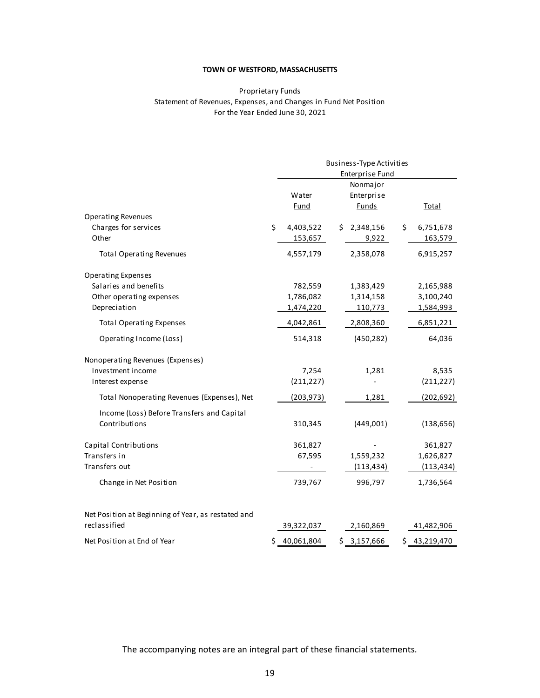#### Proprietary Funds Statement of Revenues, Expenses, and Changes in Fund Net Position For the Year Ended June 30, 2021

|                                                    |                  | Business-Type Activities |                  |
|----------------------------------------------------|------------------|--------------------------|------------------|
|                                                    |                  | Enterprise Fund          |                  |
|                                                    |                  | Nonmajor                 |                  |
|                                                    | Water            | Enterprise               |                  |
|                                                    | <b>Fund</b>      | <b>Funds</b>             | <b>Total</b>     |
| <b>Operating Revenues</b>                          |                  |                          |                  |
| Charges for services                               | \$<br>4,403,522  | \$2,348,156              | \$<br>6,751,678  |
| Other                                              | 153,657          | 9,922                    | 163,579          |
| <b>Total Operating Revenues</b>                    | 4,557,179        | 2,358,078                | 6,915,257        |
| Operating Expenses                                 |                  |                          |                  |
| Salaries and benefits                              | 782,559          | 1,383,429                | 2,165,988        |
| Other operating expenses                           | 1,786,082        | 1,314,158                | 3,100,240        |
| Depreciation                                       | 1,474,220        | 110,773                  | 1,584,993        |
| <b>Total Operating Expenses</b>                    | 4,042,861        | 2,808,360                | 6,851,221        |
| Operating Income (Loss)                            | 514,318          | (450, 282)               | 64,036           |
| Nonoperating Revenues (Expenses)                   |                  |                          |                  |
| Investment income                                  | 7,254            | 1,281                    | 8,535            |
| Interest expense                                   | (211, 227)       |                          | (211, 227)       |
| Total Nonoperating Revenues (Expenses), Net        | (203, 973)       | 1,281                    | (202, 692)       |
| Income (Loss) Before Transfers and Capital         |                  |                          |                  |
| Contributions                                      | 310,345          | (449,001)                | (138, 656)       |
| Capital Contributions                              | 361,827          |                          | 361,827          |
| Transfers in                                       | 67,595           | 1,559,232                | 1,626,827        |
| Transfers out                                      |                  | (113, 434)               | (113, 434)       |
| Change in Net Position                             | 739,767          | 996,797                  | 1,736,564        |
| Net Position at Beginning of Year, as restated and |                  |                          |                  |
| reclassified                                       | 39,322,037       | 2,160,869                | 41,482,906       |
| Net Position at End of Year                        | \$<br>40,061,804 | \$3,157,666              | \$<br>43,219,470 |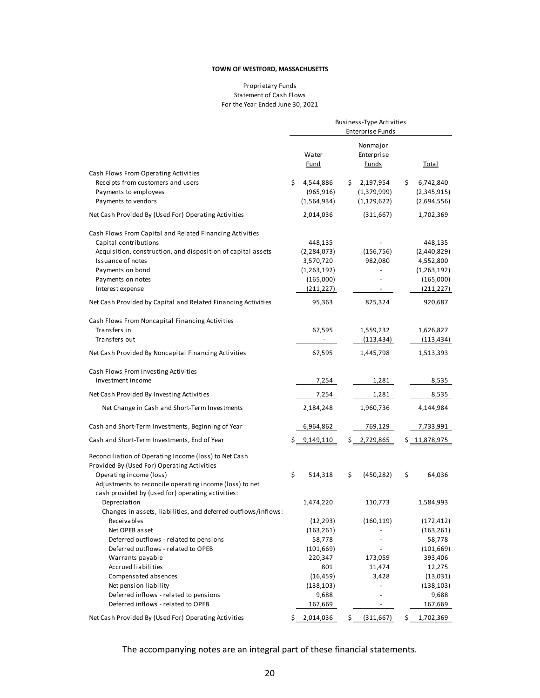#### Proprietary Funds Statement of Cash Flows For the Year Ended June 30, 2021

|                                                                                                                                                                                                                                     | Business-Type Activities<br><b>Enterprise Funds</b> |                                                                                 |     |                                           |    |                                                                               |
|-------------------------------------------------------------------------------------------------------------------------------------------------------------------------------------------------------------------------------------|-----------------------------------------------------|---------------------------------------------------------------------------------|-----|-------------------------------------------|----|-------------------------------------------------------------------------------|
| Cash Flows From Operating Activities                                                                                                                                                                                                |                                                     | Water<br><b>Fund</b>                                                            |     | Nonmajor<br>Enterprise<br><b>Funds</b>    |    | <b>Total</b>                                                                  |
| Receipts from customers and users<br>Payments to employees<br>Payments to vendors                                                                                                                                                   | \$.                                                 | 4,544,886<br>(965, 916)<br>(1,564,934)                                          | \$. | 2,197,954<br>(1,379,999)<br>(1, 129, 622) | \$ | 6,742,840<br>(2,345,915)<br>(2,694,556)                                       |
| Net Cash Provided By (Used For) Operating Activities                                                                                                                                                                                |                                                     | 2,014,036                                                                       |     | (311,667)                                 |    | 1,702,369                                                                     |
| Cash Flows From Capital and Related Financing Activities<br>Capital contributions<br>Acquisition, construction, and disposition of capital assets<br>Issuance of notes<br>Payments on bond<br>Payments on notes<br>Interest expense |                                                     | 448,135<br>(2, 284, 073)<br>3,570,720<br>(1,263,192)<br>(165,000)<br>(211, 227) |     | (156, 756)<br>982,080                     |    | 448,135<br>(2,440,829)<br>4,552,800<br>(1,263,192)<br>(165,000)<br>(211, 227) |
| Net Cash Provided by Capital and Related Financing Activities                                                                                                                                                                       |                                                     | 95,363                                                                          |     | 825,324                                   |    | 920,687                                                                       |
| Cash Flows From Noncapital Financing Activities<br>Transfers in<br>Transfers out                                                                                                                                                    |                                                     | 67,595                                                                          |     | 1,559,232<br>(113, 434)                   |    | 1,626,827<br>(113, 434)                                                       |
| Net Cash Provided By Noncapital Financing Activities                                                                                                                                                                                |                                                     | 67,595                                                                          |     | 1,445,798                                 |    | 1,513,393                                                                     |
| Cash Flows From Investing Activities<br>Investment income                                                                                                                                                                           |                                                     | 7,254                                                                           |     | 1,281                                     |    | 8,535                                                                         |
| Net Cash Provided By Investing Activities                                                                                                                                                                                           |                                                     | 7,254                                                                           |     | 1,281                                     |    | 8,535                                                                         |
| Net Change in Cash and Short-Term Investments                                                                                                                                                                                       |                                                     | 2,184,248                                                                       |     | 1,960,736                                 |    | 4,144,984                                                                     |
| Cash and Short-Term Investments, Beginning of Year                                                                                                                                                                                  |                                                     | 6,964,862                                                                       |     | 769,129                                   |    | 7,733,991                                                                     |
| Cash and Short-Term Investments, End of Year                                                                                                                                                                                        |                                                     | 9,149,110                                                                       |     | \$2,729,865                               |    | \$11,878,975                                                                  |
| Reconciliation of Operating Income (loss) to Net Cash<br>Provided By (Used For) Operating Activities<br>Operating income (loss)<br>Adjustments to reconcile operating income (loss) to net                                          | \$                                                  | 514,318                                                                         | \$  | (450, 282)                                | \$ | 64,036                                                                        |
| cash provided by (used for) operating activities:<br>Depreciation<br>Changes in assets, liabilities, and deferred outflows/inflows:                                                                                                 |                                                     | 1,474,220                                                                       |     | 110,773                                   |    | 1,584,993                                                                     |
| Receivables                                                                                                                                                                                                                         |                                                     | (12, 293)                                                                       |     | (160, 119)                                |    | (172, 412)                                                                    |
| Net OPEB asset                                                                                                                                                                                                                      |                                                     | (163, 261)                                                                      |     |                                           |    | (163, 261)                                                                    |
| Deferred outflows - related to pensions                                                                                                                                                                                             |                                                     | 58,778                                                                          |     |                                           |    | 58,778                                                                        |
| Deferred outflows - related to OPEB                                                                                                                                                                                                 |                                                     | (101, 669)                                                                      |     |                                           |    | (101, 669)                                                                    |
| Warrants payable                                                                                                                                                                                                                    |                                                     | 220,347                                                                         |     | 173,059                                   |    | 393,406                                                                       |
| Accrued liabilities                                                                                                                                                                                                                 |                                                     | 801                                                                             |     | 11,474                                    |    | 12,275                                                                        |
| Compensated absences                                                                                                                                                                                                                |                                                     | (16, 459)                                                                       |     | 3,428                                     |    | (13,031)                                                                      |
| Net pension liability<br>Deferred inflows - related to pensions                                                                                                                                                                     |                                                     | (138, 103)<br>9,688                                                             |     |                                           |    | (138, 103)                                                                    |
| Deferred inflows - related to OPEB                                                                                                                                                                                                  |                                                     | 167,669                                                                         |     |                                           |    | 9,688<br>167,669                                                              |
| Net Cash Provided By (Used For) Operating Activities                                                                                                                                                                                | \$.                                                 | 2,014,036                                                                       | \$  | (311, 667)                                | \$ | 1,702,369                                                                     |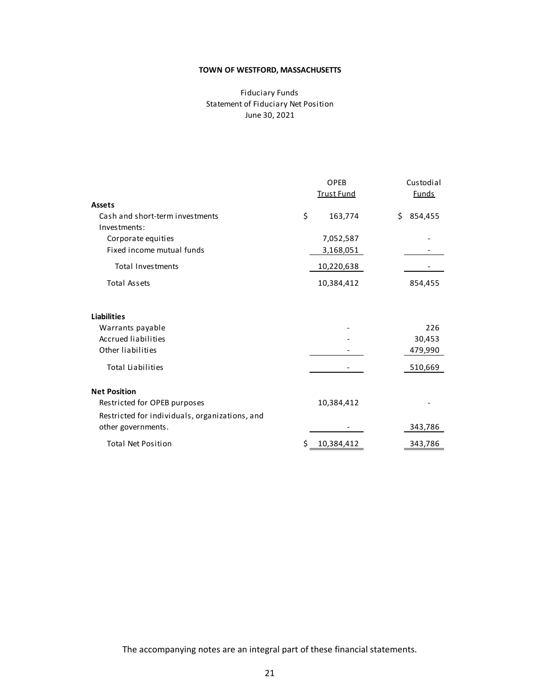## Fiduciary Funds Statement of Fiduciary Net Position June 30, 2021

|                                                                      | OPEB<br><b>Trust Fund</b> |     | Custodial<br><b>Funds</b> |
|----------------------------------------------------------------------|---------------------------|-----|---------------------------|
| Assets                                                               |                           |     |                           |
| Cash and short-term investments<br>Investments:                      | \$<br>163,774             | \$. | 854,455                   |
| Corporate equities                                                   | 7,052,587                 |     |                           |
| Fixed income mutual funds                                            | 3,168,051                 |     |                           |
| <b>Total Investments</b>                                             | 10,220,638                |     |                           |
| <b>Total Assets</b>                                                  | 10,384,412                |     | 854,455                   |
| <b>Liabilities</b>                                                   |                           |     |                           |
| Warrants payable                                                     |                           |     | 226                       |
| <b>Accrued liabilities</b><br>Other liabilities                      |                           |     | 30,453                    |
|                                                                      |                           |     | 479,990                   |
| <b>Total Liabilities</b>                                             |                           |     | 510,669                   |
| <b>Net Position</b>                                                  |                           |     |                           |
| Restricted for OPEB purposes                                         | 10,384,412                |     |                           |
| Restricted for individuals, organizations, and<br>other governments. |                           |     | 343,786                   |
| <b>Total Net Position</b>                                            | \$<br>10,384,412          |     | 343,786                   |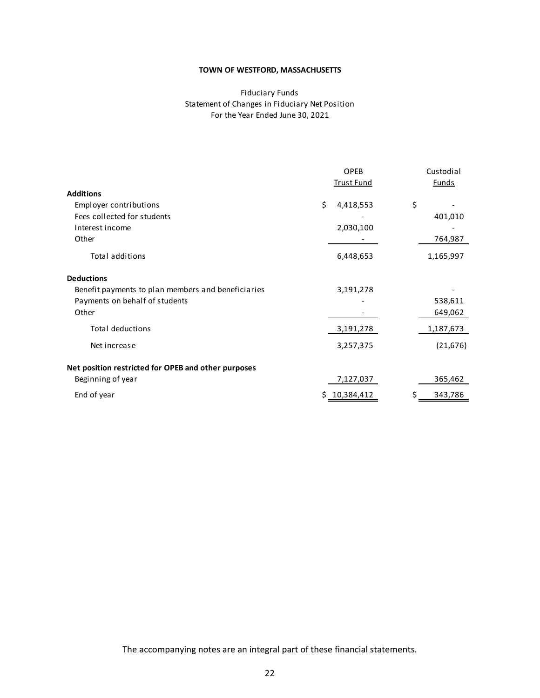## Fiduciary Funds Statement of Changes in Fiduciary Net Position For the Year Ended June 30, 2021

|                                                     |    | <b>OPEB</b><br><b>Trust Fund</b> | Custodial<br><u>Funds</u> |
|-----------------------------------------------------|----|----------------------------------|---------------------------|
| <b>Additions</b>                                    |    |                                  |                           |
| Employer contributions                              | \$ | 4,418,553                        | \$                        |
| Fees collected for students                         |    |                                  | 401,010                   |
| Interest income                                     |    | 2,030,100                        |                           |
| Other                                               |    |                                  | 764,987                   |
| <b>Total additions</b>                              |    | 6,448,653                        | 1,165,997                 |
| <b>Deductions</b>                                   |    |                                  |                           |
| Benefit payments to plan members and beneficiaries  |    | 3,191,278                        |                           |
| Payments on behalf of students                      |    |                                  | 538,611                   |
| Other                                               |    |                                  | 649,062                   |
| <b>Total deductions</b>                             |    | 3,191,278                        | 1,187,673                 |
| Net increase                                        |    | 3,257,375                        | (21, 676)                 |
| Net position restricted for OPEB and other purposes |    |                                  |                           |
| Beginning of year                                   |    | 7,127,037                        | 365,462                   |
| End of year                                         | S  | 10,384,412                       | 343,786                   |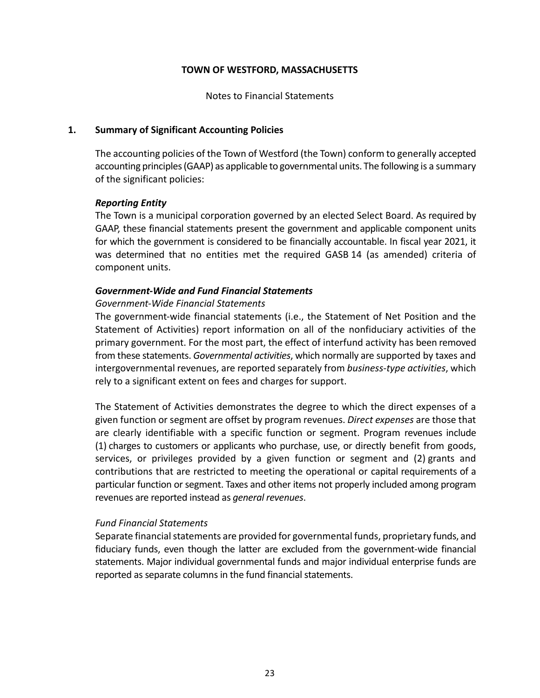Notes to Financial Statements

## **1. Summary of Significant Accounting Policies**

The accounting policies of the Town of Westford (the Town) conform to generally accepted accounting principles (GAAP) as applicable to governmental units. The following is a summary of the significant policies:

## *Reporting Entity*

The Town is a municipal corporation governed by an elected Select Board. As required by GAAP, these financial statements present the government and applicable component units for which the government is considered to be financially accountable. In fiscal year 2021, it was determined that no entities met the required GASB 14 (as amended) criteria of component units.

## *Government‐Wide and Fund Financial Statements*

## *Government‐Wide Financial Statements*

The government-wide financial statements (i.e., the Statement of Net Position and the Statement of Activities) report information on all of the nonfiduciary activities of the primary government. For the most part, the effect of interfund activity has been removed from these statements. *Governmental activities*, which normally are supported by taxes and intergovernmental revenues, are reported separately from *business‐type activities*, which rely to a significant extent on fees and charges for support.

The Statement of Activities demonstrates the degree to which the direct expenses of a given function or segment are offset by program revenues. *Direct expenses* are those that are clearly identifiable with a specific function or segment. Program revenues include (1) charges to customers or applicants who purchase, use, or directly benefit from goods, services, or privileges provided by a given function or segment and (2) grants and contributions that are restricted to meeting the operational or capital requirements of a particular function or segment. Taxes and other items not properly included among program revenues are reported instead as *general revenues*.

## *Fund Financial Statements*

Separate financial statements are provided for governmental funds, proprietary funds, and fiduciary funds, even though the latter are excluded from the government-wide financial statements. Major individual governmental funds and major individual enterprise funds are reported as separate columns in the fund financial statements.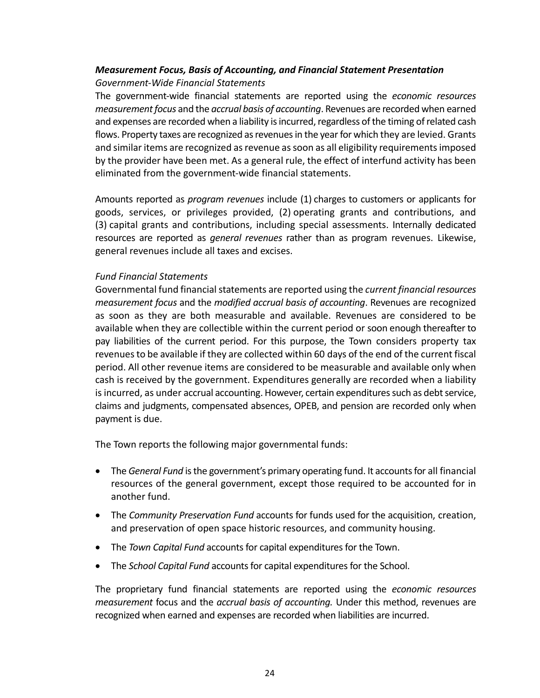## *Measurement Focus, Basis of Accounting, and Financial Statement Presentation Government‐Wide Financial Statements*

The government‐wide financial statements are reported using the *economic resources measurement focus* and the *accrual basis of accounting*. Revenues are recorded when earned and expenses are recorded when a liability is incurred, regardless of the timing of related cash flows. Property taxes are recognized as revenues in the year for which they are levied. Grants and similar items are recognized as revenue as soon as all eligibility requirements imposed by the provider have been met. As a general rule, the effect of interfund activity has been eliminated from the government‐wide financial statements.

Amounts reported as *program revenues* include (1) charges to customers or applicants for goods, services, or privileges provided, (2) operating grants and contributions, and (3) capital grants and contributions, including special assessments. Internally dedicated resources are reported as *general revenues* rather than as program revenues. Likewise, general revenues include all taxes and excises.

## *Fund Financial Statements*

Governmental fund financial statements are reported using the *current financial resources measurement focus* and the *modified accrual basis of accounting*. Revenues are recognized as soon as they are both measurable and available. Revenues are considered to be available when they are collectible within the current period or soon enough thereafter to pay liabilities of the current period. For this purpose, the Town considers property tax revenues to be available if they are collected within 60 days of the end of the current fiscal period. All other revenue items are considered to be measurable and available only when cash is received by the government. Expenditures generally are recorded when a liability is incurred, as under accrual accounting. However, certain expenditures such as debt service, claims and judgments, compensated absences, OPEB, and pension are recorded only when payment is due.

The Town reports the following major governmental funds:

- The *General Fund* is the government's primary operating fund. It accounts for all financial resources of the general government, except those required to be accounted for in another fund.
- The *Community Preservation Fund* accounts for funds used for the acquisition, creation, and preservation of open space historic resources, and community housing.
- The *Town Capital Fund* accounts for capital expenditures for the Town.
- The *School Capital Fund* accounts for capital expenditures for the School.

The proprietary fund financial statements are reported using the *economic resources measurement* focus and the *accrual basis of accounting.* Under this method, revenues are recognized when earned and expenses are recorded when liabilities are incurred.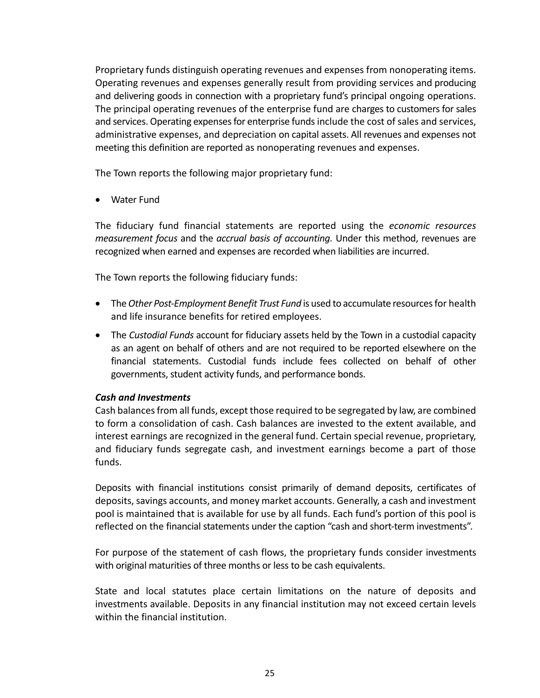Proprietary funds distinguish operating revenues and expenses from nonoperating items. Operating revenues and expenses generally result from providing services and producing and delivering goods in connection with a proprietary fund's principal ongoing operations. The principal operating revenues of the enterprise fund are charges to customers for sales and services. Operating expenses for enterprise funds include the cost of sales and services, administrative expenses, and depreciation on capital assets. All revenues and expenses not meeting this definition are reported as nonoperating revenues and expenses.

The Town reports the following major proprietary fund:

Water Fund

The fiduciary fund financial statements are reported using the *economic resources measurement focus* and the *accrual basis of accounting.* Under this method, revenues are recognized when earned and expenses are recorded when liabilities are incurred.

The Town reports the following fiduciary funds:

- The *Other Post-Employment Benefit Trust Fund* is used to accumulate resources for health and life insurance benefits for retired employees.
- The *Custodial Funds* account for fiduciary assets held by the Town in a custodial capacity as an agent on behalf of others and are not required to be reported elsewhere on the financial statements. Custodial funds include fees collected on behalf of other governments, student activity funds, and performance bonds.

## *Cash and Investments*

Cash balances from all funds, except those required to be segregated by law, are combined to form a consolidation of cash. Cash balances are invested to the extent available, and interest earnings are recognized in the general fund. Certain special revenue, proprietary, and fiduciary funds segregate cash, and investment earnings become a part of those funds.

Deposits with financial institutions consist primarily of demand deposits, certificates of deposits, savings accounts, and money market accounts. Generally, a cash and investment pool is maintained that is available for use by all funds. Each fund's portion of this pool is reflected on the financial statements under the caption "cash and short-term investments".

For purpose of the statement of cash flows, the proprietary funds consider investments with original maturities of three months or less to be cash equivalents.

State and local statutes place certain limitations on the nature of deposits and investments available. Deposits in any financial institution may not exceed certain levels within the financial institution.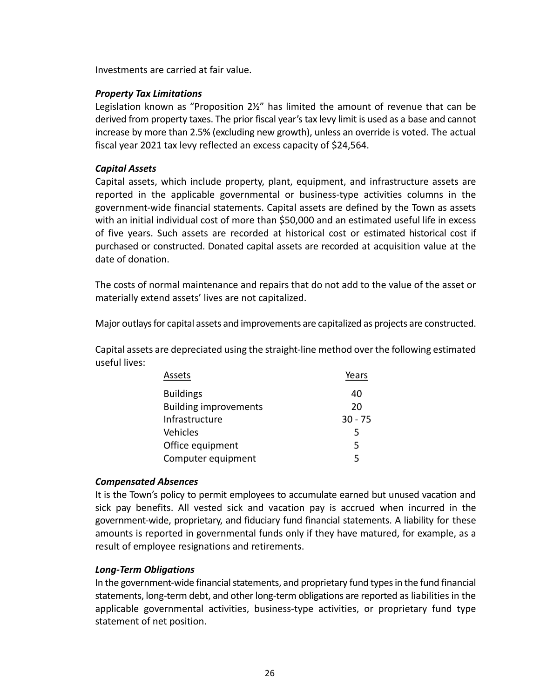Investments are carried at fair value.

## *Property Tax Limitations*

Legislation known as "Proposition 2½" has limited the amount of revenue that can be derived from property taxes. The prior fiscal year's tax levy limit is used as a base and cannot increase by more than 2.5% (excluding new growth), unless an override is voted. The actual fiscal year 2021 tax levy reflected an excess capacity of \$24,564.

## *Capital Assets*

Capital assets, which include property, plant, equipment, and infrastructure assets are reported in the applicable governmental or business‐type activities columns in the government‐wide financial statements. Capital assets are defined by the Town as assets with an initial individual cost of more than \$50,000 and an estimated useful life in excess of five years. Such assets are recorded at historical cost or estimated historical cost if purchased or constructed. Donated capital assets are recorded at acquisition value at the date of donation.

The costs of normal maintenance and repairs that do not add to the value of the asset or materially extend assets' lives are not capitalized.

Major outlays for capital assets and improvements are capitalized as projects are constructed.

Capital assets are depreciated using the straight‐line method over the following estimated useful lives:

| Assets                       | Years     |
|------------------------------|-----------|
| <b>Buildings</b>             | 40        |
| <b>Building improvements</b> | 20        |
| Infrastructure               | $30 - 75$ |
| Vehicles                     | 5         |
| Office equipment             | 5         |
| Computer equipment           | 5         |

## *Compensated Absences*

It is the Town's policy to permit employees to accumulate earned but unused vacation and sick pay benefits. All vested sick and vacation pay is accrued when incurred in the government‐wide, proprietary, and fiduciary fund financial statements. A liability for these amounts is reported in governmental funds only if they have matured, for example, as a result of employee resignations and retirements.

## *Long‐Term Obligations*

In the government‐wide financial statements, and proprietary fund types in the fund financial statements, long‐term debt, and other long‐term obligations are reported as liabilities in the applicable governmental activities, business‐type activities, or proprietary fund type statement of net position.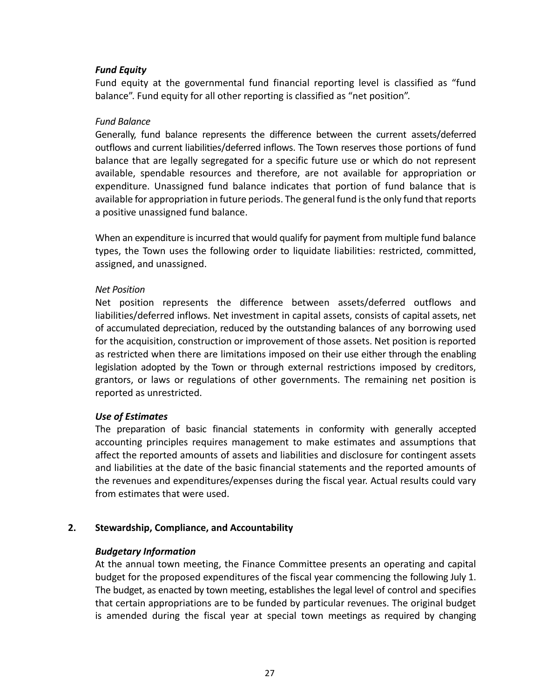## *Fund Equity*

Fund equity at the governmental fund financial reporting level is classified as "fund balance". Fund equity for all other reporting is classified as "net position".

## *Fund Balance*

Generally, fund balance represents the difference between the current assets/deferred outflows and current liabilities/deferred inflows. The Town reserves those portions of fund balance that are legally segregated for a specific future use or which do not represent available, spendable resources and therefore, are not available for appropriation or expenditure. Unassigned fund balance indicates that portion of fund balance that is available for appropriation in future periods. The general fund is the only fund that reports a positive unassigned fund balance.

When an expenditure is incurred that would qualify for payment from multiple fund balance types, the Town uses the following order to liquidate liabilities: restricted, committed, assigned, and unassigned.

## *Net Position*

Net position represents the difference between assets/deferred outflows and liabilities/deferred inflows. Net investment in capital assets, consists of capital assets, net of accumulated depreciation, reduced by the outstanding balances of any borrowing used for the acquisition, construction or improvement of those assets. Net position is reported as restricted when there are limitations imposed on their use either through the enabling legislation adopted by the Town or through external restrictions imposed by creditors, grantors, or laws or regulations of other governments. The remaining net position is reported as unrestricted.

## *Use of Estimates*

The preparation of basic financial statements in conformity with generally accepted accounting principles requires management to make estimates and assumptions that affect the reported amounts of assets and liabilities and disclosure for contingent assets and liabilities at the date of the basic financial statements and the reported amounts of the revenues and expenditures/expenses during the fiscal year. Actual results could vary from estimates that were used.

## **2. Stewardship, Compliance, and Accountability**

## *Budgetary Information*

At the annual town meeting, the Finance Committee presents an operating and capital budget for the proposed expenditures of the fiscal year commencing the following July 1. The budget, as enacted by town meeting, establishes the legal level of control and specifies that certain appropriations are to be funded by particular revenues. The original budget is amended during the fiscal year at special town meetings as required by changing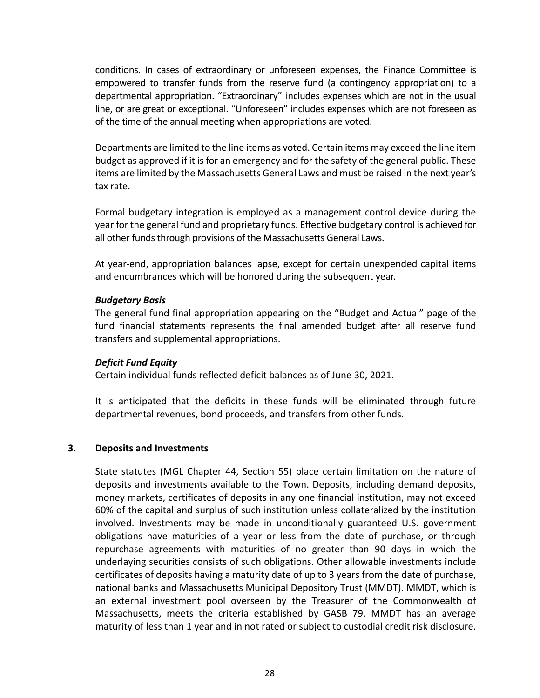conditions. In cases of extraordinary or unforeseen expenses, the Finance Committee is empowered to transfer funds from the reserve fund (a contingency appropriation) to a departmental appropriation. "Extraordinary" includes expenses which are not in the usual line, or are great or exceptional. "Unforeseen" includes expenses which are not foreseen as of the time of the annual meeting when appropriations are voted.

Departments are limited to the line items as voted. Certain items may exceed the line item budget as approved if it is for an emergency and for the safety of the general public. These items are limited by the Massachusetts General Laws and must be raised in the next year's tax rate.

Formal budgetary integration is employed as a management control device during the year for the general fund and proprietary funds. Effective budgetary control is achieved for all other funds through provisions of the Massachusetts General Laws.

At year‐end, appropriation balances lapse, except for certain unexpended capital items and encumbrances which will be honored during the subsequent year.

## *Budgetary Basis*

The general fund final appropriation appearing on the "Budget and Actual" page of the fund financial statements represents the final amended budget after all reserve fund transfers and supplemental appropriations.

## *Deficit Fund Equity*

Certain individual funds reflected deficit balances as of June 30, 2021.

It is anticipated that the deficits in these funds will be eliminated through future departmental revenues, bond proceeds, and transfers from other funds.

## **3. Deposits and Investments**

State statutes (MGL Chapter 44, Section 55) place certain limitation on the nature of deposits and investments available to the Town. Deposits, including demand deposits, money markets, certificates of deposits in any one financial institution, may not exceed 60% of the capital and surplus of such institution unless collateralized by the institution involved. Investments may be made in unconditionally guaranteed U.S. government obligations have maturities of a year or less from the date of purchase, or through repurchase agreements with maturities of no greater than 90 days in which the underlaying securities consists of such obligations. Other allowable investments include certificates of deposits having a maturity date of up to 3 years from the date of purchase, national banks and Massachusetts Municipal Depository Trust (MMDT). MMDT, which is an external investment pool overseen by the Treasurer of the Commonwealth of Massachusetts, meets the criteria established by GASB 79. MMDT has an average maturity of less than 1 year and in not rated or subject to custodial credit risk disclosure.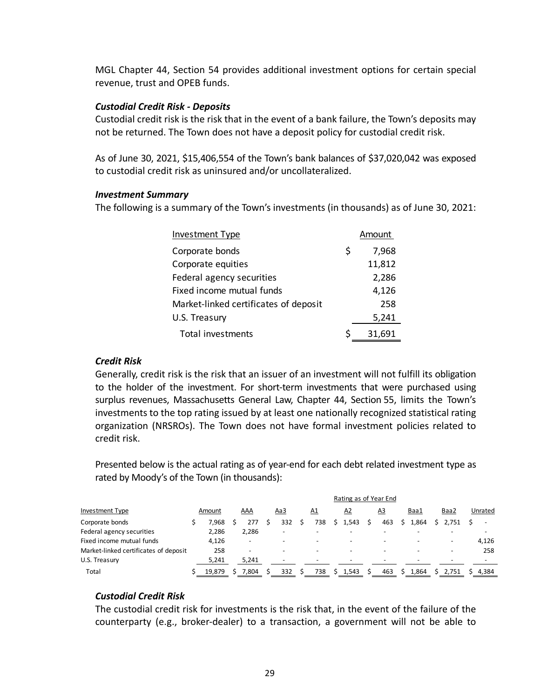MGL Chapter 44, Section 54 provides additional investment options for certain special revenue, trust and OPEB funds.

## *Custodial Credit Risk ‐ Deposits*

Custodial credit risk is the risk that in the event of a bank failure, the Town's deposits may not be returned. The Town does not have a deposit policy for custodial credit risk.

As of June 30, 2021, \$15,406,554 of the Town's bank balances of \$37,020,042 was exposed to custodial credit risk as uninsured and/or uncollateralized.

## *Investment Summary*

The following is a summary of the Town's investments (in thousands) as of June 30, 2021:

| <b>Investment Type</b>                |   | Amount |
|---------------------------------------|---|--------|
| Corporate bonds                       | Ş | 7,968  |
| Corporate equities                    |   | 11,812 |
| Federal agency securities             |   | 2,286  |
| Fixed income mutual funds             |   | 4,126  |
| Market-linked certificates of deposit |   | 258    |
| U.S. Treasury                         |   | 5,241  |
| Total investments                     |   | 31,691 |

## *Credit Risk*

Generally, credit risk is the risk that an issuer of an investment will not fulfill its obligation to the holder of the investment. For short-term investments that were purchased using surplus revenues, Massachusetts General Law, Chapter 44, Section 55, limits the Town's investments to the top rating issued by at least one nationally recognized statistical rating organization (NRSROs). The Town does not have formal investment policies related to credit risk.

Presented below is the actual rating as of year-end for each debt related investment type as rated by Moody's of the Town (in thousands):

|                                       |        |                          |                          |           | Rating as of Year End    |                          |                          |                          |         |
|---------------------------------------|--------|--------------------------|--------------------------|-----------|--------------------------|--------------------------|--------------------------|--------------------------|---------|
| <b>Investment Type</b>                | Amount | AAA                      | <u>Aa3</u>               | <u>A1</u> | A2                       | <u>A3</u>                | Baa1                     | Baa2                     | Unrated |
| Corporate bonds                       | 7.968  | 277                      | 332                      | 738       | .543                     | 463                      | 1,864                    | $S$ 2.751                |         |
| Federal agency securities             | 2,286  | 2,286                    | $\overline{\phantom{0}}$ |           |                          |                          |                          |                          |         |
| Fixed income mutual funds             | 4,126  | $\overline{\phantom{0}}$ | $\overline{\phantom{a}}$ | ٠         | $\overline{\phantom{a}}$ | $\overline{\phantom{a}}$ | $\overline{\phantom{a}}$ | $\overline{\phantom{a}}$ | 4,126   |
| Market-linked certificates of deposit | 258    | $\overline{\phantom{0}}$ |                          |           | $\overline{\phantom{0}}$ | $\overline{\phantom{0}}$ |                          |                          | 258     |
| U.S. Treasury                         | 5,241  | 5,241                    | $\overline{\phantom{a}}$ |           |                          | -                        |                          |                          |         |
| Total                                 | 19,879 | .804                     | 332                      | 738       | 1,543                    | 463                      | 1,864                    | 2.751                    | 4,384   |

## *Custodial Credit Risk*

The custodial credit risk for investments is the risk that, in the event of the failure of the counterparty (e.g., broker‐dealer) to a transaction, a government will not be able to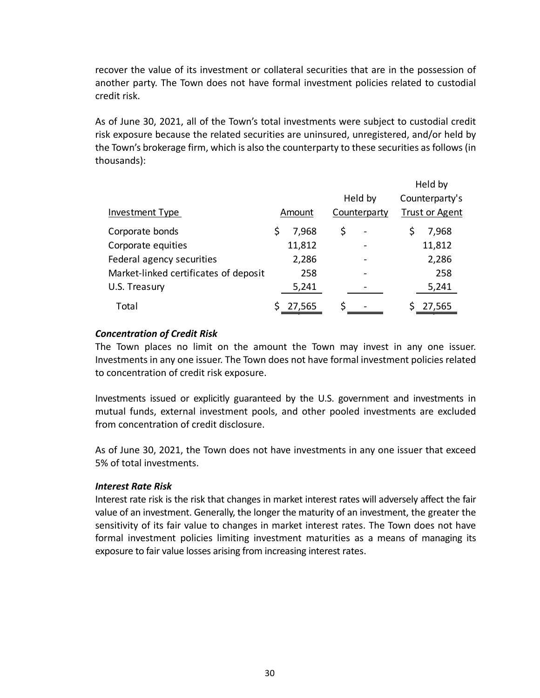recover the value of its investment or collateral securities that are in the possession of another party. The Town does not have formal investment policies related to custodial credit risk.

As of June 30, 2021, all of the Town's total investments were subject to custodial credit risk exposure because the related securities are uninsured, unregistered, and/or held by the Town's brokerage firm, which is also the counterparty to these securities as follows (in thousands):

|                                       |        |              | Held by               |
|---------------------------------------|--------|--------------|-----------------------|
|                                       |        | Held by      | Counterparty's        |
| Investment Type                       | Amount | Counterparty | <b>Trust or Agent</b> |
| Corporate bonds                       | 7,968  | \$           | 7,968                 |
| Corporate equities                    | 11,812 |              | 11,812                |
| Federal agency securities             | 2,286  |              | 2,286                 |
| Market-linked certificates of deposit | 258    |              | 258                   |
| U.S. Treasury                         | 5,241  |              | 5,241                 |
| Total                                 | 27,565 |              | 27,565                |

## *Concentration of Credit Risk*

The Town places no limit on the amount the Town may invest in any one issuer. Investments in any one issuer. The Town does not have formal investment policies related to concentration of credit risk exposure.

Investments issued or explicitly guaranteed by the U.S. government and investments in mutual funds, external investment pools, and other pooled investments are excluded from concentration of credit disclosure.

As of June 30, 2021, the Town does not have investments in any one issuer that exceed 5% of total investments.

## *Interest Rate Risk*

Interest rate risk is the risk that changes in market interest rates will adversely affect the fair value of an investment. Generally, the longer the maturity of an investment, the greater the sensitivity of its fair value to changes in market interest rates. The Town does not have formal investment policies limiting investment maturities as a means of managing its exposure to fair value losses arising from increasing interest rates.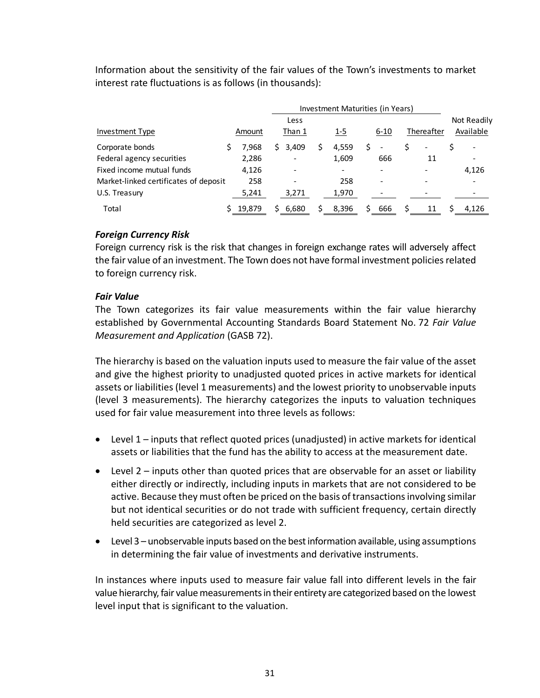Information about the sensitivity of the fair values of the Town's investments to market interest rate fluctuations is as follows (in thousands):

|                                       | Investment Maturities (in Years) |        |                |       |            |                          |          |     |  |            |  |                          |
|---------------------------------------|----------------------------------|--------|----------------|-------|------------|--------------------------|----------|-----|--|------------|--|--------------------------|
| Investment Type                       |                                  | Amount | Less<br>Than 1 |       | <u>1-5</u> |                          | $6 - 10$ |     |  | Thereafter |  | Not Readily<br>Available |
| Corporate bonds                       |                                  | 7.968  | S.             | 3,409 | S          | 4,559                    |          |     |  |            |  |                          |
| Federal agency securities             |                                  | 2,286  |                |       |            | 1,609                    |          | 666 |  | 11         |  | $\overline{\phantom{a}}$ |
| Fixed income mutual funds             |                                  | 4,126  |                |       |            | $\overline{\phantom{a}}$ |          |     |  |            |  | 4,126                    |
| Market-linked certificates of deposit |                                  | 258    |                |       |            | 258                      |          |     |  |            |  |                          |
| U.S. Treasury                         |                                  | 5,241  |                | 3,271 |            | 1,970                    |          |     |  |            |  |                          |
| Total                                 |                                  | 19,879 |                | 6.680 |            | 8.396                    |          | 666 |  | 11         |  | 4.126                    |

## *Foreign Currency Risk*

Foreign currency risk is the risk that changes in foreign exchange rates will adversely affect the fair value of an investment. The Town does not have formal investment policies related to foreign currency risk.

## *Fair Value*

The Town categorizes its fair value measurements within the fair value hierarchy established by Governmental Accounting Standards Board Statement No. 72 *Fair Value Measurement and Application* (GASB 72).

The hierarchy is based on the valuation inputs used to measure the fair value of the asset and give the highest priority to unadjusted quoted prices in active markets for identical assets or liabilities (level 1 measurements) and the lowest priority to unobservable inputs (level 3 measurements). The hierarchy categorizes the inputs to valuation techniques used for fair value measurement into three levels as follows:

- Level 1 inputs that reflect quoted prices (unadjusted) in active markets for identical assets or liabilities that the fund has the ability to access at the measurement date.
- Level 2 inputs other than quoted prices that are observable for an asset or liability either directly or indirectly, including inputs in markets that are not considered to be active. Because they must often be priced on the basis of transactions involving similar but not identical securities or do not trade with sufficient frequency, certain directly held securities are categorized as level 2.
- Level 3 unobservable inputs based on the best information available, using assumptions in determining the fair value of investments and derivative instruments.

In instances where inputs used to measure fair value fall into different levels in the fair value hierarchy, fair value measurements in their entirety are categorized based on the lowest level input that is significant to the valuation.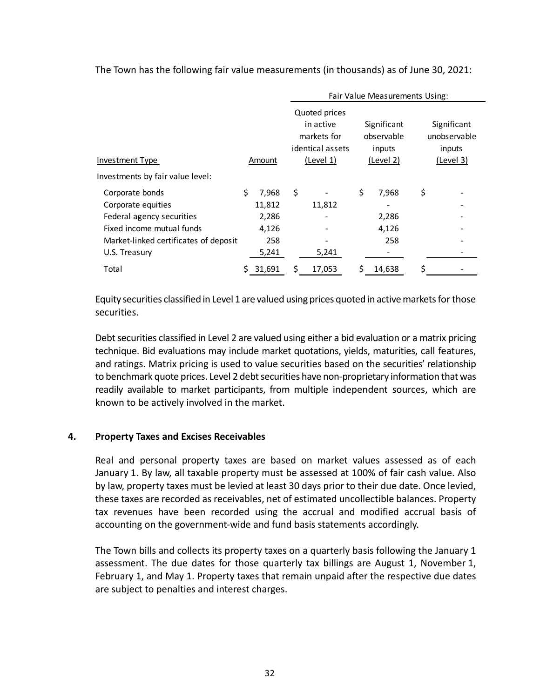|                                       |    |        | Fair Value Measurements Using: |                                                               |    |                                     |    |                                       |  |  |
|---------------------------------------|----|--------|--------------------------------|---------------------------------------------------------------|----|-------------------------------------|----|---------------------------------------|--|--|
|                                       |    |        |                                | Quoted prices<br>in active<br>markets for<br>identical assets |    | Significant<br>observable<br>inputs |    | Significant<br>unobservable<br>inputs |  |  |
| Investment Type                       |    | Amount |                                | (Level 1)                                                     |    | (Level 2)                           |    | (Level 3)                             |  |  |
| Investments by fair value level:      |    |        |                                |                                                               |    |                                     |    |                                       |  |  |
| Corporate bonds                       | Ś. | 7,968  | \$                             |                                                               | \$ | 7,968                               | \$ |                                       |  |  |
| Corporate equities                    |    | 11,812 |                                | 11,812                                                        |    |                                     |    |                                       |  |  |
| Federal agency securities             |    | 2,286  |                                |                                                               |    | 2,286                               |    |                                       |  |  |
| Fixed income mutual funds             |    | 4,126  |                                |                                                               |    | 4,126                               |    |                                       |  |  |
| Market-linked certificates of deposit |    | 258    |                                |                                                               |    | 258                                 |    |                                       |  |  |
| U.S. Treasury                         |    | 5.241  |                                | 5.241                                                         |    |                                     |    |                                       |  |  |

The Town has the following fair value measurements (in thousands) as of June 30, 2021:

Equity securities classified in Level 1 are valued using prices quoted in active markets for those securities.

Total \$ 31,691 \$ 17,053 \$ 14,638 \$ ‐

Debt securities classified in Level 2 are valued using either a bid evaluation or a matrix pricing technique. Bid evaluations may include market quotations, yields, maturities, call features, and ratings. Matrix pricing is used to value securities based on the securities' relationship to benchmark quote prices. Level 2 debt securities have non‐proprietary information that was readily available to market participants, from multiple independent sources, which are known to be actively involved in the market.

## **4. Property Taxes and Excises Receivables**

Real and personal property taxes are based on market values assessed as of each January 1. By law, all taxable property must be assessed at 100% of fair cash value. Also by law, property taxes must be levied at least 30 days prior to their due date. Once levied, these taxes are recorded as receivables, net of estimated uncollectible balances. Property tax revenues have been recorded using the accrual and modified accrual basis of accounting on the government‐wide and fund basis statements accordingly.

The Town bills and collects its property taxes on a quarterly basis following the January 1 assessment. The due dates for those quarterly tax billings are August 1, November 1, February 1, and May 1. Property taxes that remain unpaid after the respective due dates are subject to penalties and interest charges.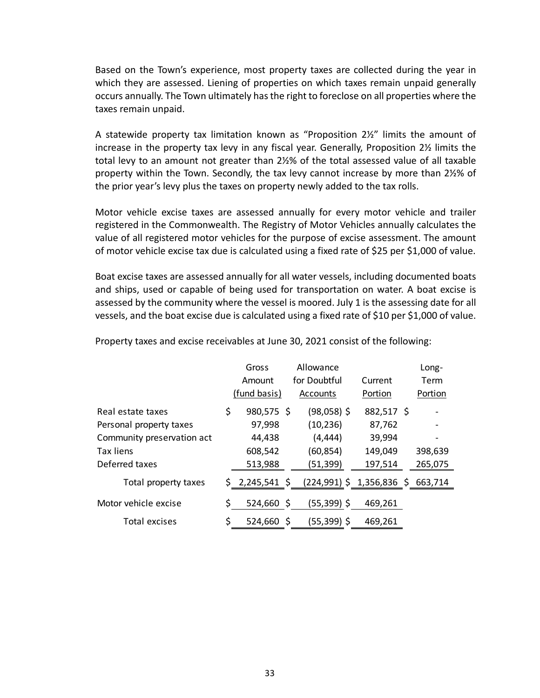Based on the Town's experience, most property taxes are collected during the year in which they are assessed. Liening of properties on which taxes remain unpaid generally occurs annually. The Town ultimately has the right to foreclose on all properties where the taxes remain unpaid.

A statewide property tax limitation known as "Proposition 2½" limits the amount of increase in the property tax levy in any fiscal year. Generally, Proposition 2½ limits the total levy to an amount not greater than 2½% of the total assessed value of all taxable property within the Town. Secondly, the tax levy cannot increase by more than 2½% of the prior year's levy plus the taxes on property newly added to the tax rolls.

Motor vehicle excise taxes are assessed annually for every motor vehicle and trailer registered in the Commonwealth. The Registry of Motor Vehicles annually calculates the value of all registered motor vehicles for the purpose of excise assessment. The amount of motor vehicle excise tax due is calculated using a fixed rate of \$25 per \$1,000 of value.

Boat excise taxes are assessed annually for all water vessels, including documented boats and ships, used or capable of being used for transportation on water. A boat excise is assessed by the community where the vessel is moored. July 1 is the assessing date for all vessels, and the boat excise due is calculated using a fixed rate of \$10 per \$1,000 of value.

|                            | Gross  |              |  | Allowance                 |            | Long-   |
|----------------------------|--------|--------------|--|---------------------------|------------|---------|
|                            | Amount |              |  | for Doubtful              | Current    | Term    |
|                            |        | (fund basis) |  | <b>Accounts</b>           | Portion    | Portion |
| Real estate taxes          | \$     | 980,575 \$   |  | $(98,058)$ \$             | 882,517 \$ |         |
| Personal property taxes    |        | 97,998       |  | (10, 236)                 | 87,762     |         |
| Community preservation act |        | 44,438       |  | (4, 444)                  | 39,994     |         |
| Tax liens                  |        | 608,542      |  | (60, 854)                 | 149,049    | 398,639 |
| Deferred taxes             |        | 513,988      |  | (51,399)                  | 197,514    | 265,075 |
| Total property taxes       |        | \$2,245,541  |  | (224,991) \$ 1,356,836 \$ |            | 663,714 |
| Motor vehicle excise       | \$     | 524,660 \$   |  | (55,399) \$               | 469,261    |         |
| Total excises              | \$     | $524,660$ \$ |  | (55,399) \$               | 469,261    |         |

Property taxes and excise receivables at June 30, 2021 consist of the following: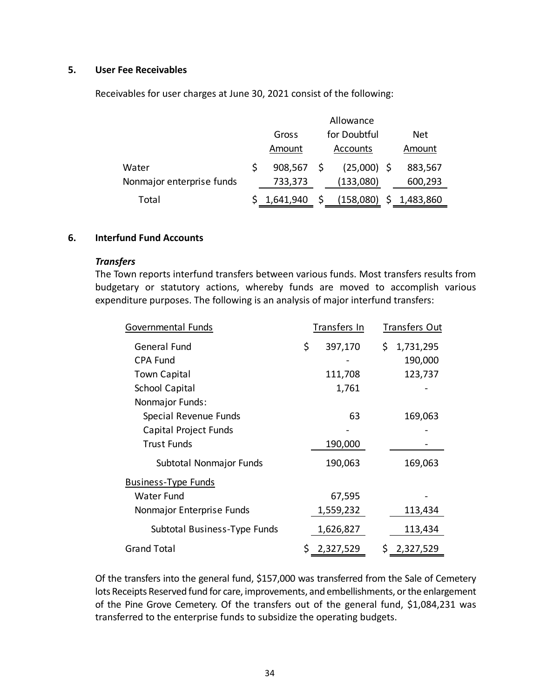### **5. User Fee Receivables**

Receivables for user charges at June 30, 2021 consist of the following:

|                           | Allowance    |              |               |  |           |  |  |  |  |  |  |  |
|---------------------------|--------------|--------------|---------------|--|-----------|--|--|--|--|--|--|--|
|                           | Gross        | for Doubtful |               |  |           |  |  |  |  |  |  |  |
|                           | Amount       |              | Accounts      |  | Amount    |  |  |  |  |  |  |  |
| Water                     | $908,567$ \$ |              | $(25,000)$ \$ |  | 883,567   |  |  |  |  |  |  |  |
| Nonmajor enterprise funds | 733,373      |              | (133,080)     |  | 600,293   |  |  |  |  |  |  |  |
| Total                     | 1,641,940    |              | (158,080)     |  | 1,483,860 |  |  |  |  |  |  |  |

## **6. Interfund Fund Accounts**

#### *Transfers*

The Town reports interfund transfers between various funds. Most transfers results from budgetary or statutory actions, whereby funds are moved to accomplish various expenditure purposes. The following is an analysis of major interfund transfers:

| Governmental Funds           | Transfers In    | <b>Transfers Out</b> |
|------------------------------|-----------------|----------------------|
| General Fund                 | \$<br>397,170   | \$1,731,295          |
| <b>CPA Fund</b>              |                 | 190,000              |
| <b>Town Capital</b>          | 111,708         | 123,737              |
| <b>School Capital</b>        | 1,761           |                      |
| Nonmajor Funds:              |                 |                      |
| Special Revenue Funds        | 63              | 169,063              |
| Capital Project Funds        |                 |                      |
| <b>Trust Funds</b>           | 190,000         |                      |
| Subtotal Nonmajor Funds      | 190,063         | 169,063              |
| <b>Business-Type Funds</b>   |                 |                      |
| <b>Water Fund</b>            | 67,595          |                      |
| Nonmajor Enterprise Funds    | 1,559,232       | 113,434              |
| Subtotal Business-Type Funds | 1,626,827       | 113,434              |
| <b>Grand Total</b>           | \$<br>2,327,529 | Ś.<br>2,327,529      |

Of the transfers into the general fund, \$157,000 was transferred from the Sale of Cemetery lots Receipts Reserved fund for care, improvements, and embellishments, or the enlargement of the Pine Grove Cemetery. Of the transfers out of the general fund, \$1,084,231 was transferred to the enterprise funds to subsidize the operating budgets.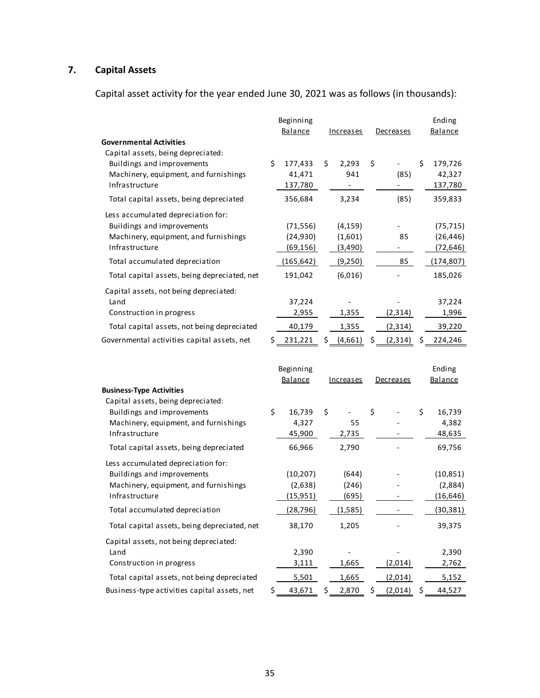# **7. Capital Assets**

Capital asset activity for the year ended June 30, 2021 was as follows (in thousands):

|                                                                       |     | Beginning  |                  |     |                  |     | Ending     |
|-----------------------------------------------------------------------|-----|------------|------------------|-----|------------------|-----|------------|
|                                                                       |     | Balance    | <u>Increases</u> |     | <u>Decreases</u> |     | Balance    |
| <b>Governmental Activities</b><br>Capital assets, being depreciated:  |     |            |                  |     |                  |     |            |
| Buildings and improvements                                            | \$  | 177,433    | \$<br>2,293      | \$  |                  | \$  | 179,726    |
| Machinery, equipment, and furnishings                                 |     | 41,471     | 941              |     | (85)             |     | 42,327     |
| Infrastructure                                                        |     | 137,780    |                  |     |                  |     | 137,780    |
| Total capital assets, being depreciated                               |     | 356,684    | 3,234            |     | (85)             |     | 359,833    |
| Less accumulated depreciation for:                                    |     |            |                  |     |                  |     |            |
| Buildings and improvements                                            |     | (71, 556)  | (4, 159)         |     |                  |     | (75, 715)  |
| Machinery, equipment, and furnishings                                 |     | (24, 930)  | (1,601)          |     | 85               |     | (26, 446)  |
| Infrastructure                                                        |     | (69, 156)  | (3,490)          |     |                  |     | (72, 646)  |
| Total accumulated depreciation                                        |     | (165, 642) | (9,250)          |     | 85               |     | (174, 807) |
| Total capital assets, being depreciated, net                          |     | 191,042    | (6,016)          |     |                  |     | 185,026    |
| Capital assets, not being depreciated:                                |     |            |                  |     |                  |     |            |
| Land                                                                  |     | 37,224     |                  |     |                  |     | 37,224     |
| Construction in progress                                              |     | 2,955      | 1,355            |     | (2, 314)         |     | 1,996      |
| Total capital assets, not being depreciated                           |     | 40,179     | 1,355            |     | (2, 314)         |     | 39,220     |
| Governmental activities capital assets, net                           | \$. | 231,221    | \$<br>(4,661)    | \$_ | (2, 314)         | \$. | 224,246    |
|                                                                       |     |            |                  |     |                  |     |            |
|                                                                       |     | Beginning  |                  |     |                  |     | Ending     |
|                                                                       |     | Balance    | <u>Increases</u> |     | Decreases        |     | Balance    |
| <b>Business-Type Activities</b><br>Capital assets, being depreciated: |     |            |                  |     |                  |     |            |
| Buildings and improvements                                            | \$  | 16,739     | \$               | \$  |                  | \$  | 16,739     |
| Machinery, equipment, and furnishings                                 |     | 4,327      | 55               |     |                  |     | 4,382      |
| Infrastructure                                                        |     | 45,900     | 2,735            |     |                  |     | 48,635     |
| Total capital assets, being depreciated                               |     | 66,966     | 2,790            |     |                  |     | 69,756     |
| Less accumulated depreciation for:                                    |     |            |                  |     |                  |     |            |
| Buildings and improvements                                            |     | (10, 207)  | (644)            |     |                  |     | (10, 851)  |
| Machinery, equipment, and furnishings                                 |     | (2,638)    | (246)            |     |                  |     | (2,884)    |
| Infrastructure                                                        |     | (15, 951)  | (695)            |     |                  |     | (16, 646)  |
| Total accumulated depreciation                                        |     | (28, 796)  | (1.585)          |     |                  |     | (30.381)   |
| Total capital assets, being depreciated, net                          |     | 38,170     | 1,205            |     |                  |     | 39,375     |
| Capital assets, not being depreciated:                                |     |            |                  |     |                  |     |            |
| Land                                                                  |     | 2,390      |                  |     |                  |     | 2,390      |
| Construction in progress                                              |     | 3,111      | 1,665            |     | (2,014)          |     | 2,762      |
| Total capital assets, not being depreciated                           |     | 5,501      | 1,665            |     | (2,014)          |     | 5,152      |
| Business-type activities capital assets, net                          | \$  | 43,671     | \$<br>2,870      | \$  | (2,014)          | \$  | 44,527     |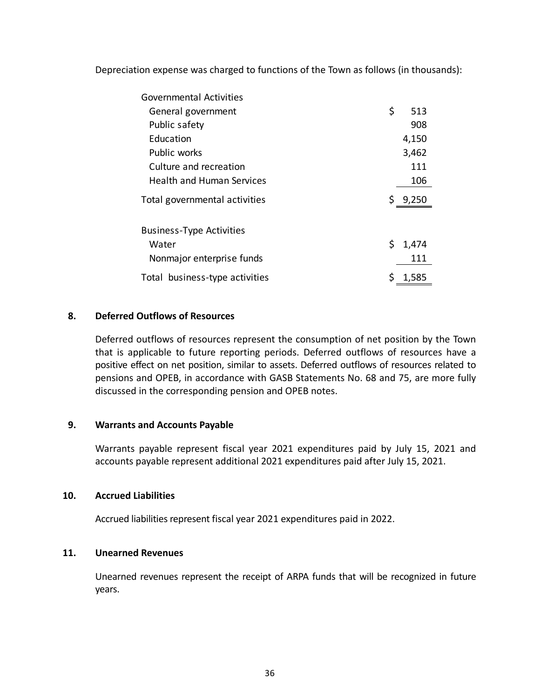Depreciation expense was charged to functions of the Town as follows (in thousands):

| Governmental Activities          |     |       |
|----------------------------------|-----|-------|
| General government               | \$  | 513   |
| Public safety                    |     | 908   |
| Education                        |     | 4,150 |
| Public works                     |     | 3,462 |
| Culture and recreation           |     | 111   |
| <b>Health and Human Services</b> |     | 106   |
| Total governmental activities    |     | 9,250 |
| <b>Business-Type Activities</b>  |     |       |
| Water                            | \$. | 1,474 |
| Nonmajor enterprise funds        |     | 111   |
| Total business-type activities   |     | 1,585 |

## **8. Deferred Outflows of Resources**

Deferred outflows of resources represent the consumption of net position by the Town that is applicable to future reporting periods. Deferred outflows of resources have a positive effect on net position, similar to assets. Deferred outflows of resources related to pensions and OPEB, in accordance with GASB Statements No. 68 and 75, are more fully discussed in the corresponding pension and OPEB notes.

## **9. Warrants and Accounts Payable**

Warrants payable represent fiscal year 2021 expenditures paid by July 15, 2021 and accounts payable represent additional 2021 expenditures paid after July 15, 2021.

#### **10. Accrued Liabilities**

Accrued liabilities represent fiscal year 2021 expenditures paid in 2022.

## **11. Unearned Revenues**

Unearned revenues represent the receipt of ARPA funds that will be recognized in future years.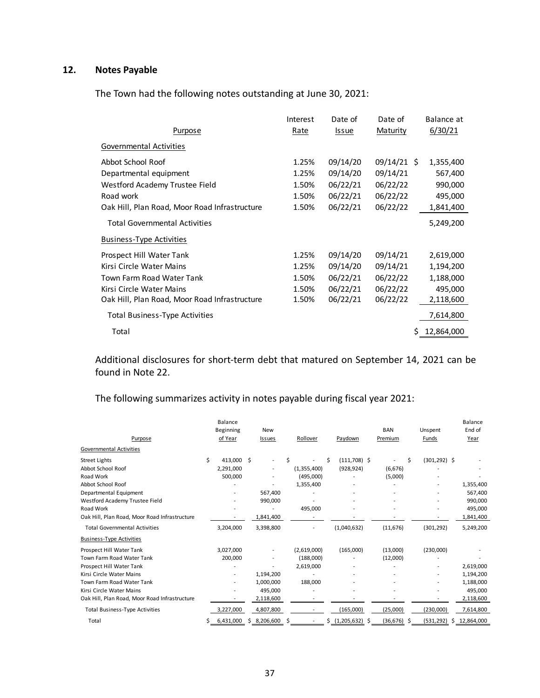# **12. Notes Payable**

The Town had the following notes outstanding at June 30, 2021:

|                                               | Interest    | Date of      | Date of             | Balance at      |
|-----------------------------------------------|-------------|--------------|---------------------|-----------------|
| <u>Purpose</u>                                | <u>Rate</u> | <u>Issue</u> | <b>Maturity</b>     | 6/30/21         |
| Governmental Activities                       |             |              |                     |                 |
| Abbot School Roof                             | 1.25%       | 09/14/20     | $09/14/21 \text{ }$ | 1,355,400       |
| Departmental equipment                        | 1.25%       | 09/14/20     | 09/14/21            | 567,400         |
| Westford Academy Trustee Field                | 1.50%       | 06/22/21     | 06/22/22            | 990,000         |
| Road work                                     | 1.50%       | 06/22/21     | 06/22/22            | 495,000         |
| Oak Hill, Plan Road, Moor Road Infrastructure | 1.50%       | 06/22/21     | 06/22/22            | 1,841,400       |
| <b>Total Governmental Activities</b>          |             |              |                     | 5,249,200       |
| <b>Business-Type Activities</b>               |             |              |                     |                 |
| Prospect Hill Water Tank                      | 1.25%       | 09/14/20     | 09/14/21            | 2,619,000       |
| Kirsi Circle Water Mains                      | 1.25%       | 09/14/20     | 09/14/21            | 1,194,200       |
| Town Farm Road Water Tank                     | 1.50%       | 06/22/21     | 06/22/22            | 1,188,000       |
| Kirsi Circle Water Mains                      | 1.50%       | 06/22/21     | 06/22/22            | 495,000         |
| Oak Hill, Plan Road, Moor Road Infrastructure | 1.50%       | 06/22/21     | 06/22/22            | 2,118,600       |
| <b>Total Business-Type Activities</b>         |             |              |                     | 7,614,800       |
| Total                                         |             |              |                     | 12,864,000<br>S |

Additional disclosures for short‐term debt that matured on September 14, 2021 can be found in Note 22.

The following summarizes activity in notes payable during fiscal year 2021:

| Purpose                                       |   | Balance<br>Beginning<br>of Year |    | <b>New</b><br>Issues     |    | Rollover    |   | Paydown           | <b>BAN</b><br>Premium | Unspent<br>Funds      | Balance<br>End of<br>Year |
|-----------------------------------------------|---|---------------------------------|----|--------------------------|----|-------------|---|-------------------|-----------------------|-----------------------|---------------------------|
| <b>Governmental Activities</b>                |   |                                 |    |                          |    |             |   |                   |                       |                       |                           |
| <b>Street Lights</b>                          | Ś | 413.000                         | Ś. | $\overline{\phantom{a}}$ | Ś  |             | Ś | $(111,708)$ \$    |                       | \$<br>$(301, 292)$ \$ |                           |
| Abbot School Roof                             |   | 2,291,000                       |    | $\sim$                   |    | (1,355,400) |   | (928, 924)        | (6,676)               |                       |                           |
| Road Work                                     |   | 500,000                         |    | $\overline{a}$           |    | (495,000)   |   |                   | (5,000)               |                       |                           |
| Abbot School Roof                             |   |                                 |    |                          |    | 1,355,400   |   |                   |                       |                       | 1,355,400                 |
| Departmental Equipment                        |   |                                 |    | 567,400                  |    |             |   |                   |                       |                       | 567,400                   |
| Westford Academy Trustee Field                |   |                                 |    | 990,000                  |    |             |   |                   |                       |                       | 990,000                   |
| Road Work                                     |   |                                 |    |                          |    | 495,000     |   |                   |                       |                       | 495,000                   |
| Oak Hill, Plan Road, Moor Road Infrastructure |   |                                 |    | 1,841,400                |    |             |   |                   |                       |                       | 1,841,400                 |
| <b>Total Governmental Activities</b>          |   | 3,204,000                       |    | 3,398,800                |    |             |   | (1,040,632)       | (11, 676)             | (301, 292)            | 5,249,200                 |
| <b>Business-Type Activities</b>               |   |                                 |    |                          |    |             |   |                   |                       |                       |                           |
| Prospect Hill Water Tank                      |   | 3,027,000                       |    |                          |    | (2,619,000) |   | (165,000)         | (13,000)              | (230,000)             |                           |
| Town Farm Road Water Tank                     |   | 200,000                         |    | ۰                        |    | (188,000)   |   |                   | (12,000)              |                       |                           |
| Prospect Hill Water Tank                      |   |                                 |    |                          |    | 2,619,000   |   |                   |                       |                       | 2,619,000                 |
| Kirsi Circle Water Mains                      |   | $\overline{\phantom{a}}$        |    | 1,194,200                |    |             |   |                   |                       |                       | 1,194,200                 |
| Town Farm Road Water Tank                     |   | $\overline{\phantom{0}}$        |    | 1,000,000                |    | 188,000     |   |                   |                       |                       | 1,188,000                 |
| Kirsi Circle Water Mains                      |   |                                 |    | 495,000                  |    |             |   |                   |                       |                       | 495,000                   |
| Oak Hill, Plan Road, Moor Road Infrastructure |   |                                 |    | 2,118,600                |    |             |   |                   |                       |                       | 2,118,600                 |
| <b>Total Business-Type Activities</b>         |   | 3,227,000                       |    | 4,807,800                |    |             |   | (165,000)         | (25,000)              | (230,000)             | 7,614,800                 |
| Total                                         | s | 6,431,000                       |    | \$3,206,600              | \$ |             |   | $$(1,205,632)$ \$ | $(36,676)$ \$         | (531, 292)<br>S       | 12,864,000                |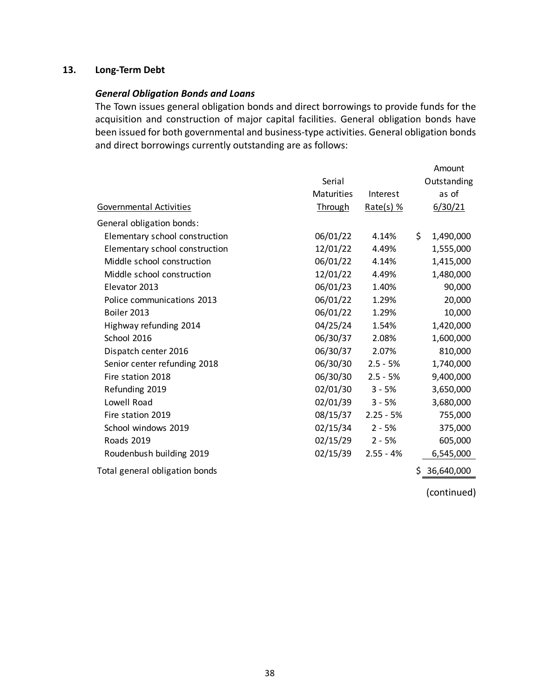# **13. Long‐Term Debt**

### *General Obligation Bonds and Loans*

The Town issues general obligation bonds and direct borrowings to provide funds for the acquisition and construction of major capital facilities. General obligation bonds have been issued for both governmental and business-type activities. General obligation bonds and direct borrowings currently outstanding are as follows:

|                                |                   |             | Amount          |
|--------------------------------|-------------------|-------------|-----------------|
|                                | Serial            |             | Outstanding     |
|                                | <b>Maturities</b> | Interest    | as of           |
| Governmental Activities        | <b>Through</b>    | $Rate(s)$ % | 6/30/21         |
| General obligation bonds:      |                   |             |                 |
| Elementary school construction | 06/01/22          | 4.14%       | \$<br>1,490,000 |
| Elementary school construction | 12/01/22          | 4.49%       | 1,555,000       |
| Middle school construction     | 06/01/22          | 4.14%       | 1,415,000       |
| Middle school construction     | 12/01/22          | 4.49%       | 1,480,000       |
| Elevator 2013                  | 06/01/23          | 1.40%       | 90,000          |
| Police communications 2013     | 06/01/22          | 1.29%       | 20,000          |
| Boiler 2013                    | 06/01/22          | 1.29%       | 10,000          |
| Highway refunding 2014         | 04/25/24          | 1.54%       | 1,420,000       |
| School 2016                    | 06/30/37          | 2.08%       | 1,600,000       |
| Dispatch center 2016           | 06/30/37          | 2.07%       | 810,000         |
| Senior center refunding 2018   | 06/30/30          | $2.5 - 5%$  | 1,740,000       |
| Fire station 2018              | 06/30/30          | $2.5 - 5%$  | 9,400,000       |
| Refunding 2019                 | 02/01/30          | $3 - 5%$    | 3,650,000       |
| Lowell Road                    | 02/01/39          | $3 - 5%$    | 3,680,000       |
| Fire station 2019              | 08/15/37          | $2.25 - 5%$ | 755,000         |
| School windows 2019            | 02/15/34          | $2 - 5%$    | 375,000         |
| <b>Roads 2019</b>              | 02/15/29          | $2 - 5%$    | 605,000         |
| Roudenbush building 2019       | 02/15/39          | $2.55 - 4%$ | 6,545,000       |
| Total general obligation bonds |                   |             | 36,640,000      |

(continued)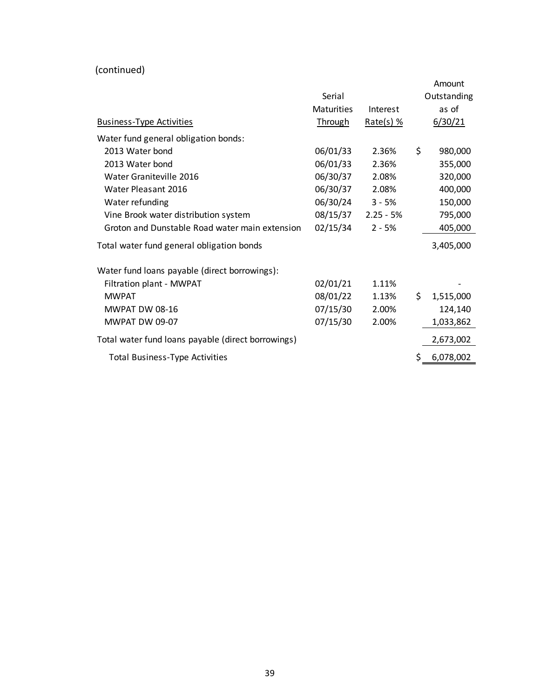(continued)

|                                                    |                   |             | Amount          |
|----------------------------------------------------|-------------------|-------------|-----------------|
|                                                    | Serial            |             | Outstanding     |
|                                                    | <b>Maturities</b> | Interest    | as of           |
| <b>Business-Type Activities</b>                    | <b>Through</b>    | $Rate(s)$ % | 6/30/21         |
| Water fund general obligation bonds:               |                   |             |                 |
| 2013 Water bond                                    | 06/01/33          | 2.36%       | \$<br>980,000   |
| 2013 Water bond                                    | 06/01/33          | 2.36%       | 355,000         |
| Water Graniteville 2016                            | 06/30/37          | 2.08%       | 320,000         |
| Water Pleasant 2016                                | 06/30/37          | 2.08%       | 400,000         |
| Water refunding                                    | 06/30/24          | $3 - 5%$    | 150,000         |
| Vine Brook water distribution system               | 08/15/37          | $2.25 - 5%$ | 795,000         |
| Groton and Dunstable Road water main extension     | 02/15/34          | $2 - 5%$    | 405,000         |
| Total water fund general obligation bonds          |                   |             | 3,405,000       |
| Water fund loans payable (direct borrowings):      |                   |             |                 |
| Filtration plant - MWPAT                           | 02/01/21          | 1.11%       |                 |
| <b>MWPAT</b>                                       | 08/01/22          | 1.13%       | \$<br>1,515,000 |
| <b>MWPAT DW 08-16</b>                              | 07/15/30          | 2.00%       | 124,140         |
| <b>MWPAT DW 09-07</b>                              | 07/15/30          | 2.00%       | 1,033,862       |
| Total water fund loans payable (direct borrowings) |                   |             | 2,673,002       |
| <b>Total Business-Type Activities</b>              |                   |             | \$<br>6,078,002 |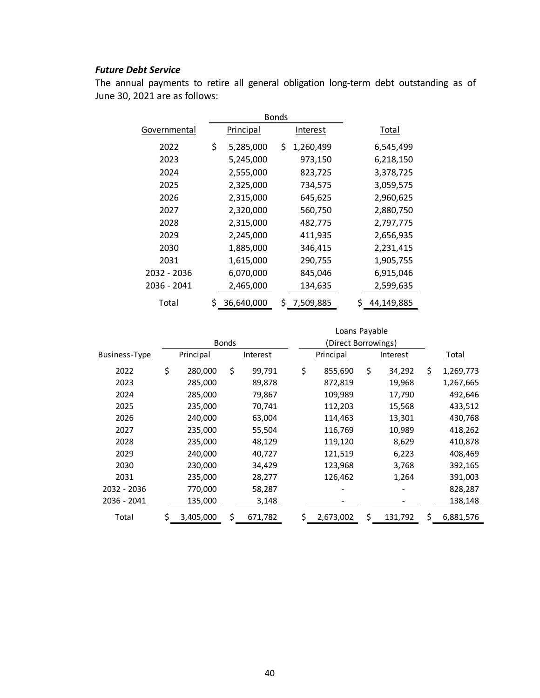# *Future Debt Service*

The annual payments to retire all general obligation long-term debt outstanding as of June 30, 2021 are as follows:

|              | <b>Bonds</b>    |    |           |            |
|--------------|-----------------|----|-----------|------------|
| Governmental | Principal       |    | Interest  | Total      |
| 2022         | \$<br>5,285,000 | \$ | 1,260,499 | 6,545,499  |
| 2023         | 5,245,000       |    | 973,150   | 6,218,150  |
| 2024         | 2,555,000       |    | 823,725   | 3,378,725  |
| 2025         | 2,325,000       |    | 734,575   | 3,059,575  |
| 2026         | 2,315,000       |    | 645,625   | 2,960,625  |
| 2027         | 2,320,000       |    | 560,750   | 2,880,750  |
| 2028         | 2,315,000       |    | 482,775   | 2,797,775  |
| 2029         | 2,245,000       |    | 411,935   | 2,656,935  |
| 2030         | 1,885,000       |    | 346,415   | 2,231,415  |
| 2031         | 1,615,000       |    | 290,755   | 1,905,755  |
| 2032 - 2036  | 6,070,000       |    | 845,046   | 6,915,046  |
| 2036 - 2041  | 2,465,000       |    | 134,635   | 2,599,635  |
| Total        | 36,640,000      | Ś  | 7,509,885 | 44,149,885 |

|               |                  |    |          |  |    | Loans Payable       |               |                 |
|---------------|------------------|----|----------|--|----|---------------------|---------------|-----------------|
|               | <b>Bonds</b>     |    |          |  |    | (Direct Borrowings) |               |                 |
| Business-Type | <b>Principal</b> |    | Interest |  |    | <b>Principal</b>    | Interest      | Total           |
| 2022          | \$<br>280,000    | \$ | 99,791   |  | \$ | 855,690             | \$<br>34,292  | \$<br>1,269,773 |
| 2023          | 285,000          |    | 89,878   |  |    | 872,819             | 19,968        | 1,267,665       |
| 2024          | 285,000          |    | 79,867   |  |    | 109,989             | 17,790        | 492,646         |
| 2025          | 235,000          |    | 70,741   |  |    | 112,203             | 15,568        | 433,512         |
| 2026          | 240,000          |    | 63,004   |  |    | 114,463             | 13,301        | 430,768         |
| 2027          | 235,000          |    | 55,504   |  |    | 116,769             | 10,989        | 418,262         |
| 2028          | 235,000          |    | 48,129   |  |    | 119,120             | 8,629         | 410,878         |
| 2029          | 240,000          |    | 40,727   |  |    | 121,519             | 6,223         | 408,469         |
| 2030          | 230,000          |    | 34,429   |  |    | 123,968             | 3,768         | 392,165         |
| 2031          | 235,000          |    | 28,277   |  |    | 126,462             | 1,264         | 391,003         |
| 2032 - 2036   | 770,000          |    | 58,287   |  |    |                     |               | 828,287         |
| 2036 - 2041   | 135,000          |    | 3,148    |  |    |                     |               | 138,148         |
| Total         | \$<br>3,405,000  | \$ | 671,782  |  | \$ | 2,673,002           | \$<br>131,792 | \$<br>6,881,576 |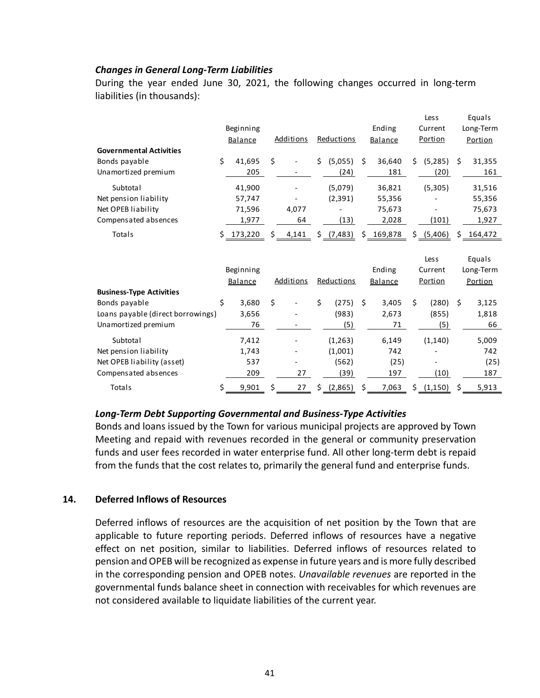## *Changes in General Long‐Term Liabilities*

During the year ended June 30, 2021, the following changes occurred in long-term liabilities (in thousands):

|                                   |                |    |                  |    |            |    |           |    | Les s      |    | Equals    |
|-----------------------------------|----------------|----|------------------|----|------------|----|-----------|----|------------|----|-----------|
|                                   | Beginning      |    |                  |    |            |    | Ending    |    | Current    |    | Long-Term |
|                                   | <b>Balance</b> |    | <b>Additions</b> |    | Reductions |    | Balance   |    | Portion    |    | Portion   |
| <b>Governmental Activities</b>    |                |    |                  |    |            |    |           |    |            |    |           |
| Bonds payable                     | \$<br>41.695   | Ś. |                  | Ś. | (5,055)    | Ś. | 36,640    | Ś. | (5,285)    | \$ | 31,355    |
|                                   |                |    |                  |    |            |    |           |    |            |    |           |
| Unamortized premium               | 205            |    |                  |    | (24)       |    | 181       |    | (20)       |    | 161       |
| Subtotal                          | 41,900         |    |                  |    | (5,079)    |    | 36,821    |    | (5,305)    |    | 31,516    |
| Net pension liability             | 57,747         |    |                  |    | (2, 391)   |    | 55,356    |    |            |    | 55,356    |
| Net OPEB liability                | 71,596         |    | 4,077            |    |            |    | 75,673    |    |            |    | 75,673    |
| Compensated absences              | 1,977          |    | 64               |    | (13)       |    | 2,028     |    | (101)      |    | 1,927     |
| Totals                            | 173,220        |    | 4,141            |    | \$(7,483)  |    | \$169,878 |    | \$ (5,406) | Ś. | 164,472   |
|                                   |                |    |                  |    |            |    |           |    |            |    |           |
|                                   |                |    |                  |    |            |    |           |    |            |    |           |
|                                   |                |    |                  |    |            |    |           |    | Les s      |    | Equals    |
|                                   | Beginning      |    |                  |    |            |    | Ending    |    | Current    |    | Long-Term |
|                                   | Balance        |    | <b>Additions</b> |    | Reductions |    | Balance   |    | Portion    |    | Portion   |
| <b>Business-Type Activities</b>   |                |    |                  |    |            |    |           |    |            |    |           |
| Bonds payable                     | \$<br>3,680    | Ś. |                  | \$ | (275)      | Ŝ. | 3,405     | Ś. | (280)      | Ś. | 3,125     |
| Loans payable (direct borrowings) | 3,656          |    |                  |    | (983)      |    | 2,673     |    | (855)      |    | 1,818     |
| Unamortized premium               | 76             |    |                  |    | (5)        |    | 71        |    | (5)        |    | 66        |
|                                   |                |    |                  |    |            |    |           |    |            |    |           |
| Subtotal                          | 7,412          |    |                  |    | (1, 263)   |    | 6,149     |    | (1, 140)   |    | 5,009     |
| Net pension liability             | 1,743          |    |                  |    | (1,001)    |    | 742       |    |            |    | 742       |
| Net OPEB liability (asset)        | 537            |    |                  |    | (562)      |    | (25)      |    |            |    | (25)      |
| Compensated absences              |                |    |                  |    |            |    | 197       |    |            |    | 187       |
|                                   | 209            |    | 27               |    | (39)       |    |           |    | (10)       |    |           |

#### *Long‐Term Debt Supporting Governmental and Business‐Type Activities*

Bonds and loans issued by the Town for various municipal projects are approved by Town Meeting and repaid with revenues recorded in the general or community preservation funds and user fees recorded in water enterprise fund. All other long-term debt is repaid from the funds that the cost relates to, primarily the general fund and enterprise funds.

## **14. Deferred Inflows of Resources**

Deferred inflows of resources are the acquisition of net position by the Town that are applicable to future reporting periods. Deferred inflows of resources have a negative effect on net position, similar to liabilities. Deferred inflows of resources related to pension and OPEB will be recognized as expense in future years and is more fully described in the corresponding pension and OPEB notes. *Unavailable revenues* are reported in the governmental funds balance sheet in connection with receivables for which revenues are not considered available to liquidate liabilities of the current year.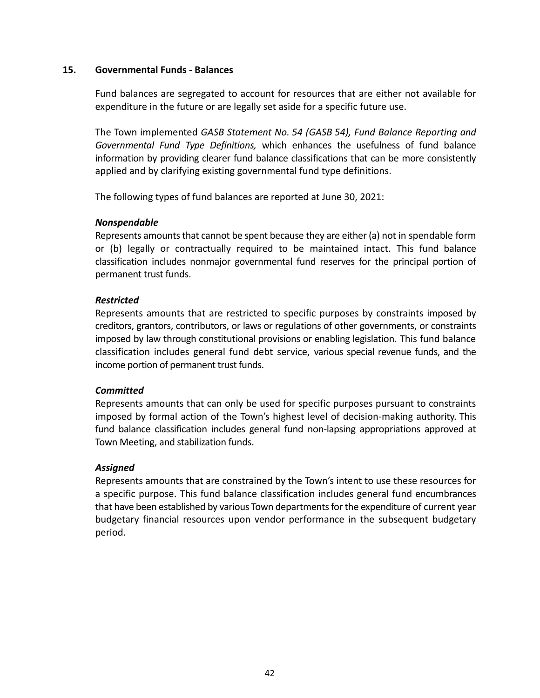### **15. Governmental Funds ‐ Balances**

Fund balances are segregated to account for resources that are either not available for expenditure in the future or are legally set aside for a specific future use.

The Town implemented *GASB Statement No. 54 (GASB 54), Fund Balance Reporting and Governmental Fund Type Definitions,*  which enhances the usefulness of fund balance information by providing clearer fund balance classifications that can be more consistently applied and by clarifying existing governmental fund type definitions.

The following types of fund balances are reported at June 30, 2021:

## *Nonspendable*

Represents amounts that cannot be spent because they are either (a) not in spendable form or (b) legally or contractually required to be maintained intact. This fund balance classification includes nonmajor governmental fund reserves for the principal portion of permanent trust funds.

## *Restricted*

Represents amounts that are restricted to specific purposes by constraints imposed by creditors, grantors, contributors, or laws or regulations of other governments, or constraints imposed by law through constitutional provisions or enabling legislation. This fund balance classification includes general fund debt service, various special revenue funds, and the income portion of permanent trust funds.

# *Committed*

Represents amounts that can only be used for specific purposes pursuant to constraints imposed by formal action of the Town's highest level of decision-making authority. This fund balance classification includes general fund non-lapsing appropriations approved at Town Meeting, and stabilization funds.

## *Assigned*

Represents amounts that are constrained by the Town's intent to use these resources for a specific purpose. This fund balance classification includes general fund encumbrances that have been established by various Town departments for the expenditure of current year budgetary financial resources upon vendor performance in the subsequent budgetary period.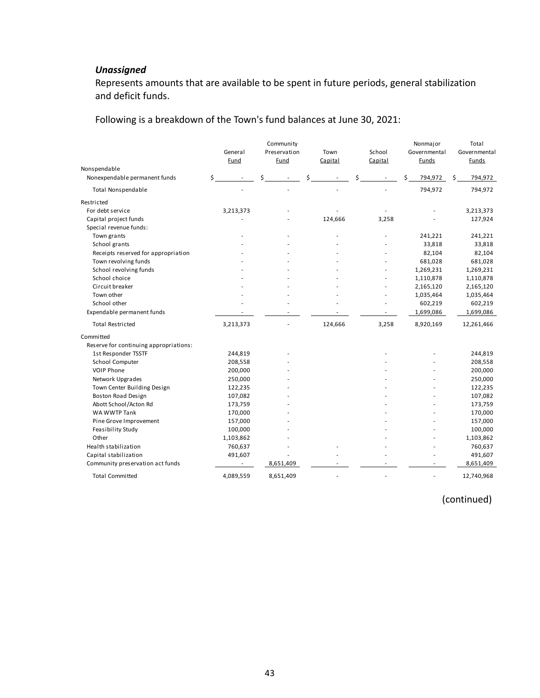# *Unassigned*

Represents amounts that are available to be spent in future periods, general stabilization and deficit funds.

Following is a breakdown of the Town's fund balances at June 30, 2021:

|                                        |    | General<br>Fund |   | Community<br>Preservation<br>Fund |   | Town<br>Capital |   | School<br>Capital | Nonmajor<br>Governmental<br>Funds |    | Total<br>Governmental<br>Funds |
|----------------------------------------|----|-----------------|---|-----------------------------------|---|-----------------|---|-------------------|-----------------------------------|----|--------------------------------|
| Nonspendable                           |    |                 |   |                                   |   |                 |   |                   |                                   |    |                                |
| Nonexpendable permanent funds          | \$ |                 | Ś |                                   | Ś |                 | Ś |                   | \$<br>794,972                     | \$ | 794,972                        |
| <b>Total Nonspendable</b>              |    |                 |   |                                   |   |                 |   |                   | 794,972                           |    | 794,972                        |
| Restricted                             |    |                 |   |                                   |   |                 |   |                   |                                   |    |                                |
| For debt service                       |    | 3,213,373       |   |                                   |   |                 |   |                   |                                   |    | 3,213,373                      |
| Capital project funds                  |    |                 |   |                                   |   | 124,666         |   | 3,258             |                                   |    | 127,924                        |
| Special revenue funds:                 |    |                 |   |                                   |   |                 |   |                   |                                   |    |                                |
| Town grants                            |    |                 |   |                                   |   |                 |   |                   | 241,221                           |    | 241,221                        |
| School grants                          |    |                 |   |                                   |   |                 |   |                   | 33,818                            |    | 33,818                         |
| Receipts reserved for appropriation    |    |                 |   |                                   |   |                 |   |                   | 82,104                            |    | 82,104                         |
| Town revolving funds                   |    |                 |   |                                   |   |                 |   |                   | 681,028                           |    | 681,028                        |
| School revolving funds                 |    |                 |   |                                   |   |                 |   |                   | 1,269,231                         |    | 1,269,231                      |
| School choice                          |    |                 |   |                                   |   |                 |   |                   | 1,110,878                         |    | 1,110,878                      |
| Circuit breaker                        |    |                 |   |                                   |   |                 |   |                   | 2,165,120                         |    | 2,165,120                      |
| Town other                             |    |                 |   |                                   |   |                 |   | $\sim$            | 1,035,464                         |    | 1,035,464                      |
| School other                           |    |                 |   |                                   |   |                 |   |                   | 602,219                           |    | 602,219                        |
| Expendable permanent funds             |    |                 |   |                                   |   |                 |   |                   | 1,699,086                         |    | 1,699,086                      |
| <b>Total Restricted</b>                |    | 3,213,373       |   |                                   |   | 124,666         |   | 3,258             | 8,920,169                         |    | 12,261,466                     |
| Committed                              |    |                 |   |                                   |   |                 |   |                   |                                   |    |                                |
| Reserve for continuing appropriations: |    |                 |   |                                   |   |                 |   |                   |                                   |    |                                |
| 1st Responder TSSTF                    |    | 244,819         |   |                                   |   |                 |   |                   |                                   |    | 244,819                        |
| School Computer                        |    | 208,558         |   |                                   |   |                 |   |                   |                                   |    | 208,558                        |
| <b>VOIP Phone</b>                      |    | 200,000         |   |                                   |   |                 |   |                   |                                   |    | 200,000                        |
| Network Upgrades                       |    | 250,000         |   |                                   |   |                 |   |                   |                                   |    | 250,000                        |
| Town Center Building Design            |    | 122,235         |   |                                   |   |                 |   |                   |                                   |    | 122,235                        |
| Boston Road Design                     |    | 107,082         |   |                                   |   |                 |   |                   |                                   |    | 107,082                        |
| Abott School/Acton Rd                  |    | 173,759         |   |                                   |   |                 |   |                   |                                   |    | 173,759                        |
| WA WWTP Tank                           |    | 170,000         |   |                                   |   |                 |   |                   |                                   |    | 170,000                        |
| Pine Grove Improvement                 |    | 157,000         |   |                                   |   |                 |   |                   |                                   |    | 157,000                        |
| Feasibility Study                      |    | 100,000         |   |                                   |   |                 |   |                   |                                   |    | 100,000                        |
| Other                                  |    | 1,103,862       |   |                                   |   |                 |   |                   |                                   |    | 1,103,862                      |
| Health stabilization                   |    | 760,637         |   |                                   |   |                 |   |                   |                                   |    | 760,637                        |
| Capital stabilization                  |    | 491,607         |   |                                   |   |                 |   |                   |                                   |    | 491,607                        |
| Community preservation act funds       |    |                 |   | 8,651,409                         |   |                 |   |                   |                                   |    | 8,651,409                      |
| <b>Total Committed</b>                 |    | 4,089,559       |   | 8,651,409                         |   | ä,              |   | ÷.                | $\blacksquare$                    |    | 12,740,968                     |

(continued)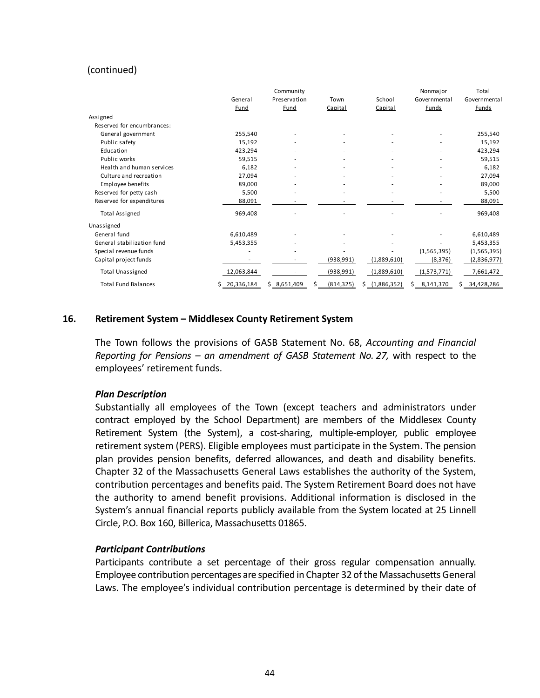## (continued)

|                            |            | Community    |            |                  | Nonmajor        | Total            |
|----------------------------|------------|--------------|------------|------------------|-----------------|------------------|
|                            | General    | Preservation | Town       | School           | Governmental    | Governmental     |
|                            | Fund       | Fund         | Capital    | Capital          | <b>Funds</b>    | <b>Funds</b>     |
| Assigned                   |            |              |            |                  |                 |                  |
| Reserved for encumbrances: |            |              |            |                  |                 |                  |
| General government         | 255,540    |              |            |                  |                 | 255,540          |
| Public safety              | 15,192     |              |            |                  |                 | 15,192           |
| Education                  | 423,294    |              |            |                  |                 | 423,294          |
| Public works               | 59,515     |              |            |                  |                 | 59,515           |
| Health and human services  | 6,182      |              |            |                  |                 | 6,182            |
| Culture and recreation     | 27,094     |              |            |                  |                 | 27,094           |
| Employee benefits          | 89,000     |              |            |                  |                 | 89,000           |
| Reserved for petty cash    | 5,500      |              |            |                  |                 | 5,500            |
| Reserved for expenditures  | 88,091     |              |            |                  |                 | 88,091           |
| <b>Total Assigned</b>      | 969,408    |              |            |                  |                 | 969,408          |
| Unassigned                 |            |              |            |                  |                 |                  |
| General fund               | 6,610,489  | ٠            |            |                  |                 | 6,610,489        |
| General stabilization fund | 5,453,355  |              |            |                  |                 | 5,453,355        |
| Special revenue funds      |            | ٠            |            |                  | (1,565,395)     | (1,565,395)      |
| Capital project funds      |            |              | (938, 991) | (1,889,610)      | (8, 376)        | (2,836,977)      |
| <b>Total Unassigned</b>    | 12,063,844 |              | (938, 991) | (1,889,610)      | (1,573,771)     | 7,661,472        |
| <b>Total Fund Balances</b> | 20,336,184 | \$8,651,409  | (814, 325) | (1,886,352)<br>S | 8,141,370<br>Ś. | Ś.<br>34,428,286 |

## **16. Retirement System – Middlesex County Retirement System**

The Town follows the provisions of GASB Statement No. 68, *Accounting and Financial Reporting for Pensions – an amendment of GASB Statement No. 27,* with respect to the employees' retirement funds.

#### *Plan Description*

Substantially all employees of the Town (except teachers and administrators under contract employed by the School Department) are members of the Middlesex County Retirement System (the System), a cost-sharing, multiple-employer, public employee retirement system (PERS). Eligible employees must participate in the System. The pension plan provides pension benefits, deferred allowances, and death and disability benefits. Chapter 32 of the Massachusetts General Laws establishes the authority of the System, contribution percentages and benefits paid. The System Retirement Board does not have the authority to amend benefit provisions. Additional information is disclosed in the System's annual financial reports publicly available from the System located at 25 Linnell Circle, P.O. Box 160, Billerica, Massachusetts 01865.

#### *Participant Contributions*

Participants contribute a set percentage of their gross regular compensation annually. Employee contribution percentages are specified in Chapter 32 of the Massachusetts General Laws. The employee's individual contribution percentage is determined by their date of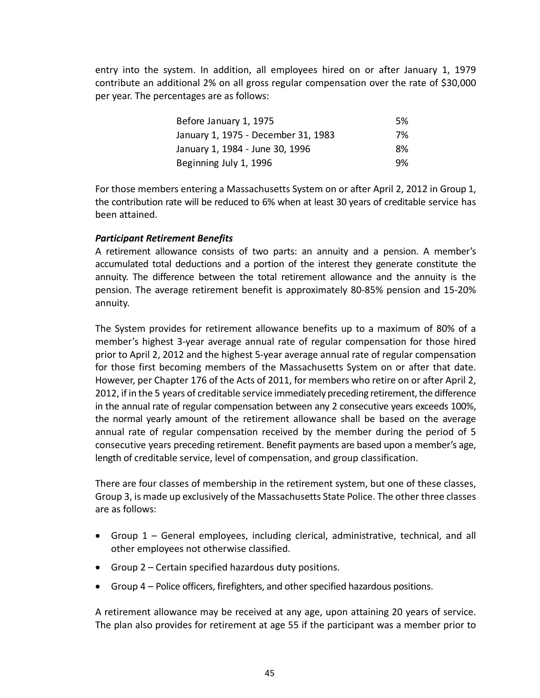entry into the system. In addition, all employees hired on or after January 1, 1979 contribute an additional 2% on all gross regular compensation over the rate of \$30,000 per year. The percentages are as follows:

| Before January 1, 1975              | 5% |
|-------------------------------------|----|
| January 1, 1975 - December 31, 1983 | 7% |
| January 1, 1984 - June 30, 1996     | 8% |
| Beginning July 1, 1996              | 9% |

For those members entering a Massachusetts System on or after April 2, 2012 in Group 1, the contribution rate will be reduced to 6% when at least 30 years of creditable service has been attained.

## *Participant Retirement Benefits*

A retirement allowance consists of two parts: an annuity and a pension. A member's accumulated total deductions and a portion of the interest they generate constitute the annuity. The difference between the total retirement allowance and the annuity is the pension. The average retirement benefit is approximately 80‐85% pension and 15‐20% annuity.

The System provides for retirement allowance benefits up to a maximum of 80% of a member's highest 3‐year average annual rate of regular compensation for those hired prior to April 2, 2012 and the highest 5‐year average annual rate of regular compensation for those first becoming members of the Massachusetts System on or after that date. However, per Chapter 176 of the Acts of 2011, for members who retire on or after April 2, 2012, if in the 5 years of creditable service immediately preceding retirement, the difference in the annual rate of regular compensation between any 2 consecutive years exceeds 100%, the normal yearly amount of the retirement allowance shall be based on the average annual rate of regular compensation received by the member during the period of 5 consecutive years preceding retirement. Benefit payments are based upon a member's age, length of creditable service, level of compensation, and group classification.

There are four classes of membership in the retirement system, but one of these classes, Group 3, is made up exclusively of the Massachusetts State Police. The other three classes are as follows:

- Group 1 General employees, including clerical, administrative, technical, and all other employees not otherwise classified.
- Group 2 Certain specified hazardous duty positions.
- Group 4 Police officers, firefighters, and other specified hazardous positions.

A retirement allowance may be received at any age, upon attaining 20 years of service. The plan also provides for retirement at age 55 if the participant was a member prior to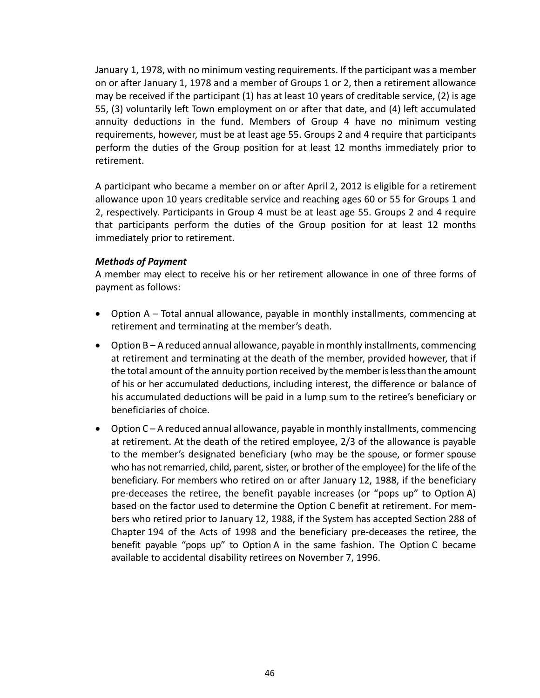January 1, 1978, with no minimum vesting requirements. If the participant was a member on or after January 1, 1978 and a member of Groups 1 or 2, then a retirement allowance may be received if the participant (1) has at least 10 years of creditable service, (2) is age 55, (3) voluntarily left Town employment on or after that date, and (4) left accumulated annuity deductions in the fund. Members of Group 4 have no minimum vesting requirements, however, must be at least age 55. Groups 2 and 4 require that participants perform the duties of the Group position for at least 12 months immediately prior to retirement.

A participant who became a member on or after April 2, 2012 is eligible for a retirement allowance upon 10 years creditable service and reaching ages 60 or 55 for Groups 1 and 2, respectively. Participants in Group 4 must be at least age 55. Groups 2 and 4 require that participants perform the duties of the Group position for at least 12 months immediately prior to retirement.

## *Methods of Payment*

A member may elect to receive his or her retirement allowance in one of three forms of payment as follows:

- Option A Total annual allowance, payable in monthly installments, commencing at retirement and terminating at the member's death.
- Option B A reduced annual allowance, payable in monthly installments, commencing at retirement and terminating at the death of the member, provided however, that if the total amount of the annuity portion received by the member is less than the amount of his or her accumulated deductions, including interest, the difference or balance of his accumulated deductions will be paid in a lump sum to the retiree's beneficiary or beneficiaries of choice.
- Option C A reduced annual allowance, payable in monthly installments, commencing at retirement. At the death of the retired employee, 2/3 of the allowance is payable to the member's designated beneficiary (who may be the spouse, or former spouse who has not remarried, child, parent, sister, or brother of the employee) for the life of the beneficiary. For members who retired on or after January 12, 1988, if the beneficiary pre-deceases the retiree, the benefit payable increases (or "pops up" to Option A) based on the factor used to determine the Option C benefit at retirement. For mem‐ bers who retired prior to January 12, 1988, if the System has accepted Section 288 of Chapter 194 of the Acts of 1998 and the beneficiary pre‐deceases the retiree, the benefit payable "pops up" to Option A in the same fashion. The Option C became available to accidental disability retirees on November 7, 1996.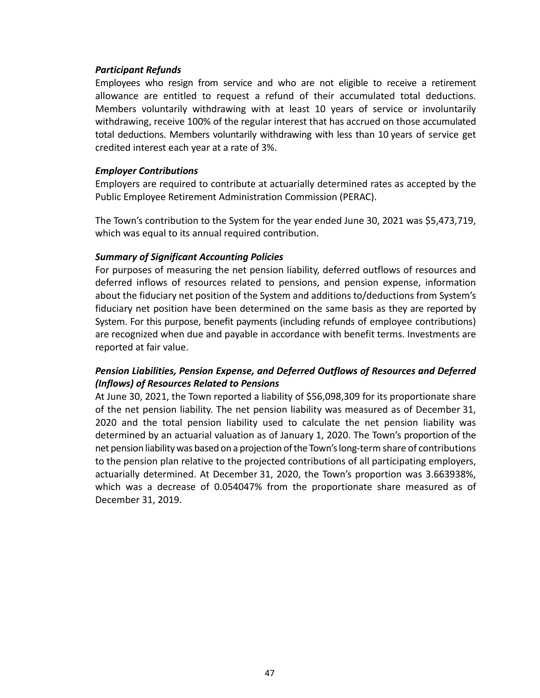## *Participant Refunds*

Employees who resign from service and who are not eligible to receive a retirement allowance are entitled to request a refund of their accumulated total deductions. Members voluntarily withdrawing with at least 10 years of service or involuntarily withdrawing, receive 100% of the regular interest that has accrued on those accumulated total deductions. Members voluntarily withdrawing with less than 10 years of service get credited interest each year at a rate of 3%.

## *Employer Contributions*

Employers are required to contribute at actuarially determined rates as accepted by the Public Employee Retirement Administration Commission (PERAC).

The Town's contribution to the System for the year ended June 30, 2021 was \$5,473,719, which was equal to its annual required contribution.

## *Summary of Significant Accounting Policies*

For purposes of measuring the net pension liability, deferred outflows of resources and deferred inflows of resources related to pensions, and pension expense, information about the fiduciary net position of the System and additions to/deductions from System's fiduciary net position have been determined on the same basis as they are reported by System. For this purpose, benefit payments (including refunds of employee contributions) are recognized when due and payable in accordance with benefit terms. Investments are reported at fair value.

# *Pension Liabilities, Pension Expense, and Deferred Outflows of Resources and Deferred (Inflows) of Resources Related to Pensions*

At June 30, 2021, the Town reported a liability of \$56,098,309 for its proportionate share of the net pension liability. The net pension liability was measured as of December 31, 2020 and the total pension liability used to calculate the net pension liability was determined by an actuarial valuation as of January 1, 2020. The Town's proportion of the net pension liability was based on a projection of the Town's long‐term share of contributions to the pension plan relative to the projected contributions of all participating employers, actuarially determined. At December 31, 2020, the Town's proportion was 3.663938%, which was a decrease of 0.054047% from the proportionate share measured as of December 31, 2019.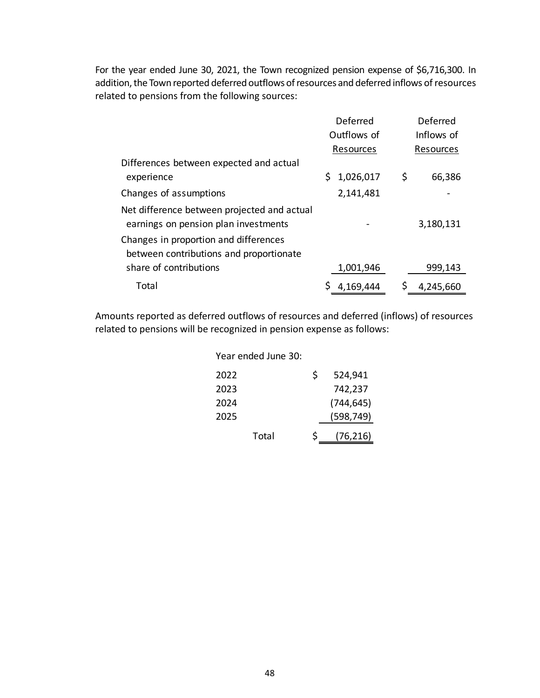For the year ended June 30, 2021, the Town recognized pension expense of \$6,716,300. In addition, the Town reported deferred outflows of resources and deferred inflows of resources related to pensions from the following sources:

|                                                                                     | Deferred        |    | Deferred   |  |
|-------------------------------------------------------------------------------------|-----------------|----|------------|--|
|                                                                                     | Outflows of     |    | Inflows of |  |
|                                                                                     | Resources       |    | Resources  |  |
| Differences between expected and actual                                             |                 |    |            |  |
| experience                                                                          | 1,026,017<br>S. | \$ | 66,386     |  |
| Changes of assumptions                                                              | 2,141,481       |    |            |  |
| Net difference between projected and actual<br>earnings on pension plan investments |                 |    | 3,180,131  |  |
| Changes in proportion and differences<br>between contributions and proportionate    |                 |    |            |  |
| share of contributions                                                              | 1,001,946       |    | 999,143    |  |
| Total                                                                               | 4,169,444       |    | 4,245,660  |  |

Amounts reported as deferred outflows of resources and deferred (inflows) of resources related to pensions will be recognized in pension expense as follows:

| Year ended June 30: |    |            |
|---------------------|----|------------|
| 2022                | Ś. | 524,941    |
| 2023                |    | 742,237    |
| 2024                |    | (744, 645) |
| 2025                |    | (598, 749) |
| Total               | Š. | (76, 216)  |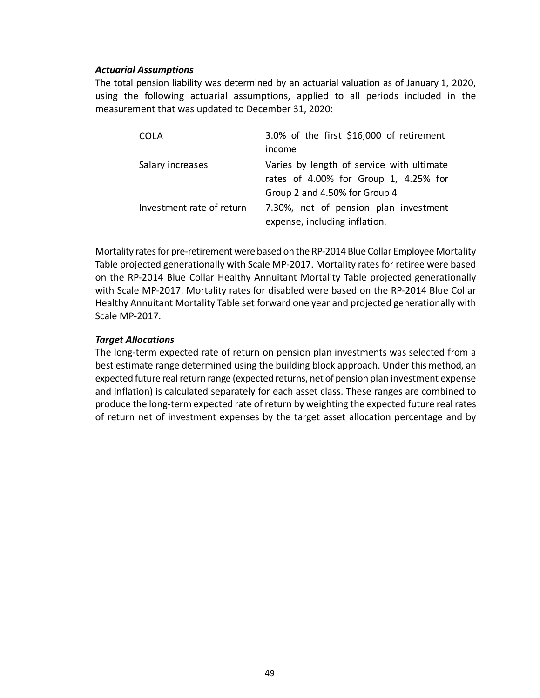## *Actuarial Assumptions*

The total pension liability was determined by an actuarial valuation as of January 1, 2020, using the following actuarial assumptions, applied to all periods included in the measurement that was updated to December 31, 2020:

| COLA                      | 3.0% of the first \$16,000 of retirement  |
|---------------------------|-------------------------------------------|
|                           | income                                    |
| Salary increases          | Varies by length of service with ultimate |
|                           | rates of 4.00% for Group 1, 4.25% for     |
|                           | Group 2 and 4.50% for Group 4             |
| Investment rate of return | 7.30%, net of pension plan investment     |
|                           | expense, including inflation.             |

Mortality rates for pre‐retirement were based on the RP‐2014 Blue Collar Employee Mortality Table projected generationally with Scale MP‐2017. Mortality rates for retiree were based on the RP‐2014 Blue Collar Healthy Annuitant Mortality Table projected generationally with Scale MP‐2017. Mortality rates for disabled were based on the RP‐2014 Blue Collar Healthy Annuitant Mortality Table set forward one year and projected generationally with Scale MP‐2017.

## *Target Allocations*

The long‐term expected rate of return on pension plan investments was selected from a best estimate range determined using the building block approach. Under this method, an expected future real return range (expected returns, net of pension plan investment expense and inflation) is calculated separately for each asset class. These ranges are combined to produce the long‐term expected rate of return by weighting the expected future real rates of return net of investment expenses by the target asset allocation percentage and by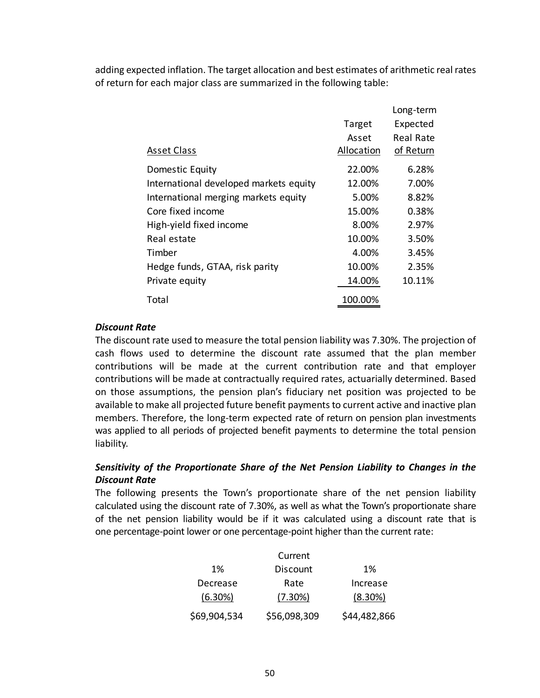adding expected inflation. The target allocation and best estimates of arithmetic real rates of return for each major class are summarized in the following table:

|                                        |            | Long-term |
|----------------------------------------|------------|-----------|
|                                        | Target     | Expected  |
|                                        | Asset      | Real Rate |
| <b>Asset Class</b>                     | Allocation | of Return |
| Domestic Equity                        | 22.00%     | 6.28%     |
| International developed markets equity | 12.00%     | 7.00%     |
| International merging markets equity   | 5.00%      | 8.82%     |
| Core fixed income                      | 15.00%     | 0.38%     |
| High-yield fixed income                | 8.00%      | 2.97%     |
| Real estate                            | 10.00%     | 3.50%     |
| Timber                                 | 4.00%      | 3.45%     |
| Hedge funds, GTAA, risk parity         | 10.00%     | 2.35%     |
| Private equity                         | 14.00%     | 10.11%    |
| Total                                  | 100.00%    |           |

## *Discount Rate*

The discount rate used to measure the total pension liability was 7.30%. The projection of cash flows used to determine the discount rate assumed that the plan member contributions will be made at the current contribution rate and that employer contributions will be made at contractually required rates, actuarially determined. Based on those assumptions, the pension plan's fiduciary net position was projected to be available to make all projected future benefit payments to current active and inactive plan members. Therefore, the long-term expected rate of return on pension plan investments was applied to all periods of projected benefit payments to determine the total pension liability.

## *Sensitivity of the Proportionate Share of the Net Pension Liability to Changes in the Discount Rate*

The following presents the Town's proportionate share of the net pension liability calculated using the discount rate of 7.30%, as well as what the Town's proportionate share of the net pension liability would be if it was calculated using a discount rate that is one percentage‐point lower or one percentage‐point higher than the current rate:

|              | Current         |              |
|--------------|-----------------|--------------|
| 1%           | <b>Discount</b> | 1%           |
| Decrease     | Rate            | Increase     |
| (6.30%)      | (7.30%)         | $(8.30\%)$   |
| \$69,904,534 | \$56,098,309    | \$44,482,866 |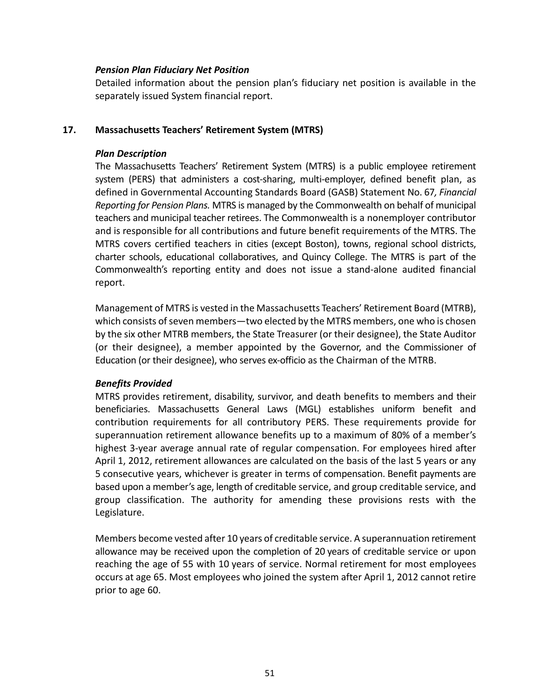## *Pension Plan Fiduciary Net Position*

Detailed information about the pension plan's fiduciary net position is available in the separately issued System financial report.

## **17. Massachusetts Teachers' Retirement System (MTRS)**

## *Plan Description*

The Massachusetts Teachers' Retirement System (MTRS) is a public employee retirement system (PERS) that administers a cost-sharing, multi-employer, defined benefit plan, as defined in Governmental Accounting Standards Board (GASB) Statement No. 67*, Financial Reporting for Pension Plans.* MTRS is managed by the Commonwealth on behalf of municipal teachers and municipal teacher retirees. The Commonwealth is a nonemployer contributor and is responsible for all contributions and future benefit requirements of the MTRS. The MTRS covers certified teachers in cities (except Boston), towns, regional school districts, charter schools, educational collaboratives, and Quincy College. The MTRS is part of the Commonwealth's reporting entity and does not issue a stand‐alone audited financial report.

Management of MTRS is vested in the Massachusetts Teachers' Retirement Board (MTRB), which consists of seven members—two elected by the MTRS members, one who is chosen by the six other MTRB members, the State Treasurer (or their designee), the State Auditor (or their designee), a member appointed by the Governor, and the Commissioner of Education (or their designee), who serves ex‐officio as the Chairman of the MTRB.

## *Benefits Provided*

MTRS provides retirement, disability, survivor, and death benefits to members and their beneficiaries. Massachusetts General Laws (MGL) establishes uniform benefit and contribution requirements for all contributory PERS. These requirements provide for superannuation retirement allowance benefits up to a maximum of 80% of a member's highest 3‐year average annual rate of regular compensation. For employees hired after April 1, 2012, retirement allowances are calculated on the basis of the last 5 years or any 5 consecutive years, whichever is greater in terms of compensation. Benefit payments are based upon a member's age, length of creditable service, and group creditable service, and group classification. The authority for amending these provisions rests with the Legislature.

Members become vested after 10 years of creditable service. A superannuation retirement allowance may be received upon the completion of 20 years of creditable service or upon reaching the age of 55 with 10 years of service. Normal retirement for most employees occurs at age 65. Most employees who joined the system after April 1, 2012 cannot retire prior to age 60.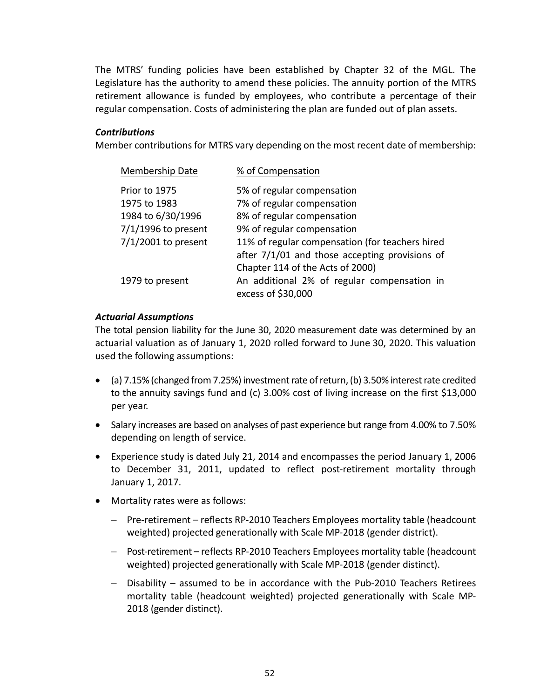The MTRS' funding policies have been established by Chapter 32 of the MGL. The Legislature has the authority to amend these policies. The annuity portion of the MTRS retirement allowance is funded by employees, who contribute a percentage of their regular compensation. Costs of administering the plan are funded out of plan assets.

## *Contributions*

Member contributions for MTRS vary depending on the most recent date of membership:

| Membership Date       | % of Compensation                                                                                 |
|-----------------------|---------------------------------------------------------------------------------------------------|
| Prior to 1975         | 5% of regular compensation                                                                        |
| 1975 to 1983          | 7% of regular compensation                                                                        |
| 1984 to 6/30/1996     | 8% of regular compensation                                                                        |
| $7/1/1996$ to present | 9% of regular compensation                                                                        |
| $7/1/2001$ to present | 11% of regular compensation (for teachers hired<br>after 7/1/01 and those accepting provisions of |
|                       | Chapter 114 of the Acts of 2000)                                                                  |
| 1979 to present       | An additional 2% of regular compensation in<br>excess of \$30,000                                 |

## *Actuarial Assumptions*

The total pension liability for the June 30, 2020 measurement date was determined by an actuarial valuation as of January 1, 2020 rolled forward to June 30, 2020. This valuation used the following assumptions:

- (a) 7.15% (changed from 7.25%) investment rate of return, (b) 3.50% interest rate credited to the annuity savings fund and (c) 3.00% cost of living increase on the first \$13,000 per year.
- Salary increases are based on analyses of past experience but range from 4.00% to 7.50% depending on length of service.
- Experience study is dated July 21, 2014 and encompasses the period January 1, 2006 to December 31, 2011, updated to reflect post-retirement mortality through January 1, 2017.
- Mortality rates were as follows:
	- Pre-retirement reflects RP-2010 Teachers Employees mortality table (headcount weighted) projected generationally with Scale MP‐2018 (gender district).
	- Post-retirement reflects RP-2010 Teachers Employees mortality table (headcount weighted) projected generationally with Scale MP‐2018 (gender distinct).
	- Disability assumed to be in accordance with the Pub‐2010 Teachers Retirees mortality table (headcount weighted) projected generationally with Scale MP-2018 (gender distinct).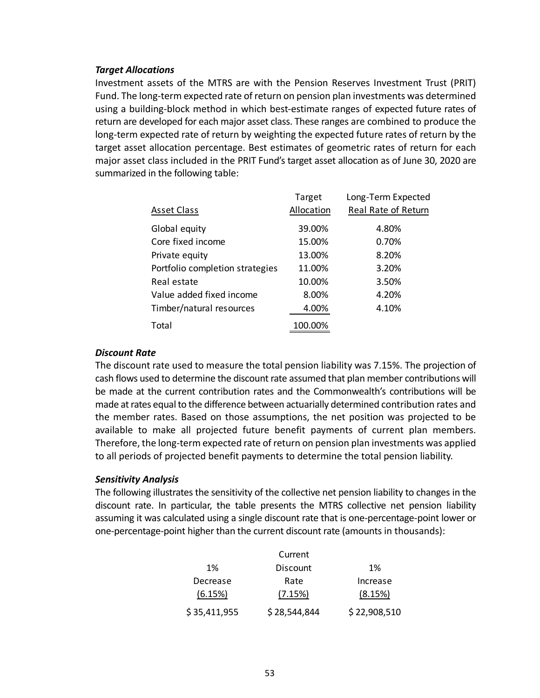## *Target Allocations*

Investment assets of the MTRS are with the Pension Reserves Investment Trust (PRIT) Fund. The long‐term expected rate of return on pension plan investments was determined using a building‐block method in which best‐estimate ranges of expected future rates of return are developed for each major asset class. These ranges are combined to produce the long-term expected rate of return by weighting the expected future rates of return by the target asset allocation percentage. Best estimates of geometric rates of return for each major asset class included in the PRIT Fund's target asset allocation as of June 30, 2020 are summarized in the following table:

|                                 | Target     | Long-Term Expected  |
|---------------------------------|------------|---------------------|
| <b>Asset Class</b>              | Allocation | Real Rate of Return |
| Global equity                   | 39.00%     | 4.80%               |
| Core fixed income               | 15.00%     | 0.70%               |
| Private equity                  | 13.00%     | 8.20%               |
| Portfolio completion strategies | 11.00%     | 3.20%               |
| Real estate                     | 10.00%     | 3.50%               |
| Value added fixed income        | 8.00%      | 4.20%               |
| Timber/natural resources        | 4.00%      | 4.10%               |
| Total                           | 100.00%    |                     |

## *Discount Rate*

The discount rate used to measure the total pension liability was 7.15%. The projection of cash flows used to determine the discount rate assumed that plan member contributions will be made at the current contribution rates and the Commonwealth's contributions will be made at rates equal to the difference between actuarially determined contribution rates and the member rates. Based on those assumptions, the net position was projected to be available to make all projected future benefit payments of current plan members. Therefore, the long‐term expected rate of return on pension plan investments was applied to all periods of projected benefit payments to determine the total pension liability.

## *Sensitivity Analysis*

The following illustrates the sensitivity of the collective net pension liability to changes in the discount rate. In particular, the table presents the MTRS collective net pension liability assuming it was calculated using a single discount rate that is one‐percentage‐point lower or one‐percentage‐point higher than the current discount rate (amounts in thousands):

|              | Current      |              |
|--------------|--------------|--------------|
| 1%           | Discount     | 1%           |
| Decrease     | Rate         | Increase     |
| (6.15%)      | (7.15%)      | (8.15%)      |
| \$35,411,955 | \$28,544,844 | \$22,908,510 |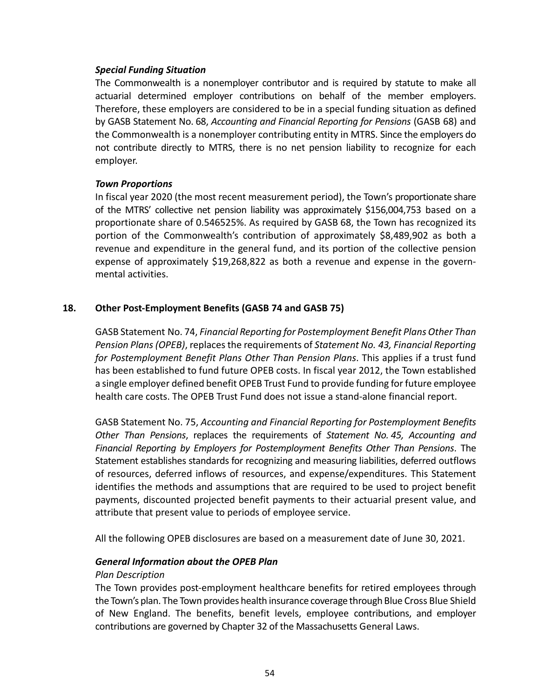## *Special Funding Situation*

The Commonwealth is a nonemployer contributor and is required by statute to make all actuarial determined employer contributions on behalf of the member employers. Therefore, these employers are considered to be in a special funding situation as defined by GASB Statement No. 68, *Accounting and Financial Reporting for Pensions* (GASB 68) and the Commonwealth is a nonemployer contributing entity in MTRS. Since the employers do not contribute directly to MTRS, there is no net pension liability to recognize for each employer.

## *Town Proportions*

In fiscal year 2020 (the most recent measurement period), the Town's proportionate share of the MTRS' collective net pension liability was approximately \$156,004,753 based on a proportionate share of 0.546525%. As required by GASB 68, the Town has recognized its portion of the Commonwealth's contribution of approximately \$8,489,902 as both a revenue and expenditure in the general fund, and its portion of the collective pension expense of approximately \$19,268,822 as both a revenue and expense in the governmental activities.

## **18. Other Post‐Employment Benefits (GASB 74 and GASB 75)**

GASB Statement No. 74, *Financial Reporting for Postemployment Benefit Plans Other Than Pension Plans (OPEB)*, replaces the requirements of *Statement No. 43, Financial Reporting for Postemployment Benefit Plans Other Than Pension Plans*. This applies if a trust fund has been established to fund future OPEB costs. In fiscal year 2012, the Town established a single employer defined benefit OPEB Trust Fund to provide funding for future employee health care costs. The OPEB Trust Fund does not issue a stand‐alone financial report.

GASB Statement No. 75, *Accounting and Financial Reporting for Postemployment Benefits Other Than Pensions*, replaces the requirements of *Statement No. 45, Accounting and Financial Reporting by Employers for Postemployment Benefits Other Than Pensions*. The Statement establishes standards for recognizing and measuring liabilities, deferred outflows of resources, deferred inflows of resources, and expense/expenditures. This Statement identifies the methods and assumptions that are required to be used to project benefit payments, discounted projected benefit payments to their actuarial present value, and attribute that present value to periods of employee service.

All the following OPEB disclosures are based on a measurement date of June 30, 2021.

## *General Information about the OPEB Plan*

#### *Plan Description*

The Town provides post‐employment healthcare benefits for retired employees through the Town's plan. The Town provides health insurance coverage through Blue Cross Blue Shield of New England. The benefits, benefit levels, employee contributions, and employer contributions are governed by Chapter 32 of the Massachusetts General Laws.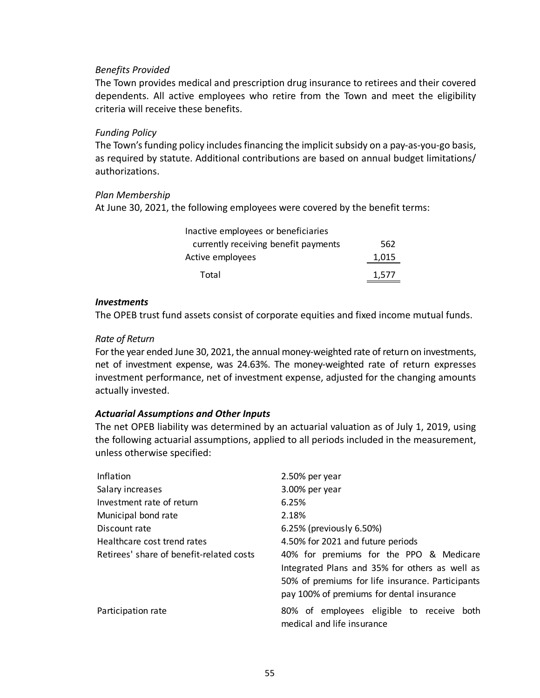## *Benefits Provided*

The Town provides medical and prescription drug insurance to retirees and their covered dependents. All active employees who retire from the Town and meet the eligibility criteria will receive these benefits.

## *Funding Policy*

The Town's funding policy includes financing the implicit subsidy on a pay‐as‐you‐go basis, as required by statute. Additional contributions are based on annual budget limitations/ authorizations.

## *Plan Membership*

At June 30, 2021, the following employees were covered by the benefit terms:

| Inactive employees or beneficiaries  |       |
|--------------------------------------|-------|
| currently receiving benefit payments | 562   |
| Active employees                     | 1,015 |
| Total                                | 1.577 |

## *Investments*

The OPEB trust fund assets consist of corporate equities and fixed income mutual funds.

## *Rate of Return*

For the year ended June 30, 2021, the annual money-weighted rate of return on investments, net of investment expense, was 24.63%. The money-weighted rate of return expresses investment performance, net of investment expense, adjusted for the changing amounts actually invested.

## *Actuarial Assumptions and Other Inputs*

The net OPEB liability was determined by an actuarial valuation as of July 1, 2019, using the following actuarial assumptions, applied to all periods included in the measurement, unless otherwise specified:

| Inflation                                | 2.50% per year                                                                                                                                                                             |
|------------------------------------------|--------------------------------------------------------------------------------------------------------------------------------------------------------------------------------------------|
| Salary increases                         | 3.00% per year                                                                                                                                                                             |
| Investment rate of return                | 6.25%                                                                                                                                                                                      |
| Municipal bond rate                      | 2.18%                                                                                                                                                                                      |
| Discount rate                            | 6.25% (previously 6.50%)                                                                                                                                                                   |
| Healthcare cost trend rates              | 4.50% for 2021 and future periods                                                                                                                                                          |
| Retirees' share of benefit-related costs | 40% for premiums for the PPO & Medicare<br>Integrated Plans and 35% for others as well as<br>50% of premiums for life insurance. Participants<br>pay 100% of premiums for dental insurance |
| Participation rate                       | 80% of employees eligible to receive both<br>medical and life insurance                                                                                                                    |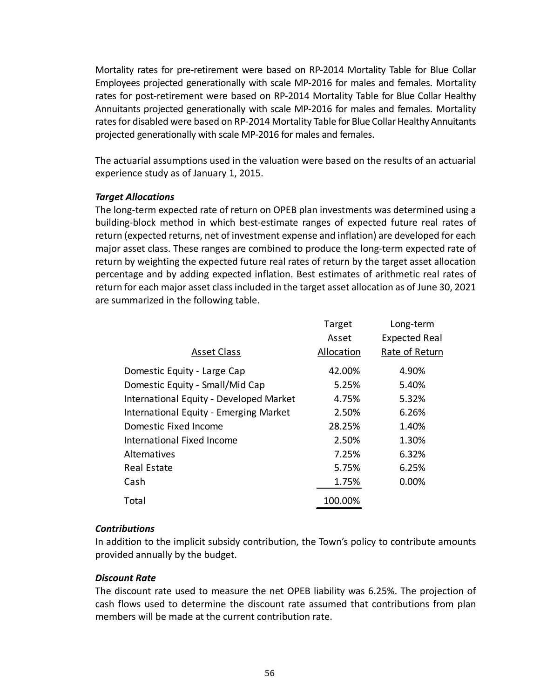Mortality rates for pre‐retirement were based on RP‐2014 Mortality Table for Blue Collar Employees projected generationally with scale MP‐2016 for males and females. Mortality rates for post-retirement were based on RP-2014 Mortality Table for Blue Collar Healthy Annuitants projected generationally with scale MP‐2016 for males and females. Mortality rates for disabled were based on RP‐2014 Mortality Table for Blue Collar Healthy Annuitants projected generationally with scale MP‐2016 for males and females.

The actuarial assumptions used in the valuation were based on the results of an actuarial experience study as of January 1, 2015.

## *Target Allocations*

The long‐term expected rate of return on OPEB plan investments was determined using a building‐block method in which best‐estimate ranges of expected future real rates of return (expected returns, net of investment expense and inflation) are developed for each major asset class. These ranges are combined to produce the long‐term expected rate of return by weighting the expected future real rates of return by the target asset allocation percentage and by adding expected inflation. Best estimates of arithmetic real rates of return for each major asset class included in the target asset allocation as of June 30, 2021 are summarized in the following table.

|                                         | Target     | Long-term            |
|-----------------------------------------|------------|----------------------|
|                                         | Asset      | <b>Expected Real</b> |
| <b>Asset Class</b>                      | Allocation | Rate of Return       |
| Domestic Equity - Large Cap             | 42.00%     | 4.90%                |
| Domestic Equity - Small/Mid Cap         | 5.25%      | 5.40%                |
| International Equity - Developed Market | 4.75%      | 5.32%                |
| International Equity - Emerging Market  | 2.50%      | 6.26%                |
| Domestic Fixed Income                   | 28.25%     | 1.40%                |
| International Fixed Income              | 2.50%      | 1.30%                |
| Alternatives                            | 7.25%      | 6.32%                |
| <b>Real Estate</b>                      | 5.75%      | 6.25%                |
| Cash                                    | 1.75%      | 0.00%                |
| Total                                   | 100.00%    |                      |

## *Contributions*

In addition to the implicit subsidy contribution, the Town's policy to contribute amounts provided annually by the budget.

# *Discount Rate*

The discount rate used to measure the net OPEB liability was 6.25%. The projection of cash flows used to determine the discount rate assumed that contributions from plan members will be made at the current contribution rate.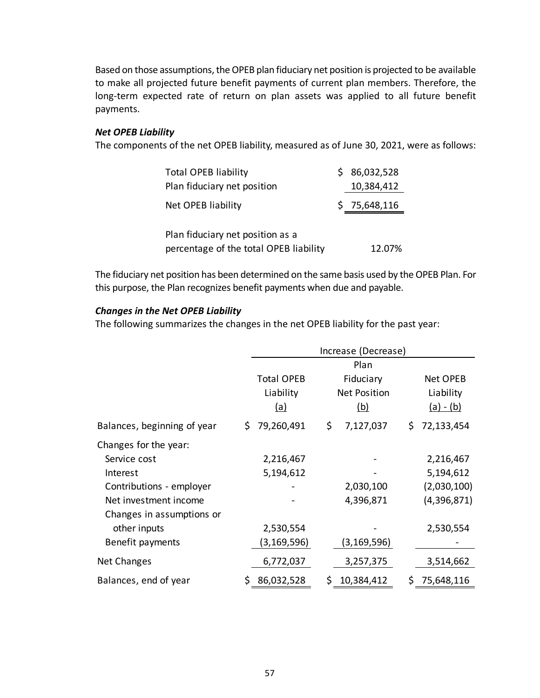Based on those assumptions, the OPEB plan fiduciary net position is projected to be available to make all projected future benefit payments of current plan members. Therefore, the long-term expected rate of return on plan assets was applied to all future benefit payments.

## *Net OPEB Liability*

The components of the net OPEB liability, measured as of June 30, 2021, were as follows:

| <b>Total OPEB liability</b>            | S | 86,032,528   |
|----------------------------------------|---|--------------|
| Plan fiduciary net position            |   | 10,384,412   |
| <b>Net OPEB liability</b>              |   | \$75,648,116 |
|                                        |   |              |
| Plan fiduciary net position as a       |   |              |
| percentage of the total OPEB liability |   | 12.07%       |

The fiduciary net position has been determined on the same basis used by the OPEB Plan. For this purpose, the Plan recognizes benefit payments when due and payable.

## *Changes in the Net OPEB Liability*

The following summarizes the changes in the net OPEB liability for the past year:

|                                                                                                                                                                         |                                                      | Increase (Decrease)                                    |                                                                   |  |  |  |  |  |  |
|-------------------------------------------------------------------------------------------------------------------------------------------------------------------------|------------------------------------------------------|--------------------------------------------------------|-------------------------------------------------------------------|--|--|--|--|--|--|
|                                                                                                                                                                         | <b>Total OPEB</b><br>Liability<br><u>(a)</u>         | Plan<br>Fiduciary<br><b>Net Position</b><br><u>(b)</u> | Net OPEB<br>Liability<br><u>(a) - (b)</u>                         |  |  |  |  |  |  |
| Balances, beginning of year                                                                                                                                             | 79,260,491<br>\$.                                    | \$<br>7,127,037                                        | \$<br>72,133,454                                                  |  |  |  |  |  |  |
| Changes for the year:<br>Service cost<br>Interest<br>Contributions - employer<br>Net investment income<br>Changes in assumptions or<br>other inputs<br>Benefit payments | 2,216,467<br>5,194,612<br>2,530,554<br>(3, 169, 596) | 2,030,100<br>4,396,871<br>(3,169,596)                  | 2,216,467<br>5,194,612<br>(2,030,100)<br>(4,396,871)<br>2,530,554 |  |  |  |  |  |  |
| Net Changes                                                                                                                                                             | 6,772,037                                            | 3,257,375                                              | 3,514,662                                                         |  |  |  |  |  |  |
| Balances, end of year                                                                                                                                                   | 86,032,528<br>\$.                                    | \$<br>10,384,412                                       | \$<br>75,648,116                                                  |  |  |  |  |  |  |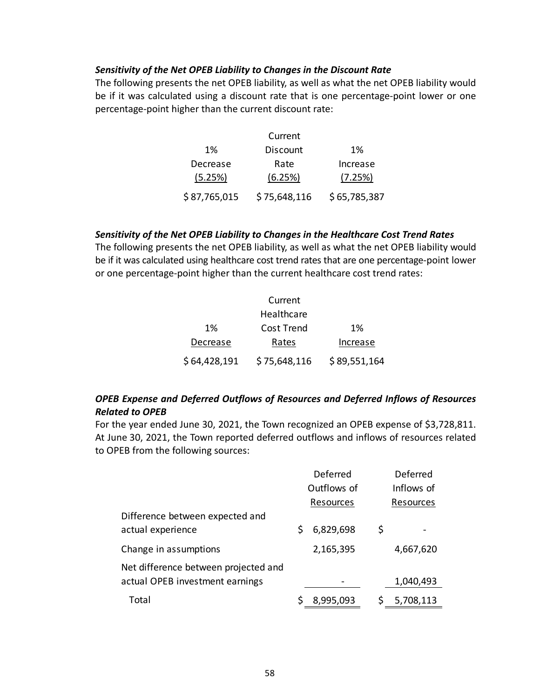### *Sensitivity of the Net OPEB Liability to Changes in the Discount Rate*

The following presents the net OPEB liability, as well as what the net OPEB liability would be if it was calculated using a discount rate that is one percentage-point lower or one percentage‐point higher than the current discount rate:

|              | Current         |              |
|--------------|-----------------|--------------|
| 1%           | <b>Discount</b> | 1%           |
| Decrease     | Rate            | Increase     |
| (5.25%)      | (6.25%)         | (7.25%)      |
| \$87,765,015 | \$75,648,116    | \$65,785,387 |

## *Sensitivity of the Net OPEB Liability to Changes in the Healthcare Cost Trend Rates*

The following presents the net OPEB liability, as well as what the net OPEB liability would be if it was calculated using healthcare cost trend rates that are one percentage‐point lower or one percentage‐point higher than the current healthcare cost trend rates:

|              | Current      |              |
|--------------|--------------|--------------|
|              | Healthcare   |              |
| 1%           | Cost Trend   | 1%           |
| Decrease     | Rates        | Increase     |
| \$64,428,191 | \$75,648,116 | \$89,551,164 |

# *OPEB Expense and Deferred Outflows of Resources and Deferred Inflows of Resources Related to OPEB*

For the year ended June 30, 2021, the Town recognized an OPEB expense of \$3,728,811. At June 30, 2021, the Town reported deferred outflows and inflows of resources related to OPEB from the following sources:

|                                      | Deferred |             |    | Deferred   |
|--------------------------------------|----------|-------------|----|------------|
|                                      |          | Outflows of |    | Inflows of |
|                                      |          | Resources   |    | Resources  |
| Difference between expected and      |          |             |    |            |
| actual experience                    |          | 6,829,698   | \$ |            |
| Change in assumptions                |          | 2,165,395   |    | 4,667,620  |
| Net difference between projected and |          |             |    |            |
| actual OPEB investment earnings      |          |             |    | 1,040,493  |
| Total                                |          | 8,995,093   |    | 5,708,113  |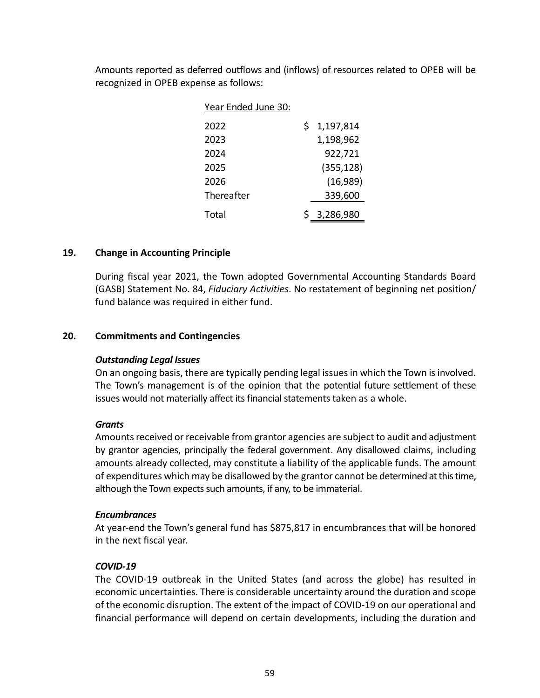Amounts reported as deferred outflows and (inflows) of resources related to OPEB will be recognized in OPEB expense as follows:

| Year Ended June 30: |                 |
|---------------------|-----------------|
| 2022                | \$<br>1,197,814 |
| 2023                | 1,198,962       |
| 2024                | 922,721         |
| 2025                | (355, 128)      |
| 2026                | (16,989)        |
| Thereafter          | 339,600         |
| Total               | \$3,286,980     |

## **19. Change in Accounting Principle**

During fiscal year 2021, the Town adopted Governmental Accounting Standards Board (GASB) Statement No. 84, *Fiduciary Activities*. No restatement of beginning net position/ fund balance was required in either fund.

## **20. Commitments and Contingencies**

## *Outstanding Legal Issues*

On an ongoing basis, there are typically pending legal issues in which the Town is involved. The Town's management is of the opinion that the potential future settlement of these issues would not materially affect its financial statements taken as a whole.

## *Grants*

Amounts received or receivable from grantor agencies are subject to audit and adjustment by grantor agencies, principally the federal government. Any disallowed claims, including amounts already collected, may constitute a liability of the applicable funds. The amount of expenditures which may be disallowed by the grantor cannot be determined at this time, although the Town expects such amounts, if any, to be immaterial.

## *Encumbrances*

At year‐end the Town's general fund has \$875,817 in encumbrances that will be honored in the next fiscal year.

## *COVID‐19*

The COVID‐19 outbreak in the United States (and across the globe) has resulted in economic uncertainties. There is considerable uncertainty around the duration and scope of the economic disruption. The extent of the impact of COVID‐19 on our operational and financial performance will depend on certain developments, including the duration and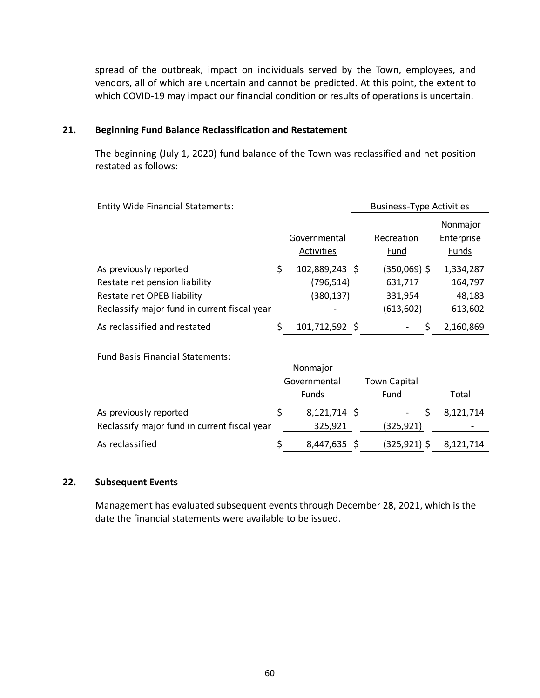spread of the outbreak, impact on individuals served by the Town, employees, and vendors, all of which are uncertain and cannot be predicted. At this point, the extent to which COVID-19 may impact our financial condition or results of operations is uncertain.

## **21. Beginning Fund Balance Reclassification and Restatement**

The beginning (July 1, 2020) fund balance of the Town was reclassified and net position restated as follows:

| <b>Entity Wide Financial Statements:</b>                                                                                              |    |                                            | <b>Business-Type Activities</b>                 |                                           |
|---------------------------------------------------------------------------------------------------------------------------------------|----|--------------------------------------------|-------------------------------------------------|-------------------------------------------|
|                                                                                                                                       |    | Governmental<br>Activities                 | Recreation<br>Fund                              | Nonmajor<br>Enterprise<br>Funds           |
| As previously reported<br>Restate net pension liability<br>Restate net OPEB liability<br>Reclassify major fund in current fiscal year | \$ | 102,889,243 \$<br>(796, 514)<br>(380, 137) | (350,069) \$<br>631,717<br>331,954<br>(613,602) | 1,334,287<br>164,797<br>48,183<br>613,602 |
| As reclassified and restated                                                                                                          | Ś  | 101,712,592 \$                             | S                                               | 2,160,869                                 |
| <b>Fund Basis Financial Statements:</b>                                                                                               |    | Nonmajor<br>Governmental<br>Funds          | <b>Town Capital</b><br>Fund                     | Total                                     |
| As previously reported<br>Reclassify major fund in current fiscal year                                                                | \$ | $8,121,714$ \$<br>325,921                  | \$<br>(325,921)                                 | 8,121,714                                 |
| As reclassified                                                                                                                       |    | 8,447,635 \$                               | (325,921) \$                                    | 8,121,714                                 |

## **22. Subsequent Events**

Management has evaluated subsequent events through December 28, 2021, which is the date the financial statements were available to be issued.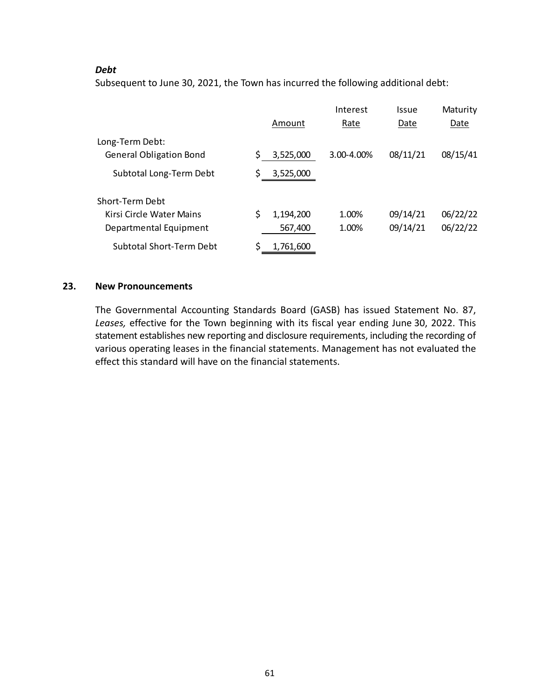## *Debt*

Subsequent to June 30, 2021, the Town has incurred the following additional debt:

|                                |    |           | Interest   | Issue    | Maturity |
|--------------------------------|----|-----------|------------|----------|----------|
|                                |    | Amount    | Rate       | Date     | Date     |
| Long-Term Debt:                |    |           |            |          |          |
| <b>General Obligation Bond</b> | \$ | 3,525,000 | 3.00-4.00% | 08/11/21 | 08/15/41 |
| Subtotal Long-Term Debt        | \$ | 3,525,000 |            |          |          |
| Short-Term Debt                |    |           |            |          |          |
| Kirsi Circle Water Mains       | \$ | 1,194,200 | 1.00%      | 09/14/21 | 06/22/22 |
| Departmental Equipment         |    | 567,400   | 1.00%      | 09/14/21 | 06/22/22 |
| Subtotal Short-Term Debt       | Ś  | 1,761,600 |            |          |          |

## **23. New Pronouncements**

The Governmental Accounting Standards Board (GASB) has issued Statement No. 87, *Leases,* effective for the Town beginning with its fiscal year ending June 30, 2022. This statement establishes new reporting and disclosure requirements, including the recording of various operating leases in the financial statements. Management has not evaluated the effect this standard will have on the financial statements.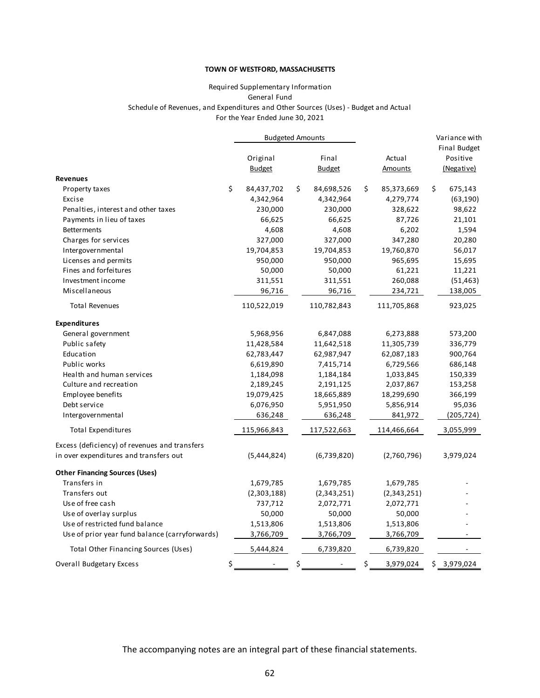#### Required Supplementary Information For the Year Ended June 30, 2021 General Fund Schedule of Revenues, and Expenditures and Other Sources (Uses) ‐ Budget and Actual

|                                                | <b>Budgeted Amounts</b> |                           |    |                        | Variance with            |                                        |
|------------------------------------------------|-------------------------|---------------------------|----|------------------------|--------------------------|----------------------------------------|
|                                                |                         | Original<br><b>Budget</b> |    | Final<br><b>Budget</b> | Actual<br><b>Amounts</b> | Final Budget<br>Positive<br>(Negative) |
| <b>Revenues</b>                                |                         |                           |    |                        |                          |                                        |
| Property taxes                                 | \$                      | 84,437,702                | \$ | 84,698,526             | \$<br>85,373,669         | \$<br>675,143                          |
| Excise                                         |                         | 4,342,964                 |    | 4,342,964              | 4,279,774                | (63, 190)                              |
| Penalties, interest and other taxes            |                         | 230,000                   |    | 230,000                | 328,622                  | 98,622                                 |
| Payments in lieu of taxes                      |                         | 66,625                    |    | 66,625                 | 87,726                   | 21,101                                 |
| <b>Betterments</b>                             |                         | 4,608                     |    | 4,608                  | 6,202                    | 1,594                                  |
| Charges for services                           |                         | 327,000                   |    | 327,000                | 347,280                  | 20,280                                 |
| Intergovernmental                              |                         | 19,704,853                |    | 19,704,853             | 19,760,870               | 56,017                                 |
| Licenses and permits                           |                         | 950,000                   |    | 950,000                | 965,695                  | 15,695                                 |
| Fines and forfeitures                          |                         | 50,000                    |    | 50,000                 | 61,221                   | 11,221                                 |
| Investment income                              |                         | 311,551                   |    | 311,551                | 260,088                  | (51, 463)                              |
| Miscellaneous                                  |                         | 96,716                    |    | 96,716                 | 234,721                  | 138,005                                |
| <b>Total Revenues</b>                          |                         | 110,522,019               |    | 110,782,843            | 111,705,868              | 923,025                                |
| <b>Expenditures</b>                            |                         |                           |    |                        |                          |                                        |
| General government                             |                         | 5,968,956                 |    | 6,847,088              | 6,273,888                | 573,200                                |
| Public safety                                  |                         | 11,428,584                |    | 11,642,518             | 11,305,739               | 336,779                                |
| Education                                      |                         | 62,783,447                |    | 62,987,947             | 62,087,183               | 900,764                                |
| Public works                                   |                         | 6,619,890                 |    | 7,415,714              | 6,729,566                | 686,148                                |
| Health and human services                      |                         | 1,184,098                 |    | 1,184,184              | 1,033,845                | 150,339                                |
| Culture and recreation                         |                         | 2,189,245                 |    | 2,191,125              | 2,037,867                | 153,258                                |
| Employee benefits                              |                         | 19,079,425                |    | 18,665,889             | 18,299,690               | 366,199                                |
| Debt service                                   |                         | 6,076,950                 |    | 5,951,950              | 5,856,914                | 95,036                                 |
| Intergovernmental                              |                         | 636,248                   |    | 636,248                | 841,972                  | (205, 724)                             |
| <b>Total Expenditures</b>                      |                         | 115,966,843               |    | 117,522,663            | 114,466,664              | 3,055,999                              |
| Excess (deficiency) of revenues and transfers  |                         |                           |    |                        |                          |                                        |
| in over expenditures and transfers out         |                         | (5,444,824)               |    | (6,739,820)            | (2,760,796)              | 3,979,024                              |
| <b>Other Financing Sources (Uses)</b>          |                         |                           |    |                        |                          |                                        |
| Transfers in                                   |                         | 1,679,785                 |    | 1,679,785              | 1,679,785                |                                        |
| Transfers out                                  |                         | (2,303,188)               |    | (2,343,251)            | (2,343,251)              |                                        |
| Use of free cash                               |                         | 737,712                   |    | 2,072,771              | 2,072,771                |                                        |
| Use of overlay surplus                         |                         | 50,000                    |    | 50,000                 | 50,000                   |                                        |
| Use of restricted fund balance                 |                         | 1,513,806                 |    | 1,513,806              | 1,513,806                |                                        |
| Use of prior year fund balance (carryforwards) |                         | 3,766,709                 |    | 3,766,709              | 3,766,709                |                                        |
| Total Other Financing Sources (Uses)           |                         | 5,444,824                 |    | 6,739,820              | 6,739,820                |                                        |
| <b>Overall Budgetary Excess</b>                | \$                      |                           | \$ |                        | \$<br>3,979,024          | \$3,979,024                            |

The accompanying notes are an integral part of these financial statements.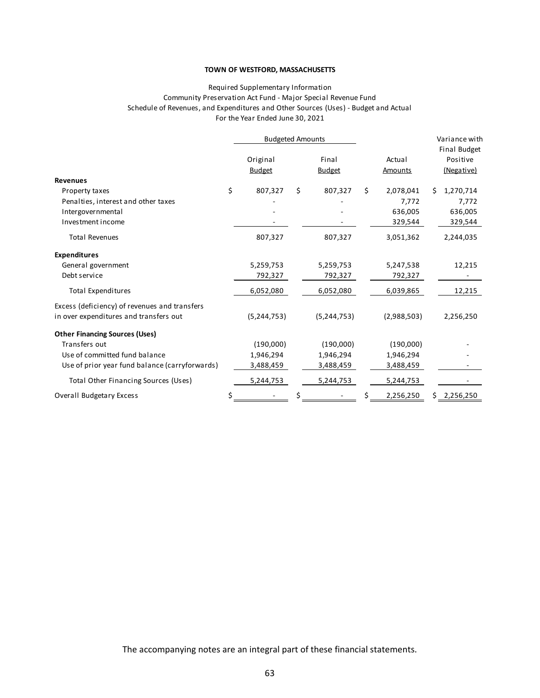#### Required Supplementary Information Community Preservation Act Fund ‐ Major Special Revenue Fund Schedule of Revenues, and Expenditures and Other Sources (Uses) ‐ Budget and Actual For the Year Ended June 30, 2021

|                                                | <b>Budgeted Amounts</b> |    |               |    |                |    | Variance with<br>Final Budget |
|------------------------------------------------|-------------------------|----|---------------|----|----------------|----|-------------------------------|
|                                                | Original                |    | Final         |    | Actual         |    | Positive                      |
|                                                | <b>Budget</b>           |    | <b>Budget</b> |    | <b>Amounts</b> |    | (Negative)                    |
| <b>Revenues</b>                                |                         |    |               |    |                |    |                               |
| Property taxes                                 | \$<br>807,327           | \$ | 807,327       | \$ | 2,078,041      | Ś. | 1,270,714                     |
| Penalties, interest and other taxes            |                         |    |               |    | 7,772          |    | 7,772                         |
| Intergovernmental                              |                         |    |               |    | 636,005        |    | 636,005                       |
| Investment income                              |                         |    |               |    | 329,544        |    | 329,544                       |
| <b>Total Revenues</b>                          | 807,327                 |    | 807,327       |    | 3,051,362      |    | 2,244,035                     |
| <b>Expenditures</b>                            |                         |    |               |    |                |    |                               |
| General government                             | 5,259,753               |    | 5,259,753     |    | 5,247,538      |    | 12,215                        |
| Debt service                                   | 792,327                 |    | 792,327       |    | 792,327        |    |                               |
| <b>Total Expenditures</b>                      | 6,052,080               |    | 6,052,080     |    | 6,039,865      |    | 12,215                        |
| Excess (deficiency) of revenues and transfers  |                         |    |               |    |                |    |                               |
| in over expenditures and transfers out         | (5, 244, 753)           |    | (5, 244, 753) |    | (2,988,503)    |    | 2,256,250                     |
| <b>Other Financing Sources (Uses)</b>          |                         |    |               |    |                |    |                               |
| Transfers out                                  | (190,000)               |    | (190,000)     |    | (190,000)      |    |                               |
| Use of committed fund balance                  | 1,946,294               |    | 1,946,294     |    | 1,946,294      |    |                               |
| Use of prior year fund balance (carryforwards) | 3,488,459               |    | 3,488,459     |    | 3,488,459      |    |                               |
| Total Other Financing Sources (Uses)           | 5,244,753               |    | 5,244,753     |    | 5,244,753      |    |                               |
| <b>Overall Budgetary Excess</b>                |                         |    |               |    | 2,256,250      | S. | 2,256,250                     |

The accompanying notes are an integral part of these financial statements.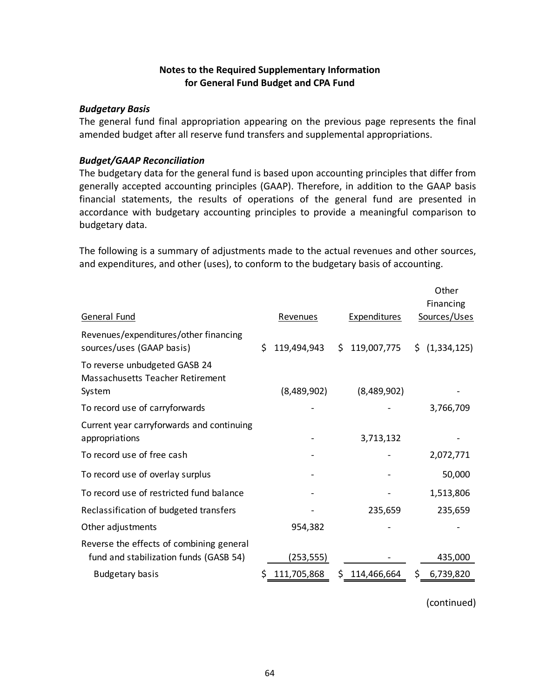## **Notes to the Required Supplementary Information for General Fund Budget and CPA Fund**

## *Budgetary Basis*

The general fund final appropriation appearing on the previous page represents the final amended budget after all reserve fund transfers and supplemental appropriations.

## *Budget/GAAP Reconciliation*

The budgetary data for the general fund is based upon accounting principles that differ from generally accepted accounting principles (GAAP). Therefore, in addition to the GAAP basis financial statements, the results of operations of the general fund are presented in accordance with budgetary accounting principles to provide a meaningful comparison to budgetary data.

The following is a summary of adjustments made to the actual revenues and other sources, and expenditures, and other (uses), to conform to the budgetary basis of accounting.

|                                                                                    |    |             |   |                     |    | Other                     |
|------------------------------------------------------------------------------------|----|-------------|---|---------------------|----|---------------------------|
|                                                                                    |    |             |   |                     |    | Financing                 |
| General Fund                                                                       |    | Revenues    |   | <b>Expenditures</b> |    | Sources/Uses              |
| Revenues/expenditures/other financing<br>sources/uses (GAAP basis)                 | Ś. | 119,494,943 |   | \$119,007,775       |    | $\frac{1}{2}$ (1,334,125) |
| To reverse unbudgeted GASB 24<br>Massachusetts Teacher Retirement<br>System        |    | (8,489,902) |   | (8,489,902)         |    |                           |
| To record use of carryforwards                                                     |    |             |   |                     |    | 3,766,709                 |
| Current year carryforwards and continuing<br>appropriations                        |    |             |   | 3,713,132           |    |                           |
| To record use of free cash                                                         |    |             |   |                     |    | 2,072,771                 |
| To record use of overlay surplus                                                   |    |             |   |                     |    | 50,000                    |
| To record use of restricted fund balance                                           |    |             |   |                     |    | 1,513,806                 |
| Reclassification of budgeted transfers                                             |    |             |   | 235,659             |    | 235,659                   |
| Other adjustments                                                                  |    | 954,382     |   |                     |    |                           |
| Reverse the effects of combining general<br>fund and stabilization funds (GASB 54) |    | (253,555)   |   |                     |    | 435,000                   |
| <b>Budgetary basis</b>                                                             | Ś  | 111,705,868 | S | 114,466,664         | S. | 6,739,820                 |

(continued)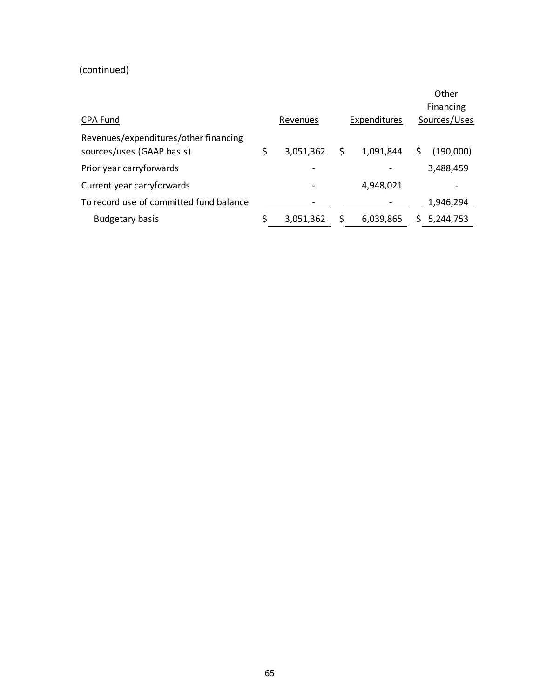# (continued)

|                                                                    |   |           |     |              |   | Other<br>Financing |
|--------------------------------------------------------------------|---|-----------|-----|--------------|---|--------------------|
| CPA Fund                                                           |   | Revenues  |     | Sources/Uses |   |                    |
| Revenues/expenditures/other financing<br>sources/uses (GAAP basis) | S | 3,051,362 | \$. | 1,091,844    | S | (190,000)          |
| Prior year carryforwards                                           |   |           |     |              |   | 3,488,459          |
| Current year carryforwards                                         |   |           |     | 4,948,021    |   |                    |
| To record use of committed fund balance                            |   |           |     |              |   | 1,946,294          |
| <b>Budgetary basis</b>                                             |   | 3,051,362 |     | 6,039,865    |   | 5,244,753          |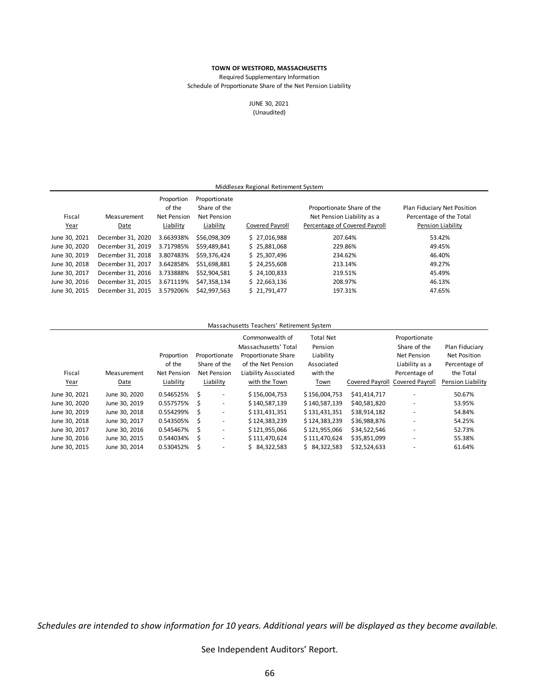Required Supplementary Information

Schedule of Proportionate Share of the Net Pension Liability

JUNE 30, 2021 (Unaudited)

| Middlesex Regional Retirement System |                     |                                                  |                                                                  |                 |                                                                                           |                                                                             |  |  |  |  |
|--------------------------------------|---------------------|--------------------------------------------------|------------------------------------------------------------------|-----------------|-------------------------------------------------------------------------------------------|-----------------------------------------------------------------------------|--|--|--|--|
| Fiscal<br>Year                       | Measurement<br>Date | Proportion<br>of the<br>Net Pension<br>Liability | Proportionate<br>Share of the<br><b>Net Pension</b><br>Liability | Covered Payroll | Proportionate Share of the<br>Net Pension Liability as a<br>Percentage of Covered Payroll | Plan Fiduciary Net Position<br>Percentage of the Total<br>Pension Liability |  |  |  |  |
| June 30, 2021                        | December 31, 2020   | 3.663938%                                        | \$56,098,309                                                     | \$27,016,988    | 207.64%                                                                                   | 53.42%                                                                      |  |  |  |  |
| June 30, 2020                        | December 31, 2019   | 3.717985%                                        | \$59,489,841                                                     | \$25,881,068    | 229.86%                                                                                   | 49.45%                                                                      |  |  |  |  |
| June 30, 2019                        | December 31, 2018   | 3.807483%                                        | \$59.376.424                                                     | \$25.307.496    | 234.62%                                                                                   | 46.40%                                                                      |  |  |  |  |
| June 30, 2018                        | December 31, 2017   | 3.642858%                                        | \$51,698,881                                                     | \$24,255,608    | 213.14%                                                                                   | 49.27%                                                                      |  |  |  |  |
| June 30, 2017                        | December 31, 2016   | 3.733888%                                        | \$52.904.581                                                     | \$24,100,833    | 219.51%                                                                                   | 45.49%                                                                      |  |  |  |  |
| June 30, 2016                        | December 31, 2015   | 3.671119%                                        | \$47.358.134                                                     | \$22,663,136    | 208.97%                                                                                   | 46.13%                                                                      |  |  |  |  |
| June 30, 2015                        | December 31, 2015   | 3.579206%                                        | \$42.997.563                                                     | \$21,791,477    | 197.31%                                                                                   | 47.65%                                                                      |  |  |  |  |

#### Massachusetts Teachers' Retirement System

| Fiscal<br>Year | Measurement<br>Date | Proportion<br>of the<br><b>Net Pension</b><br>Liability |   | Proportionate<br>Share of the<br><b>Net Pension</b><br>Liability | Commonwealth of<br>Massachusetts' Total<br>Proportionate Share<br>of the Net Pension<br>Liability Associated<br>with the Town | <b>Total Net</b><br>Pension<br>Liability<br>Associated<br>with the<br>Town | Covered Payroll Covered Payroll | Proportionate<br>Share of the<br>Net Pension<br>Liability as a<br>Percentage of | Plan Fiduciary<br>Net Position<br>Percentage of<br>the Total<br>Pension Liability |
|----------------|---------------------|---------------------------------------------------------|---|------------------------------------------------------------------|-------------------------------------------------------------------------------------------------------------------------------|----------------------------------------------------------------------------|---------------------------------|---------------------------------------------------------------------------------|-----------------------------------------------------------------------------------|
| June 30, 2021  | June 30, 2020       | 0.546525%                                               | S | $\overline{\phantom{a}}$                                         | \$156,004,753                                                                                                                 | \$156,004,753                                                              | \$41,414,717                    |                                                                                 | 50.67%                                                                            |
| June 30, 2020  | June 30, 2019       | 0.557575%                                               | Ś | $\overline{\phantom{a}}$                                         | \$140.587.139                                                                                                                 | \$140,587,139                                                              | \$40,581,820                    | $\overline{\phantom{a}}$                                                        | 53.95%                                                                            |
| June 30, 2019  | June 30, 2018       | 0.554299%                                               | Ś | $\overline{\phantom{a}}$                                         | \$131,431,351                                                                                                                 | \$131,431,351                                                              | \$38,914,182                    | $\overline{\phantom{a}}$                                                        | 54.84%                                                                            |
| June 30, 2018  | June 30, 2017       | 0.543505%                                               | S | $\overline{\phantom{a}}$                                         | \$124,383,239                                                                                                                 | \$124,383,239                                                              | \$36,988,876                    | $\overline{\phantom{a}}$                                                        | 54.25%                                                                            |
| June 30, 2017  | June 30, 2016       | 0.545467%                                               | Ś | ٠                                                                | \$121,955,066                                                                                                                 | \$121,955,066                                                              | \$34.522.546                    | $\overline{\phantom{a}}$                                                        | 52.73%                                                                            |
| June 30, 2016  | June 30, 2015       | 0.544034%                                               | Ŝ | ٠                                                                | \$111,470,624                                                                                                                 | \$111,470,624                                                              | \$35,851,099                    | -                                                                               | 55.38%                                                                            |
| June 30, 2015  | June 30, 2014       | 0.530452%                                               | Ś | $\overline{a}$                                                   | 84,322,583<br>Ś.                                                                                                              | \$84,322,583                                                               | \$32,524,633                    |                                                                                 | 61.64%                                                                            |

*Schedules are intended to show information for 10 years. Additional years will be displayed as they become available.*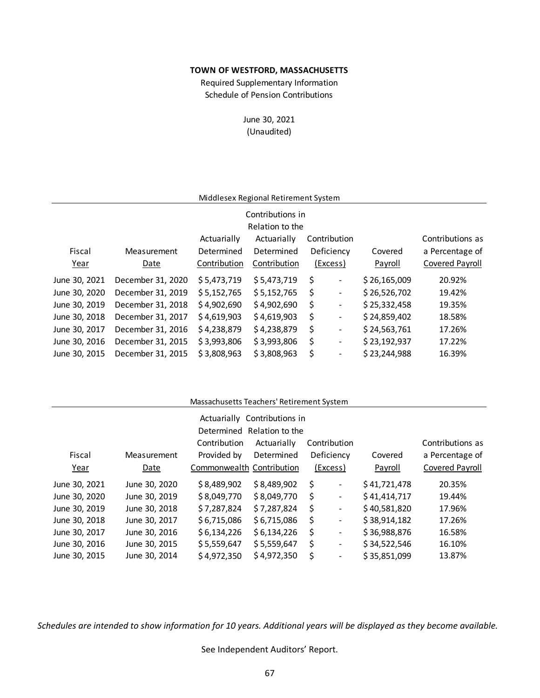Schedule of Pension Contributions Required Supplementary Information

> June 30, 2021 (Unaudited)

## Middlesex Regional Retirement System

| Contributions in |                   |              |              |    |                          |              |                  |  |  |  |
|------------------|-------------------|--------------|--------------|----|--------------------------|--------------|------------------|--|--|--|
| Relation to the  |                   |              |              |    |                          |              |                  |  |  |  |
|                  |                   | Actuarially  | Actuarially  |    | Contribution             |              | Contributions as |  |  |  |
| Fiscal           | Measurement       | Determined   | Determined   |    | Deficiency               | Covered      | a Percentage of  |  |  |  |
| Year             | Date              | Contribution | Contribution |    | (Excess)                 | Payroll      | Covered Payroll  |  |  |  |
| June 30, 2021    | December 31, 2020 | \$5,473,719  | \$5,473,719  | \$ | $\overline{\phantom{a}}$ | \$26,165,009 | 20.92%           |  |  |  |
| June 30, 2020    | December 31, 2019 | \$5,152,765  | \$5,152,765  | \$ | $\overline{\phantom{a}}$ | \$26,526,702 | 19.42%           |  |  |  |
| June 30, 2019    | December 31, 2018 | \$4,902,690  | \$4,902,690  | \$ | $\overline{\phantom{a}}$ | \$25,332,458 | 19.35%           |  |  |  |
| June 30, 2018    | December 31, 2017 | \$4,619,903  | \$4,619,903  | \$ | $\overline{\phantom{a}}$ | \$24,859,402 | 18.58%           |  |  |  |
| June 30, 2017    | December 31, 2016 | \$4,238,879  | \$4,238,879  | \$ | $\blacksquare$           | \$24,563,761 | 17.26%           |  |  |  |
| June 30, 2016    | December 31, 2015 | \$3,993,806  | \$3,993,806  | \$ | $\blacksquare$           | \$23,192,937 | 17.22%           |  |  |  |
| June 30, 2015    | December 31, 2015 | \$3,808,963  | \$3,808,963  | \$ | $\blacksquare$           | \$23,244,988 | 16.39%           |  |  |  |

#### Massachusetts Teachers' Retirement System

|               |               |                           | Actuarially Contributions in |    |                |              |                  |
|---------------|---------------|---------------------------|------------------------------|----|----------------|--------------|------------------|
|               |               |                           | Determined Relation to the   |    |                |              |                  |
|               |               | Contribution              | Actuarially                  |    | Contribution   |              | Contributions as |
| Fiscal        | Measurement   | Provided by               | Determined                   |    | Deficiency     | Covered      | a Percentage of  |
| Year          | Date          | Commonwealth Contribution |                              |    | (Excess)       | Payroll      | Covered Payroll  |
| June 30, 2021 | June 30, 2020 | \$8,489,902               | \$8,489,902                  | \$ | $\blacksquare$ | \$41,721,478 | 20.35%           |
| June 30, 2020 | June 30, 2019 | \$8,049,770               | \$8,049,770                  | Ś  | $\blacksquare$ | \$41,414,717 | 19.44%           |
| June 30, 2019 | June 30, 2018 | \$7,287,824               | \$7,287,824                  | S  | $\blacksquare$ | \$40,581,820 | 17.96%           |
| June 30, 2018 | June 30, 2017 | \$6,715,086               | \$6,715,086                  | S  | $\blacksquare$ | \$38,914,182 | 17.26%           |
| June 30, 2017 | June 30, 2016 | \$6,134,226               | \$6,134,226                  | S  | $\blacksquare$ | \$36,988,876 | 16.58%           |
| June 30, 2016 | June 30, 2015 | \$5,559,647               | \$5,559,647                  | \$ | $\blacksquare$ | \$34,522,546 | 16.10%           |
| June 30, 2015 | June 30, 2014 | \$4,972,350               | \$4,972,350                  | Ś  | $\blacksquare$ | \$35,851,099 | 13.87%           |
|               |               |                           |                              |    |                |              |                  |

*Schedules are intended to show information for 10 years. Additional years will be displayed as they become available.*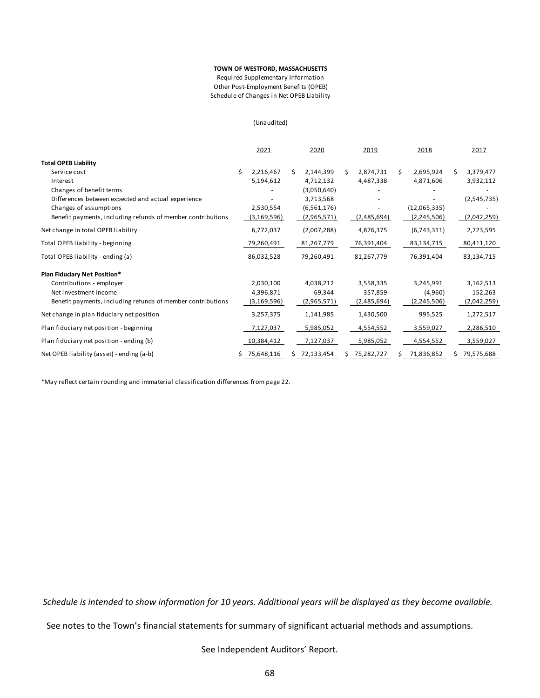Other Post‐Employment Benefits (OPEB) Required Supplementary Information Schedule of Changes in Net OPEB Liability

(Unaudited)

|                                                             |   | 2021          |    | 2020         |    | 2019        |    | 2018          |    | 2017        |
|-------------------------------------------------------------|---|---------------|----|--------------|----|-------------|----|---------------|----|-------------|
| <b>Total OPEB Liability</b>                                 |   |               |    |              |    |             |    |               |    |             |
| Service cost                                                | Ś | 2,216,467     | Ś. | 2,144,399    | S. | 2,874,731   | Ś. | 2,695,924     | S. | 3,379,477   |
| Interest                                                    |   | 5,194,612     |    | 4,712,132    |    | 4,487,338   |    | 4,871,606     |    | 3,932,112   |
| Changes of benefit terms                                    |   |               |    | (3,050,640)  |    |             |    |               |    |             |
| Differences between expected and actual experience          |   |               |    | 3,713,568    |    |             |    |               |    | (2,545,735) |
| Changes of assumptions                                      |   | 2,530,554     |    | (6,561,176)  |    |             |    | (12,065,335)  |    |             |
| Benefit payments, including refunds of member contributions |   | (3,169,596)   |    | (2,965,571)  |    | (2,485,694) |    | (2,245,506)   |    | (2,042,259) |
| Net change in total OPEB liability                          |   | 6,772,037     |    | (2,007,288)  |    | 4,876,375   |    | (6,743,311)   |    | 2,723,595   |
| Total OPEB liability - beginning                            |   | 79,260,491    |    | 81,267,779   |    | 76,391,404  |    | 83,134,715    |    | 80,411,120  |
| Total OPEB liability - ending (a)                           |   | 86,032,528    |    | 79,260,491   |    | 81,267,779  |    | 76,391,404    |    | 83,134,715  |
| Plan Fiduciary Net Position*                                |   |               |    |              |    |             |    |               |    |             |
| Contributions - employer                                    |   | 2,030,100     |    | 4,038,212    |    | 3,558,335   |    | 3,245,991     |    | 3,162,513   |
| Net investment income                                       |   | 4,396,871     |    | 69,344       |    | 357,859     |    | (4,960)       |    | 152,263     |
| Benefit payments, including refunds of member contributions |   | (3, 169, 596) |    | (2,965,571)  |    | (2,485,694) |    | (2, 245, 506) |    | (2,042,259) |
| Net change in plan fiduciary net position                   |   | 3,257,375     |    | 1,141,985    |    | 1,430,500   |    | 995,525       |    | 1,272,517   |
| Plan fiduciary net position - beginning                     |   | 7,127,037     |    | 5,985,052    |    | 4,554,552   |    | 3,559,027     |    | 2,286,510   |
| Plan fiduciary net position - ending (b)                    |   | 10,384,412    |    | 7,127,037    |    | 5,985,052   |    | 4,554,552     |    | 3,559,027   |
| Net OPEB liability (asset) - ending (a-b)                   |   | 75,648,116    |    | \$72,133,454 | S. | 75,282,727  | S  | 71,836,852    |    | 79,575,688  |

\*May reflect certain rounding and immaterial classi fication di fferences from page 22.

*Schedule is intended to show information for 10 years. Additional years will be displayed as they become available.* 

See notes to the Town's financial statements for summary of significant actuarial methods and assumptions.